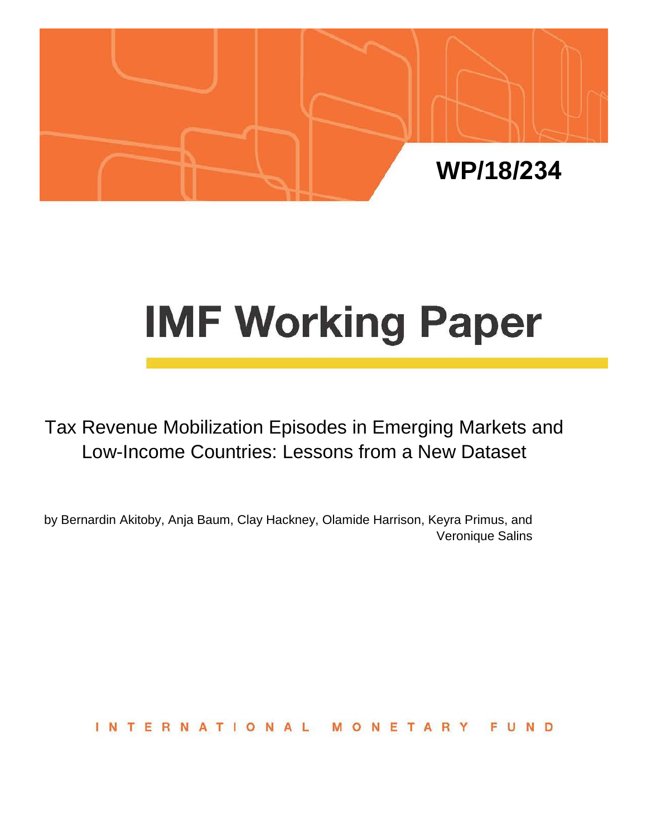

# **IMF Working Paper**

Tax Revenue Mobilization Episodes in Emerging Markets and Low-Income Countries: Lessons from a New Dataset

by Bernardin Akitoby, Anja Baum, Clay Hackney, Olamide Harrison, Keyra Primus, and Veronique Salins

> **INTERNATIONA** NETAR FUND - 11  $\Omega$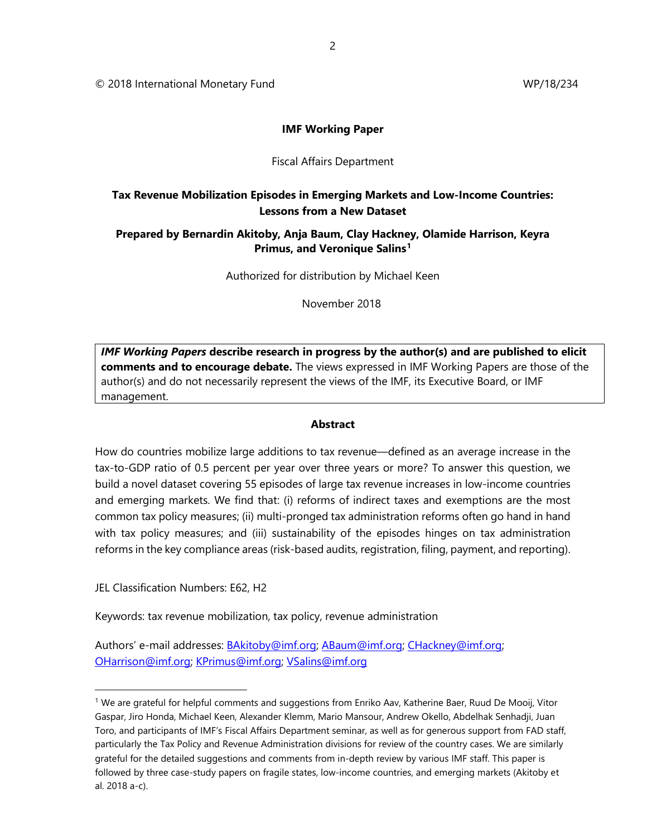© 2018 International Monetary Fund WP/18/234

#### **IMF Working Paper**

#### Fiscal Affairs Department

# **Tax Revenue Mobilization Episodes in Emerging Markets and Low-Income Countries: Lessons from a New Dataset**

## **Prepared by Bernardin Akitoby, Anja Baum, Clay Hackney, Olamide Harrison, Keyra Primus, and Veronique Salins[1](#page-1-0)**

Authorized for distribution by Michael Keen

November 2018

*IMF Working Papers* **describe research in progress by the author(s) and are published to elicit comments and to encourage debate.** The views expressed in IMF Working Papers are those of the author(s) and do not necessarily represent the views of the IMF, its Executive Board, or IMF management.

#### **Abstract**

How do countries mobilize large additions to tax revenue—defined as an average increase in the tax-to-GDP ratio of 0.5 percent per year over three years or more? To answer this question, we build a novel dataset covering 55 episodes of large tax revenue increases in low-income countries and emerging markets. We find that: (i) reforms of indirect taxes and exemptions are the most common tax policy measures; (ii) multi-pronged tax administration reforms often go hand in hand with tax policy measures; and (iii) sustainability of the episodes hinges on tax administration reforms in the key compliance areas (risk-based audits, registration, filing, payment, and reporting).

JEL Classification Numbers: E62, H2

Keywords: tax revenue mobilization, tax policy, revenue administration

Authors' e-mail addresses: **BAkitoby@imf.org; [ABaum@imf.org;](mailto:ABaum@imf.org) [CHackney@imf.org;](mailto:CHackney@imf.org)** [OHarrison@imf.org;](mailto:OHarrison@imf.org) [KPrimus@imf.org;](mailto:KPrimus@imf.org) [VSalins@imf.org](mailto:VSalins@imf.org)

<span id="page-1-0"></span><sup>&</sup>lt;sup>1</sup> We are grateful for helpful comments and suggestions from Enriko Aav, Katherine Baer, Ruud De Mooij, Vitor Gaspar, Jiro Honda, Michael Keen, Alexander Klemm, Mario Mansour, Andrew Okello, Abdelhak Senhadji, Juan Toro, and participants of IMF's Fiscal Affairs Department seminar, as well as for generous support from FAD staff, particularly the Tax Policy and Revenue Administration divisions for review of the country cases. We are similarly grateful for the detailed suggestions and comments from in-depth review by various IMF staff. This paper is followed by three case-study papers on fragile states, low-income countries, and emerging markets (Akitoby et al. 2018 a-c).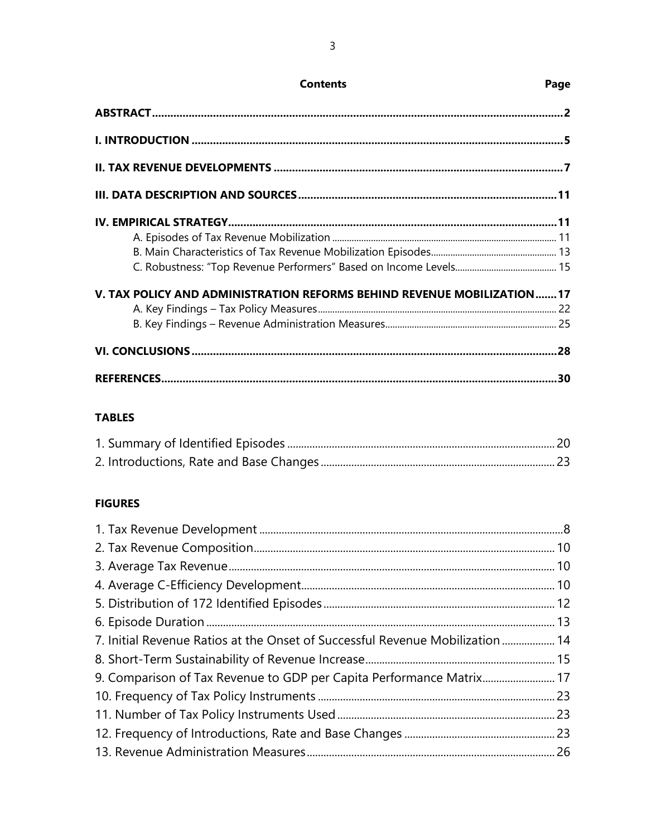| V. TAX POLICY AND ADMINISTRATION REFORMS BEHIND REVENUE MOBILIZATION17 |  |
|------------------------------------------------------------------------|--|
|                                                                        |  |
|                                                                        |  |
|                                                                        |  |
|                                                                        |  |

# **TABLES**

# **FIGURES**

| 7. Initial Revenue Ratios at the Onset of Successful Revenue Mobilization  14 |  |
|-------------------------------------------------------------------------------|--|
|                                                                               |  |
| 9. Comparison of Tax Revenue to GDP per Capita Performance Matrix 17          |  |
|                                                                               |  |
|                                                                               |  |
|                                                                               |  |
|                                                                               |  |

**Contents** 

# Page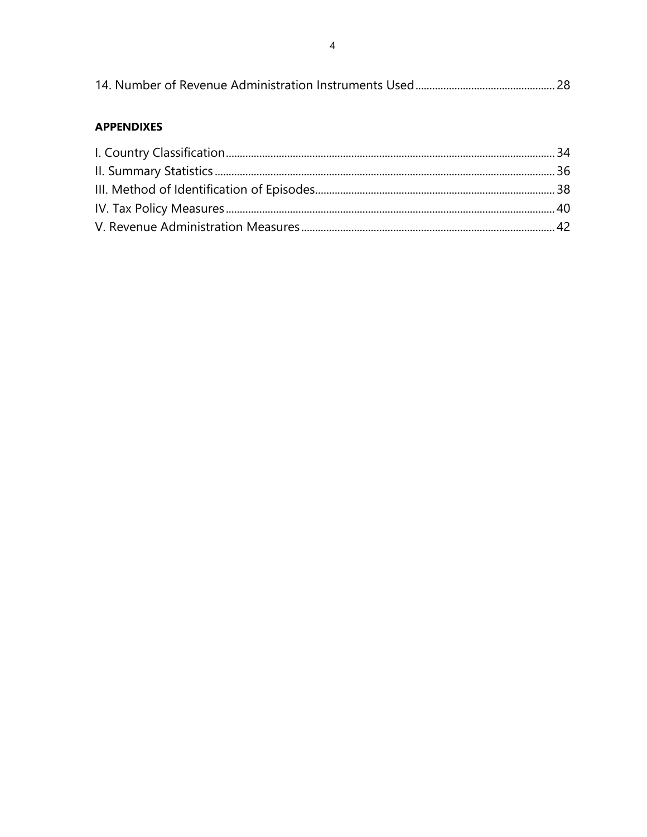|--|

## **APPENDIXES**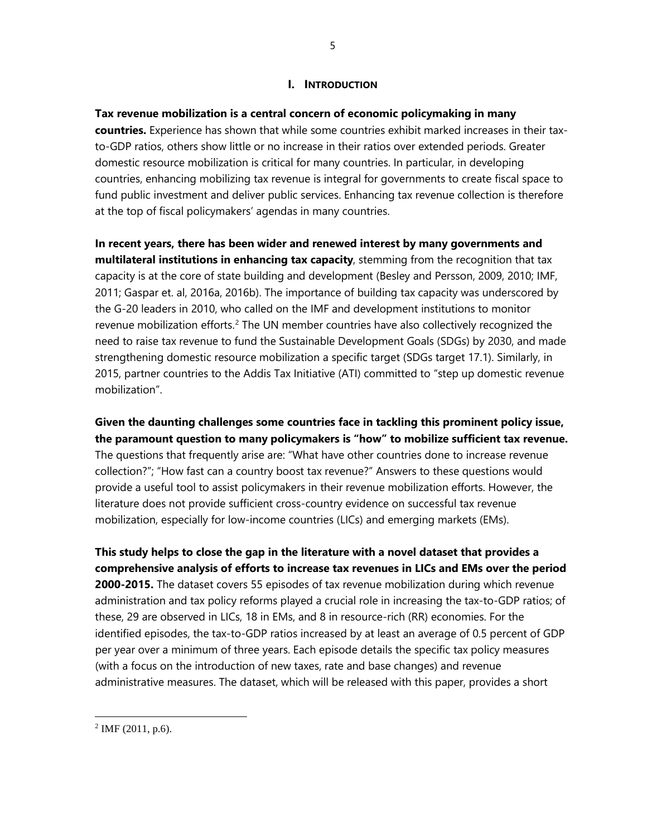## **I. INTRODUCTION**

**Tax revenue mobilization is a central concern of economic policymaking in many** 

**countries.** Experience has shown that while some countries exhibit marked increases in their taxto-GDP ratios, others show little or no increase in their ratios over extended periods. Greater domestic resource mobilization is critical for many countries. In particular, in developing countries, enhancing mobilizing tax revenue is integral for governments to create fiscal space to fund public investment and deliver public services. Enhancing tax revenue collection is therefore at the top of fiscal policymakers' agendas in many countries.

**In recent years, there has been wider and renewed interest by many governments and multilateral institutions in enhancing tax capacity**, stemming from the recognition that tax capacity is at the core of state building and development (Besley and Persson, 2009, 2010; IMF, 2011; Gaspar et. al, 2016a, 2016b). The importance of building tax capacity was underscored by the G-20 leaders in 2010, who called on the IMF and development institutions to monitor revenue mobilization efforts.<sup>[2](#page-4-0)</sup> The UN member countries have also collectively recognized the need to raise tax revenue to fund the Sustainable Development Goals (SDGs) by 2030, and made strengthening domestic resource mobilization a specific target (SDGs target 17.1). Similarly, in 2015, partner countries to the Addis Tax Initiative (ATI) committed to "step up domestic revenue mobilization".

**Given the daunting challenges some countries face in tackling this prominent policy issue, the paramount question to many policymakers is "how" to mobilize sufficient tax revenue.** The questions that frequently arise are: "What have other countries done to increase revenue collection?"; "How fast can a country boost tax revenue?" Answers to these questions would provide a useful tool to assist policymakers in their revenue mobilization efforts. However, the literature does not provide sufficient cross-country evidence on successful tax revenue mobilization, especially for low-income countries (LICs) and emerging markets (EMs).

**This study helps to close the gap in the literature with a novel dataset that provides a comprehensive analysis of efforts to increase tax revenues in LICs and EMs over the period 2000-2015.** The dataset covers 55 episodes of tax revenue mobilization during which revenue administration and tax policy reforms played a crucial role in increasing the tax-to-GDP ratios; of these, 29 are observed in LICs, 18 in EMs, and 8 in resource-rich (RR) economies. For the identified episodes, the tax-to-GDP ratios increased by at least an average of 0.5 percent of GDP per year over a minimum of three years. Each episode details the specific tax policy measures (with a focus on the introduction of new taxes, rate and base changes) and revenue administrative measures. The dataset, which will be released with this paper, provides a short

<span id="page-4-0"></span> $^{2}$  IMF (2011, p.6).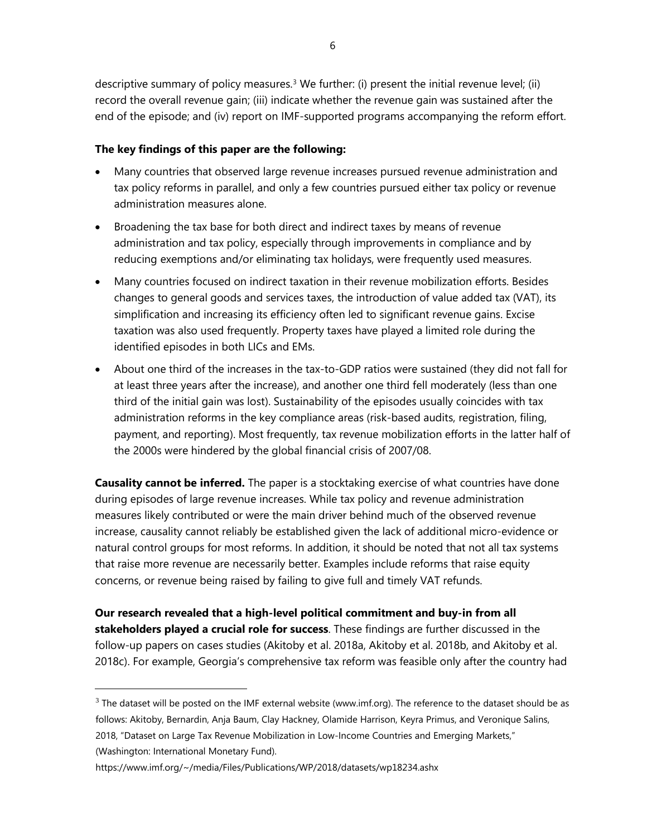descriptive summary of policy measures.<sup>3</sup> We further: (i) present the initial revenue level; (ii) record the overall revenue gain; (iii) indicate whether the revenue gain was sustained after the end of the episode; and (iv) report on IMF-supported programs accompanying the reform effort.

#### **The key findings of this paper are the following:**

- Many countries that observed large revenue increases pursued revenue administration and tax policy reforms in parallel, and only a few countries pursued either tax policy or revenue administration measures alone.
- Broadening the tax base for both direct and indirect taxes by means of revenue administration and tax policy, especially through improvements in compliance and by reducing exemptions and/or eliminating tax holidays, were frequently used measures.
- Many countries focused on indirect taxation in their revenue mobilization efforts. Besides changes to general goods and services taxes, the introduction of value added tax (VAT), its simplification and increasing its efficiency often led to significant revenue gains. Excise taxation was also used frequently. Property taxes have played a limited role during the identified episodes in both LICs and EMs.
- About one third of the increases in the tax-to-GDP ratios were sustained (they did not fall for at least three years after the increase), and another one third fell moderately (less than one third of the initial gain was lost). Sustainability of the episodes usually coincides with tax administration reforms in the key compliance areas (risk-based audits, registration, filing, payment, and reporting). Most frequently, tax revenue mobilization efforts in the latter half of the 2000s were hindered by the global financial crisis of 2007/08.

**Causality cannot be inferred.** The paper is a stocktaking exercise of what countries have done during episodes of large revenue increases. While tax policy and revenue administration measures likely contributed or were the main driver behind much of the observed revenue increase, causality cannot reliably be established given the lack of additional micro-evidence or natural control groups for most reforms. In addition, it should be noted that not all tax systems that raise more revenue are necessarily better. Examples include reforms that raise equity concerns, or revenue being raised by failing to give full and timely VAT refunds.

**Our research revealed that a high-level political commitment and buy-in from all stakeholders played a crucial role for success**. These findings are further discussed in the follow-up papers on cases studies (Akitoby et al. 2018a, Akitoby et al. 2018b, and Akitoby et al. 2018c). For example, Georgia's comprehensive tax reform was feasible only after the country had

<span id="page-5-0"></span> $3$  The dataset will be posted on the IMF external website (www.imf.org). The reference to the dataset should be as follows: Akitoby, Bernardin, Anja Baum, Clay Hackney, Olamide Harrison, Keyra Primus, and Veronique Salins, 2018, "Dataset on Large Tax Revenue Mobilization in Low-Income Countries and Emerging Markets," (Washington: International Monetary Fund).

<https://www.imf.org/~/media/Files/Publications/WP/2018/datasets/wp18234.ashx>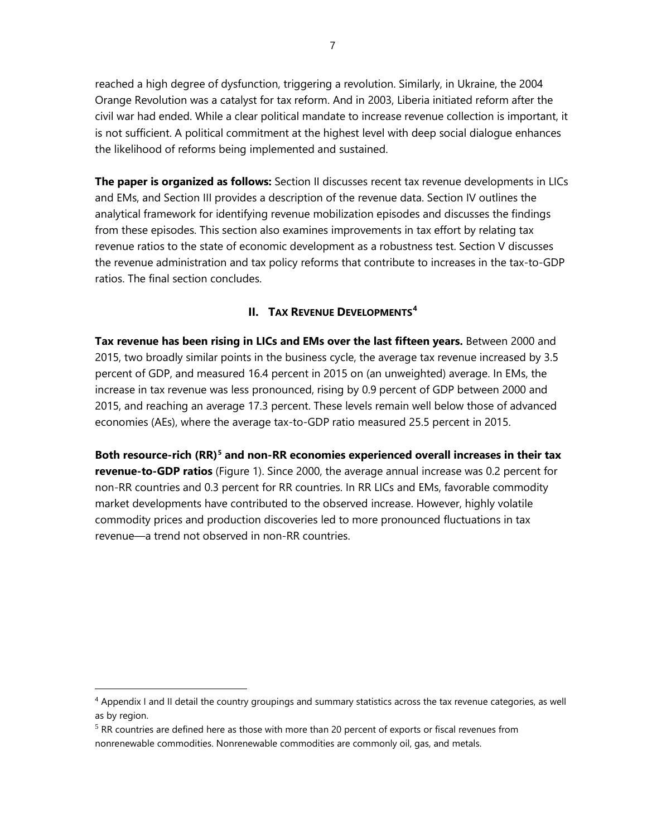reached a high degree of dysfunction, triggering a revolution. Similarly, in Ukraine, the 2004 Orange Revolution was a catalyst for tax reform. And in 2003, Liberia initiated reform after the civil war had ended. While a clear political mandate to increase revenue collection is important, it is not sufficient. A political commitment at the highest level with deep social dialogue enhances the likelihood of reforms being implemented and sustained.

**The paper is organized as follows:** Section II discusses recent tax revenue developments in LICs and EMs, and Section III provides a description of the revenue data. Section IV outlines the analytical framework for identifying revenue mobilization episodes and discusses the findings from these episodes. This section also examines improvements in tax effort by relating tax revenue ratios to the state of economic development as a robustness test. Section V discusses the revenue administration and tax policy reforms that contribute to increases in the tax-to-GDP ratios. The final section concludes.

# **II. TAX REVENUE DEVELOPMENTS[4](#page-6-0)**

**Tax revenue has been rising in LICs and EMs over the last fifteen years.** Between 2000 and 2015, two broadly similar points in the business cycle, the average tax revenue increased by 3.5 percent of GDP, and measured 16.4 percent in 2015 on (an unweighted) average. In EMs, the increase in tax revenue was less pronounced, rising by 0.9 percent of GDP between 2000 and 2015, and reaching an average 17.3 percent. These levels remain well below those of advanced economies (AEs), where the average tax-to-GDP ratio measured 25.5 percent in 2015.

**Both resource-rich (RR)[5](#page-6-1) and non-RR economies experienced overall increases in their tax revenue-to-GDP ratios** (Figure 1). Since 2000, the average annual increase was 0.2 percent for non-RR countries and 0.3 percent for RR countries. In RR LICs and EMs, favorable commodity market developments have contributed to the observed increase. However, highly volatile commodity prices and production discoveries led to more pronounced fluctuations in tax revenue—a trend not observed in non-RR countries.

<span id="page-6-0"></span><sup>&</sup>lt;sup>4</sup> Appendix I and II detail the country groupings and summary statistics across the tax revenue categories, as well as by region.

<span id="page-6-1"></span> $<sup>5</sup>$  RR countries are defined here as those with more than 20 percent of exports or fiscal revenues from</sup> nonrenewable commodities. Nonrenewable commodities are commonly oil, gas, and metals.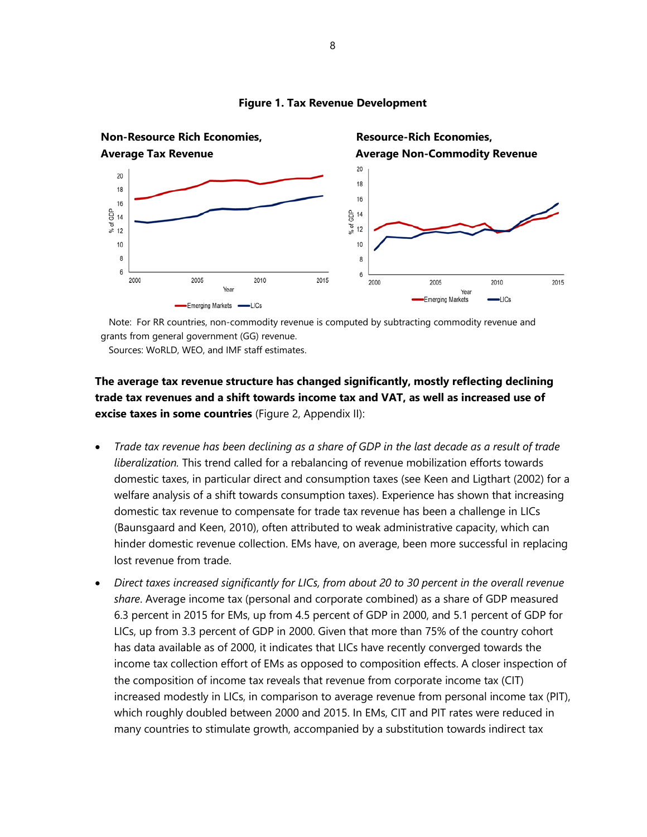

#### **Figure 1. Tax Revenue Development**

 Note: For RR countries, non-commodity revenue is computed by subtracting commodity revenue and grants from general government (GG) revenue.

Sources: WoRLD, WEO, and IMF staff estimates.

# **The average tax revenue structure has changed significantly, mostly reflecting declining trade tax revenues and a shift towards income tax and VAT, as well as increased use of excise taxes in some countries** (Figure 2, Appendix II):

- *Trade tax revenue has been declining as a share of GDP in the last decade as a result of trade liberalization.* This trend called for a rebalancing of revenue mobilization efforts towards domestic taxes, in particular direct and consumption taxes (see Keen and Ligthart (2002) for a welfare analysis of a shift towards consumption taxes). Experience has shown that increasing domestic tax revenue to compensate for trade tax revenue has been a challenge in LICs (Baunsgaard and Keen, 2010), often attributed to weak administrative capacity, which can hinder domestic revenue collection. EMs have, on average, been more successful in replacing lost revenue from trade.
- *Direct taxes increased significantly for LICs, from about 20 to 30 percent in the overall revenue share*. Average income tax (personal and corporate combined) as a share of GDP measured 6.3 percent in 2015 for EMs, up from 4.5 percent of GDP in 2000, and 5.1 percent of GDP for LICs, up from 3.3 percent of GDP in 2000. Given that more than 75% of the country cohort has data available as of 2000, it indicates that LICs have recently converged towards the income tax collection effort of EMs as opposed to composition effects. A closer inspection of the composition of income tax reveals that revenue from corporate income tax (CIT) increased modestly in LICs, in comparison to average revenue from personal income tax (PIT), which roughly doubled between 2000 and 2015. In EMs, CIT and PIT rates were reduced in many countries to stimulate growth, accompanied by a substitution towards indirect tax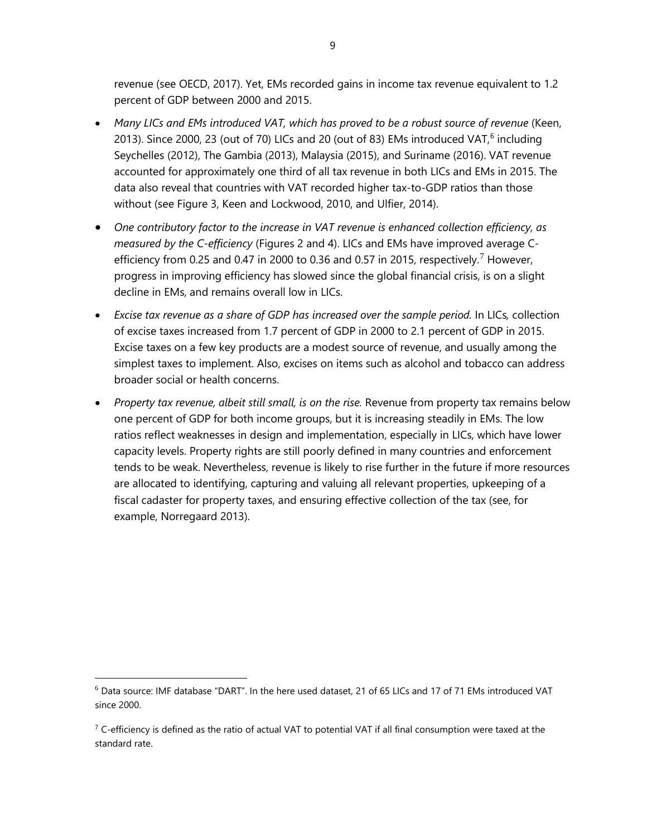revenue (see OECD, 2017). Yet, EMs recorded gains in income tax revenue equivalent to 1.2 percent of GDP between 2000 and 2015.

- *Many LICs and EMs introduced VAT, which has proved to be a robust source of revenue* (Keen, 2013). Since 2000, 23 (out of 70) LICs and 20 (out of 83) EMs introduced VAT, $^6$  $^6$  including Seychelles (2012), The Gambia (2013), Malaysia (2015), and Suriname (2016). VAT revenue accounted for approximately one third of all tax revenue in both LICs and EMs in 2015. The data also reveal that countries with VAT recorded higher tax-to-GDP ratios than those without (see Figure 3, Keen and Lockwood, 2010, and Ulfier, 2014).
- *One contributory factor to the increase in VAT revenue is enhanced collection efficiency, as measured by the C-efficiency* (Figures 2 and 4). LICs and EMs have improved average C-efficiency from 0.25 and 0.4[7](#page-8-1) in 2000 to 0.36 and 0.57 in 2015, respectively.<sup>7</sup> However, progress in improving efficiency has slowed since the global financial crisis, is on a slight decline in EMs, and remains overall low in LICs.
- *Excise tax revenue as a share of GDP has increased over the sample period.* In LICs*,* collection of excise taxes increased from 1.7 percent of GDP in 2000 to 2.1 percent of GDP in 2015. Excise taxes on a few key products are a modest source of revenue, and usually among the simplest taxes to implement. Also, excises on items such as alcohol and tobacco can address broader social or health concerns.
- *Property tax revenue, albeit still small, is on the rise.* Revenue from property tax remains below one percent of GDP for both income groups, but it is increasing steadily in EMs. The low ratios reflect weaknesses in design and implementation, especially in LICs, which have lower capacity levels. Property rights are still poorly defined in many countries and enforcement tends to be weak. Nevertheless, revenue is likely to rise further in the future if more resources are allocated to identifying, capturing and valuing all relevant properties, upkeeping of a fiscal cadaster for property taxes, and ensuring effective collection of the tax (see, for example, Norregaard 2013).

<span id="page-8-0"></span> $6$  Data source: IMF database "DART". In the here used dataset, 21 of 65 LICs and 17 of 71 EMs introduced VAT since 2000.

<span id="page-8-1"></span> $7$  C-efficiency is defined as the ratio of actual VAT to potential VAT if all final consumption were taxed at the standard rate.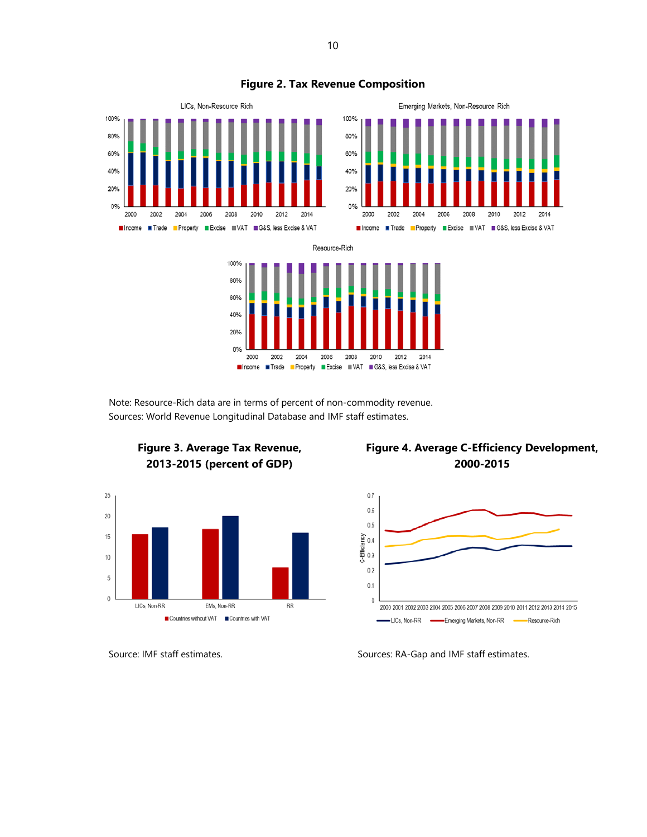

 Note: Resource-Rich data are in terms of percent of non-commodity revenue. Sources: World Revenue Longitudinal Database and IMF staff estimates.



# **Figure 3. Average Tax Revenue, 2013-2015 (percent of GDP)**





Source: IMF staff estimates. Sources: RA-Gap and IMF staff estimates.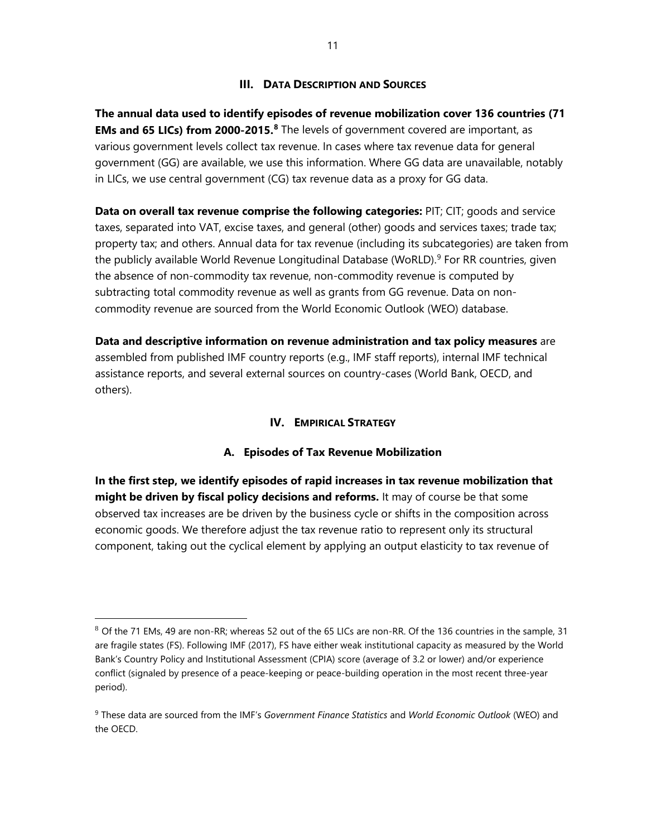## **III. DATA DESCRIPTION AND SOURCES**

**The annual data used to identify episodes of revenue mobilization cover 136 countries (71 EMs and 65 LICs) from 2000-2015.[8](#page-10-0)** The levels of government covered are important, as various government levels collect tax revenue. In cases where tax revenue data for general government (GG) are available, we use this information. Where GG data are unavailable, notably in LICs, we use central government (CG) tax revenue data as a proxy for GG data.

**Data on overall tax revenue comprise the following categories:** PIT; CIT; goods and service taxes, separated into VAT, excise taxes, and general (other) goods and services taxes; trade tax; property tax; and others. Annual data for tax revenue (including its subcategories) are taken from the publicly available World Revenue Longitudinal Database (WoRLD).<sup>[9](#page-10-1)</sup> For RR countries, given the absence of non-commodity tax revenue, non-commodity revenue is computed by subtracting total commodity revenue as well as grants from GG revenue. Data on noncommodity revenue are sourced from the World Economic Outlook (WEO) database.

**Data and descriptive information on revenue administration and tax policy measures** are assembled from published IMF country reports (e.g., IMF staff reports), internal IMF technical assistance reports, and several external sources on country-cases (World Bank, OECD, and others).

#### **IV. EMPIRICAL STRATEGY**

## **A. Episodes of Tax Revenue Mobilization**

**In the first step, we identify episodes of rapid increases in tax revenue mobilization that might be driven by fiscal policy decisions and reforms.** It may of course be that some observed tax increases are be driven by the business cycle or shifts in the composition across economic goods. We therefore adjust the tax revenue ratio to represent only its structural component, taking out the cyclical element by applying an output elasticity to tax revenue of

<span id="page-10-0"></span> $8$  Of the 71 EMs, 49 are non-RR; whereas 52 out of the 65 LICs are non-RR. Of the 136 countries in the sample, 31 are fragile states (FS). Following IMF (2017), FS have either weak institutional capacity as measured by the World Bank's Country Policy and Institutional Assessment (CPIA) score (average of 3.2 or lower) and/or experience conflict (signaled by presence of a peace-keeping or peace-building operation in the most recent three-year period).

<span id="page-10-1"></span><sup>9</sup> These data are sourced from the IMF's *Government Finance Statistics* and *World Economic Outlook* (WEO) and the OECD.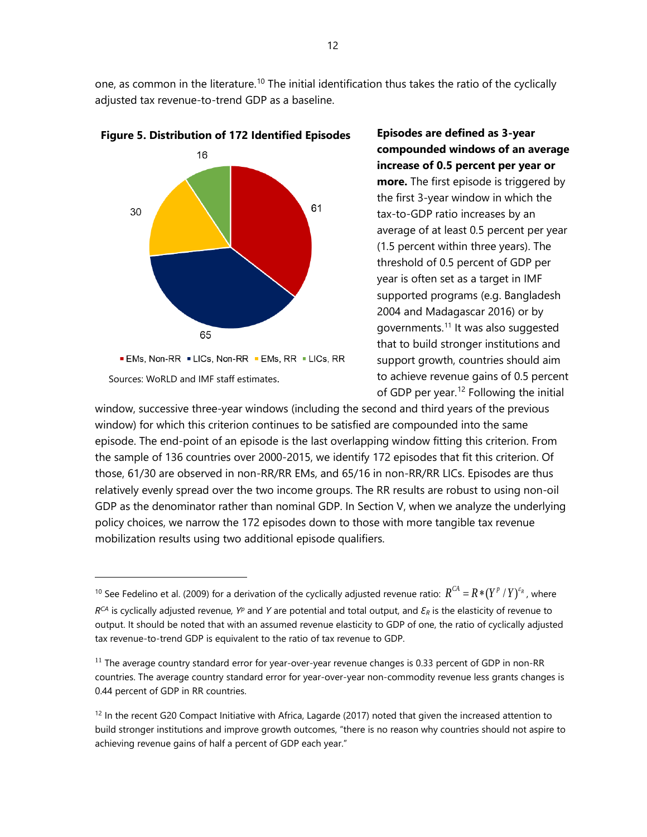one, as common in the literature.<sup>[10](#page-11-0)</sup> The initial identification thus takes the ratio of the cyclically adjusted tax revenue-to-trend GDP as a baseline.



 $\overline{a}$ 



**Episodes are defined as 3-year compounded windows of an average increase of 0.5 percent per year or more.** The first episode is triggered by the first 3-year window in which the tax-to-GDP ratio increases by an average of at least 0.5 percent per year (1.5 percent within three years). The threshold of 0.5 percent of GDP per year is often set as a target in IMF supported programs (e.g. Bangladesh 2004 and Madagascar 2016) or by governments.[11](#page-11-1) It was also suggested that to build stronger institutions and support growth, countries should aim to achieve revenue gains of 0.5 percent of GDP per year.[12](#page-11-2) Following the initial

window, successive three-year windows (including the second and third years of the previous window) for which this criterion continues to be satisfied are compounded into the same episode. The end-point of an episode is the last overlapping window fitting this criterion. From the sample of 136 countries over 2000-2015, we identify 172 episodes that fit this criterion. Of those, 61/30 are observed in non-RR/RR EMs, and 65/16 in non-RR/RR LICs. Episodes are thus relatively evenly spread over the two income groups. The RR results are robust to using non-oil GDP as the denominator rather than nominal GDP. In Section V, when we analyze the underlying policy choices, we narrow the 172 episodes down to those with more tangible tax revenue mobilization results using two additional episode qualifiers.

<span id="page-11-0"></span><sup>&</sup>lt;sup>10</sup> See Fedelino et al. (2009) for a derivation of the cyclically adjusted revenue ratio:  $R^{CA} = R * (Y^p / Y)^{s_R}$ , where *RCA* is cyclically adjusted revenue*, Yp* and *Y* are potential and total output, and *Ɛ<sup>R</sup>* is the elasticity of revenue to output. It should be noted that with an assumed revenue elasticity to GDP of one, the ratio of cyclically adjusted tax revenue-to-trend GDP is equivalent to the ratio of tax revenue to GDP.

<span id="page-11-1"></span><sup>&</sup>lt;sup>11</sup> The average country standard error for year-over-year revenue changes is 0.33 percent of GDP in non-RR countries. The average country standard error for year-over-year non-commodity revenue less grants changes is 0.44 percent of GDP in RR countries.

<span id="page-11-2"></span><sup>&</sup>lt;sup>12</sup> In the recent G20 Compact Initiative with Africa, Lagarde (2017) noted that given the increased attention to build stronger institutions and improve growth outcomes, "there is no reason why countries should not aspire to achieving revenue gains of half a percent of GDP each year."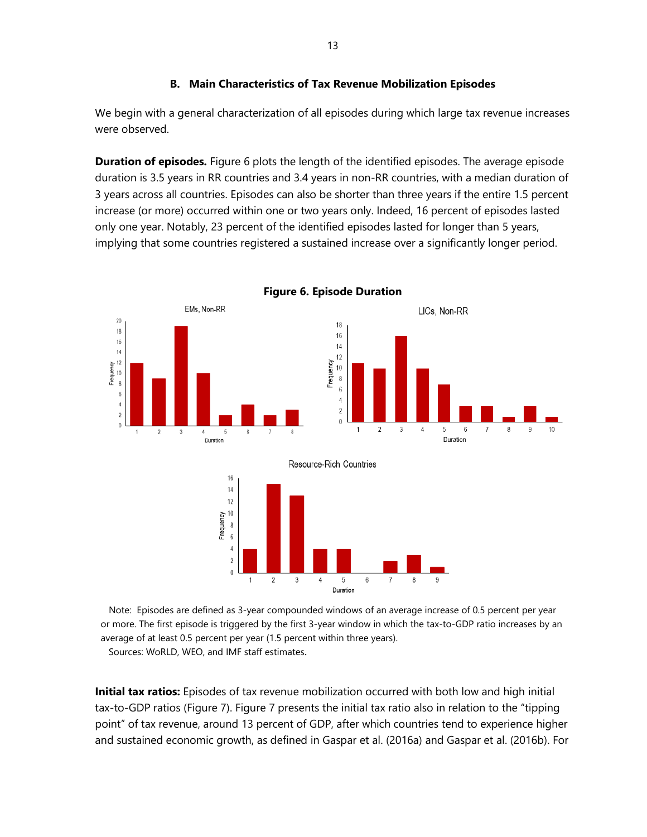## **B. Main Characteristics of Tax Revenue Mobilization Episodes**

We begin with a general characterization of all episodes during which large tax revenue increases were observed.

**Duration of episodes.** Figure 6 plots the length of the identified episodes. The average episode duration is 3.5 years in RR countries and 3.4 years in non-RR countries, with a median duration of 3 years across all countries. Episodes can also be shorter than three years if the entire 1.5 percent increase (or more) occurred within one or two years only. Indeed, 16 percent of episodes lasted only one year. Notably, 23 percent of the identified episodes lasted for longer than 5 years, implying that some countries registered a sustained increase over a significantly longer period.



**Figure 6. Episode Duration**

 Note: Episodes are defined as 3-year compounded windows of an average increase of 0.5 percent per year or more. The first episode is triggered by the first 3-year window in which the tax-to-GDP ratio increases by an average of at least 0.5 percent per year (1.5 percent within three years).

Sources: WoRLD, WEO, and IMF staff estimates.

**Initial tax ratios:** Episodes of tax revenue mobilization occurred with both low and high initial tax-to-GDP ratios (Figure 7). Figure 7 presents the initial tax ratio also in relation to the "tipping point" of tax revenue, around 13 percent of GDP, after which countries tend to experience higher and sustained economic growth, as defined in Gaspar et al. (2016a) and Gaspar et al. (2016b). For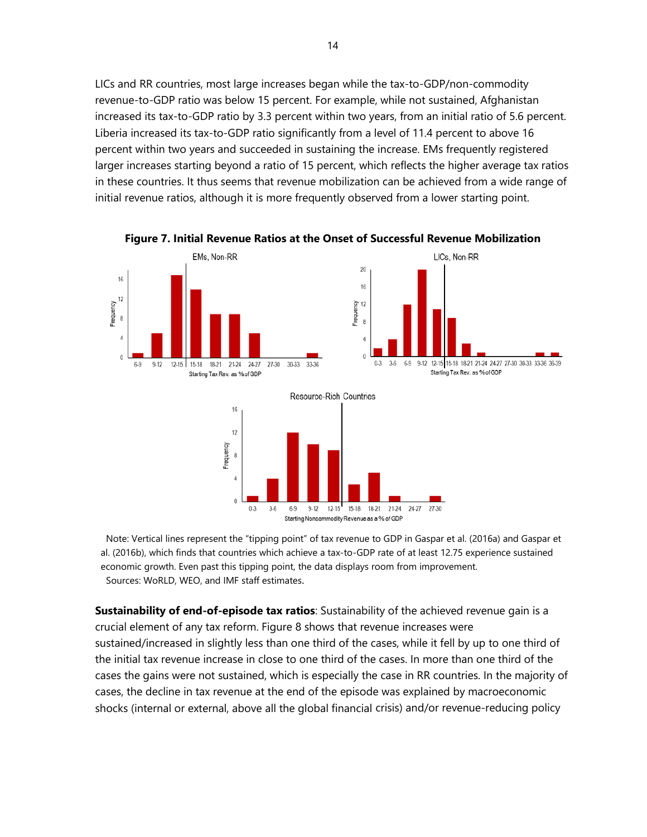LICs and RR countries, most large increases began while the tax-to-GDP/non-commodity revenue-to-GDP ratio was below 15 percent. For example, while not sustained, Afghanistan increased its tax-to-GDP ratio by 3.3 percent within two years, from an initial ratio of 5.6 percent. Liberia increased its tax-to-GDP ratio significantly from a level of 11.4 percent to above 16 percent within two years and succeeded in sustaining the increase. EMs frequently registered larger increases starting beyond a ratio of 15 percent, which reflects the higher average tax ratios in these countries. It thus seems that revenue mobilization can be achieved from a wide range of initial revenue ratios, although it is more frequently observed from a lower starting point.



**Figure 7. Initial Revenue Ratios at the Onset of Successful Revenue Mobilization**

 Note: Vertical lines represent the "tipping point" of tax revenue to GDP in Gaspar et al. (2016a) and Gaspar et al. (2016b), which finds that countries which achieve a tax-to-GDP rate of at least 12.75 experience sustained economic growth. Even past this tipping point, the data displays room from improvement. Sources: WoRLD, WEO, and IMF staff estimates.

**Sustainability of end-of-episode tax ratios**: Sustainability of the achieved revenue gain is a crucial element of any tax reform. Figure 8 shows that revenue increases were sustained/increased in slightly less than one third of the cases, while it fell by up to one third of the initial tax revenue increase in close to one third of the cases. In more than one third of the cases the gains were not sustained, which is especially the case in RR countries. In the majority of cases, the decline in tax revenue at the end of the episode was explained by macroeconomic shocks (internal or external, above all the global financial crisis) and/or revenue-reducing policy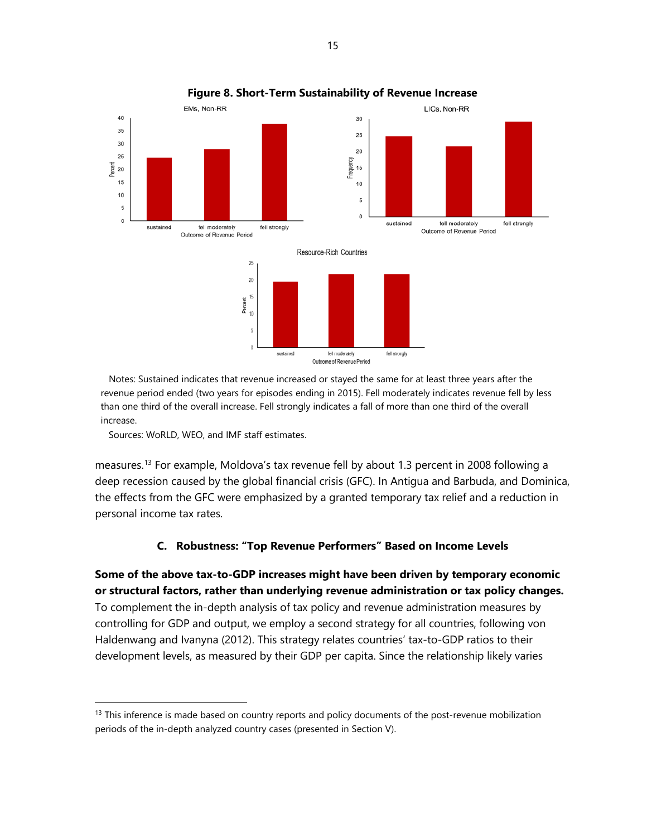

#### **Figure 8. Short-Term Sustainability of Revenue Increase**

 Notes: Sustained indicates that revenue increased or stayed the same for at least three years after the revenue period ended (two years for episodes ending in 2015). Fell moderately indicates revenue fell by less than one third of the overall increase. Fell strongly indicates a fall of more than one third of the overall increase.

Sources: WoRLD, WEO, and IMF staff estimates.

measures.[13](#page-14-0) For example, Moldova's tax revenue fell by about 1.3 percent in 2008 following a deep recession caused by the global financial crisis (GFC). In Antigua and Barbuda, and Dominica, the effects from the GFC were emphasized by a granted temporary tax relief and a reduction in personal income tax rates.

#### **C. Robustness: "Top Revenue Performers" Based on Income Levels**

**Some of the above tax-to-GDP increases might have been driven by temporary economic or structural factors, rather than underlying revenue administration or tax policy changes.** To complement the in-depth analysis of tax policy and revenue administration measures by controlling for GDP and output, we employ a second strategy for all countries, following von Haldenwang and Ivanyna (2012). This strategy relates countries' tax-to-GDP ratios to their development levels, as measured by their GDP per capita. Since the relationship likely varies

<span id="page-14-0"></span> $13$  This inference is made based on country reports and policy documents of the post-revenue mobilization periods of the in-depth analyzed country cases (presented in Section V).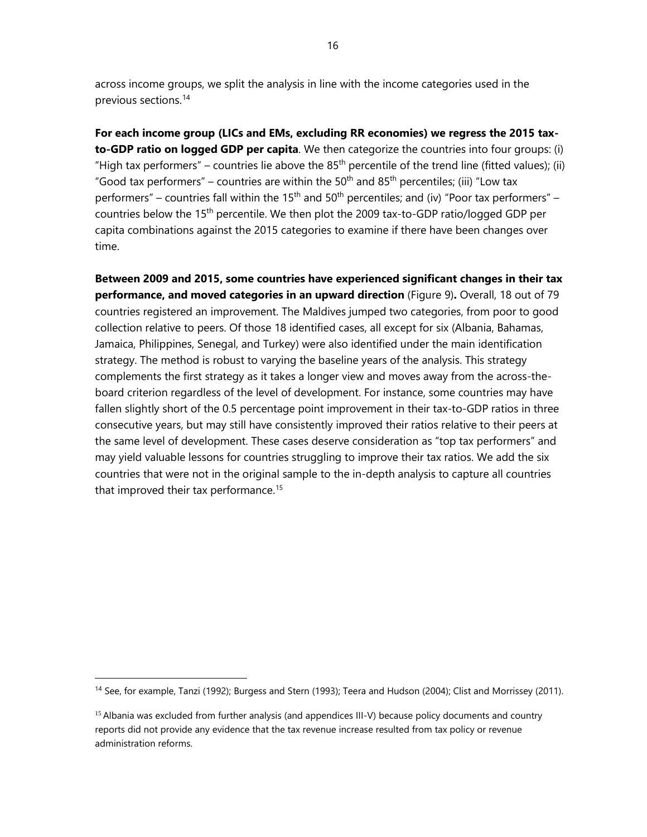across income groups, we split the analysis in line with the income categories used in the previous sections. [14](#page-15-0)

**For each income group (LICs and EMs, excluding RR economies) we regress the 2015 taxto-GDP ratio on logged GDP per capita**. We then categorize the countries into four groups: (i) "High tax performers" – countries lie above the 85<sup>th</sup> percentile of the trend line (fitted values); (ii) "Good tax performers" – countries are within the 50<sup>th</sup> and 85<sup>th</sup> percentiles; (iii) "Low tax performers" – countries fall within the 15<sup>th</sup> and 50<sup>th</sup> percentiles; and (iv) "Poor tax performers" – countries below the 15th percentile. We then plot the 2009 tax-to-GDP ratio/logged GDP per capita combinations against the 2015 categories to examine if there have been changes over time.

**Between 2009 and 2015, some countries have experienced significant changes in their tax performance, and moved categories in an upward direction** (Figure 9)**.** Overall, 18 out of 79 countries registered an improvement. The Maldives jumped two categories, from poor to good collection relative to peers. Of those 18 identified cases, all except for six (Albania, Bahamas, Jamaica, Philippines, Senegal, and Turkey) were also identified under the main identification strategy. The method is robust to varying the baseline years of the analysis. This strategy complements the first strategy as it takes a longer view and moves away from the across-theboard criterion regardless of the level of development. For instance, some countries may have fallen slightly short of the 0.5 percentage point improvement in their tax-to-GDP ratios in three consecutive years, but may still have consistently improved their ratios relative to their peers at the same level of development. These cases deserve consideration as "top tax performers" and may yield valuable lessons for countries struggling to improve their tax ratios. We add the six countries that were not in the original sample to the in-depth analysis to capture all countries that improved their tax performance.<sup>15</sup>

<span id="page-15-0"></span><sup>&</sup>lt;sup>14</sup> See, for example, Tanzi (1992); Burgess and Stern (1993); Teera and Hudson (2004); Clist and Morrissey (2011).

<span id="page-15-1"></span><sup>&</sup>lt;sup>15</sup> Albania was excluded from further analysis (and appendices III-V) because policy documents and country reports did not provide any evidence that the tax revenue increase resulted from tax policy or revenue administration reforms.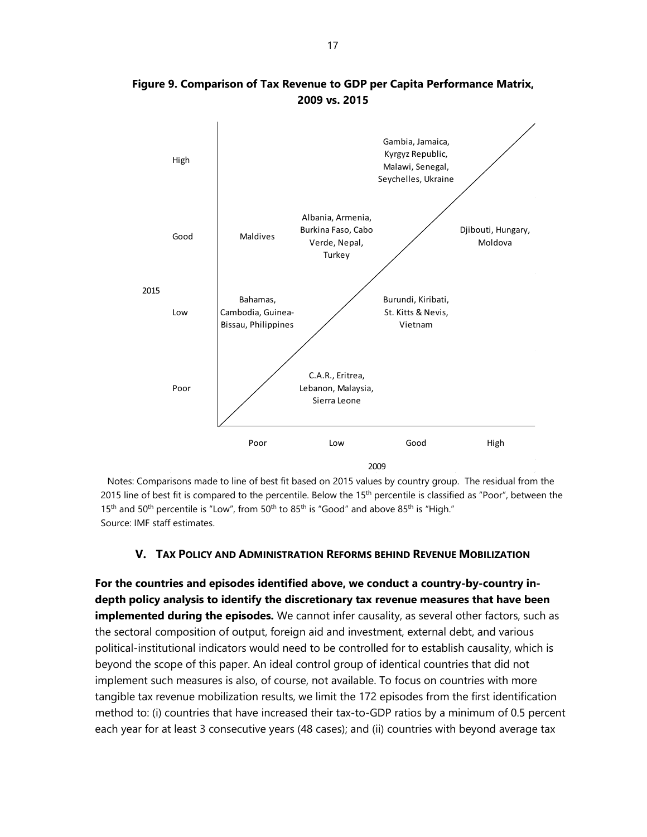

**Figure 9. Comparison of Tax Revenue to GDP per Capita Performance Matrix, 2009 vs. 2015**

Notes: Comparisons made to line of best fit based on 2015 values by country group. The residual from the 2015 line of best fit is compared to the percentile. Below the  $15<sup>th</sup>$  percentile is classified as "Poor", between the 15<sup>th</sup> and 50<sup>th</sup> percentile is "Low", from 50<sup>th</sup> to 85<sup>th</sup> is "Good" and above 85<sup>th</sup> is "High." Source: IMF staff estimates.

#### **V. TAX POLICY AND ADMINISTRATION REFORMS BEHIND REVENUE MOBILIZATION**

**For the countries and episodes identified above, we conduct a country-by-country indepth policy analysis to identify the discretionary tax revenue measures that have been implemented during the episodes.** We cannot infer causality, as several other factors, such as the sectoral composition of output, foreign aid and investment, external debt, and various political-institutional indicators would need to be controlled for to establish causality, which is beyond the scope of this paper. An ideal control group of identical countries that did not implement such measures is also, of course, not available. To focus on countries with more tangible tax revenue mobilization results, we limit the 172 episodes from the first identification method to: (i) countries that have increased their tax-to-GDP ratios by a minimum of 0.5 percent each year for at least 3 consecutive years (48 cases); and (ii) countries with beyond average tax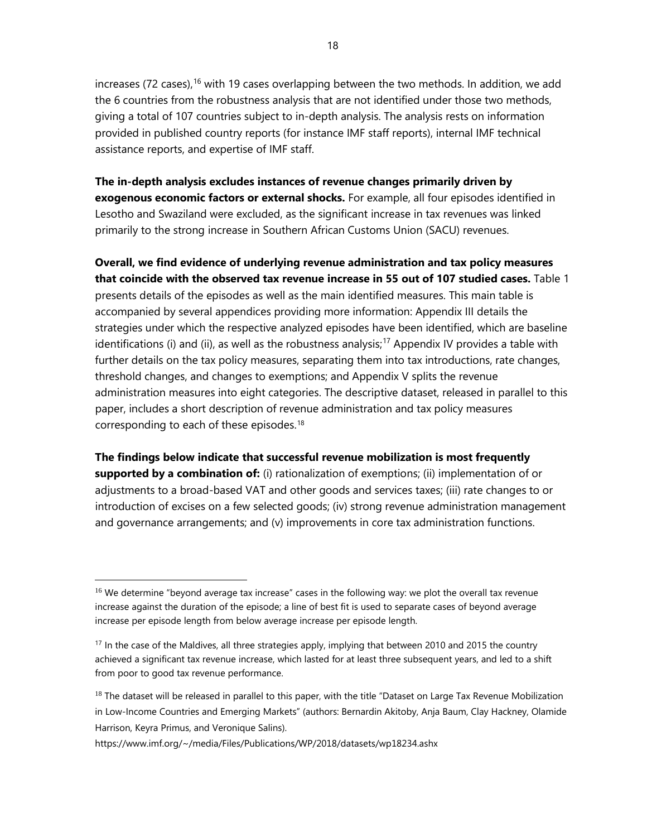increases (72 cases),  $16$  with 19 cases overlapping between the two methods. In addition, we add the 6 countries from the robustness analysis that are not identified under those two methods, giving a total of 107 countries subject to in-depth analysis. The analysis rests on information provided in published country reports (for instance IMF staff reports), internal IMF technical assistance reports, and expertise of IMF staff.

**The in-depth analysis excludes instances of revenue changes primarily driven by exogenous economic factors or external shocks.** For example, all four episodes identified in Lesotho and Swaziland were excluded, as the significant increase in tax revenues was linked primarily to the strong increase in Southern African Customs Union (SACU) revenues.

**Overall, we find evidence of underlying revenue administration and tax policy measures that coincide with the observed tax revenue increase in 55 out of 107 studied cases.** Table 1 presents details of the episodes as well as the main identified measures. This main table is accompanied by several appendices providing more information: Appendix III details the strategies under which the respective analyzed episodes have been identified, which are baseline identifications (i) and (ii), as well as the robustness analysis;<sup>[17](#page-17-1)</sup> Appendix IV provides a table with further details on the tax policy measures, separating them into tax introductions, rate changes, threshold changes, and changes to exemptions; and Appendix V splits the revenue administration measures into eight categories. The descriptive dataset, released in parallel to this paper, includes a short description of revenue administration and tax policy measures corresponding to each of these episodes.<sup>[18](#page-17-2)</sup>

**The findings below indicate that successful revenue mobilization is most frequently supported by a combination of:** (i) rationalization of exemptions; (ii) implementation of or adjustments to a broad-based VAT and other goods and services taxes; (iii) rate changes to or introduction of excises on a few selected goods; (iv) strong revenue administration management and governance arrangements; and (v) improvements in core tax administration functions.

<span id="page-17-0"></span><sup>&</sup>lt;sup>16</sup> We determine "beyond average tax increase" cases in the following way: we plot the overall tax revenue increase against the duration of the episode; a line of best fit is used to separate cases of beyond average increase per episode length from below average increase per episode length.

<span id="page-17-1"></span><sup>&</sup>lt;sup>17</sup> In the case of the Maldives, all three strategies apply, implying that between 2010 and 2015 the country achieved a significant tax revenue increase, which lasted for at least three subsequent years, and led to a shift from poor to good tax revenue performance.

<span id="page-17-2"></span> $18$  The dataset will be released in parallel to this paper, with the title "Dataset on Large Tax Revenue Mobilization in Low-Income Countries and Emerging Markets" (authors: Bernardin Akitoby, Anja Baum, Clay Hackney, Olamide Harrison, Keyra Primus, and Veronique Salins).

<https://www.imf.org/~/media/Files/Publications/WP/2018/datasets/wp18234.ashx>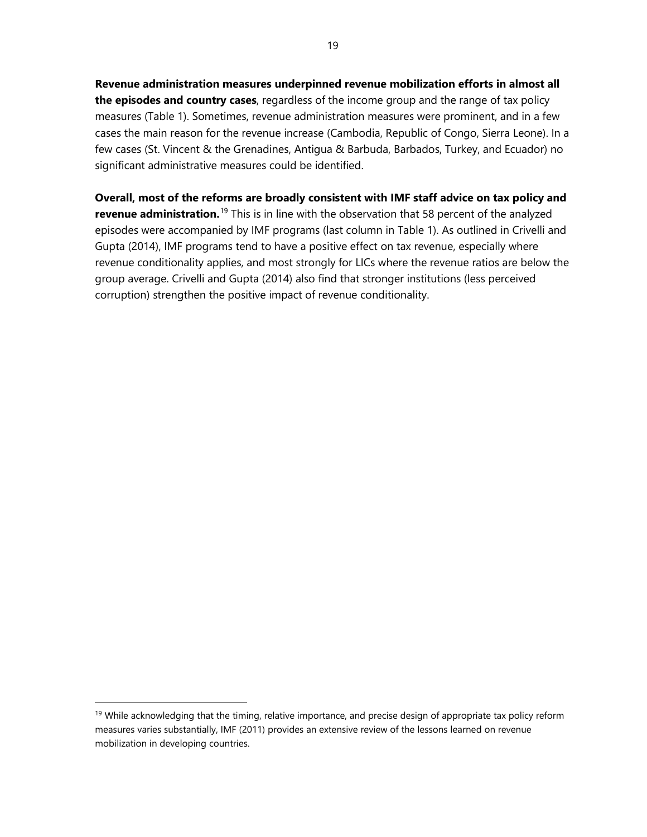**Revenue administration measures underpinned revenue mobilization efforts in almost all the episodes and country cases**, regardless of the income group and the range of tax policy measures (Table 1). Sometimes, revenue administration measures were prominent, and in a few cases the main reason for the revenue increase (Cambodia, Republic of Congo, Sierra Leone). In a few cases (St. Vincent & the Grenadines, Antigua & Barbuda, Barbados, Turkey, and Ecuador) no significant administrative measures could be identified.

**Overall, most of the reforms are broadly consistent with IMF staff advice on tax policy and revenue administration.**[19](#page-18-0) This is in line with the observation that 58 percent of the analyzed episodes were accompanied by IMF programs (last column in Table 1). As outlined in Crivelli and Gupta (2014), IMF programs tend to have a positive effect on tax revenue, especially where revenue conditionality applies, and most strongly for LICs where the revenue ratios are below the group average. Crivelli and Gupta (2014) also find that stronger institutions (less perceived corruption) strengthen the positive impact of revenue conditionality.

 $\overline{a}$ 

<span id="page-18-0"></span><sup>&</sup>lt;sup>19</sup> While acknowledging that the timing, relative importance, and precise design of appropriate tax policy reform measures varies substantially, IMF (2011) provides an extensive review of the lessons learned on revenue mobilization in developing countries.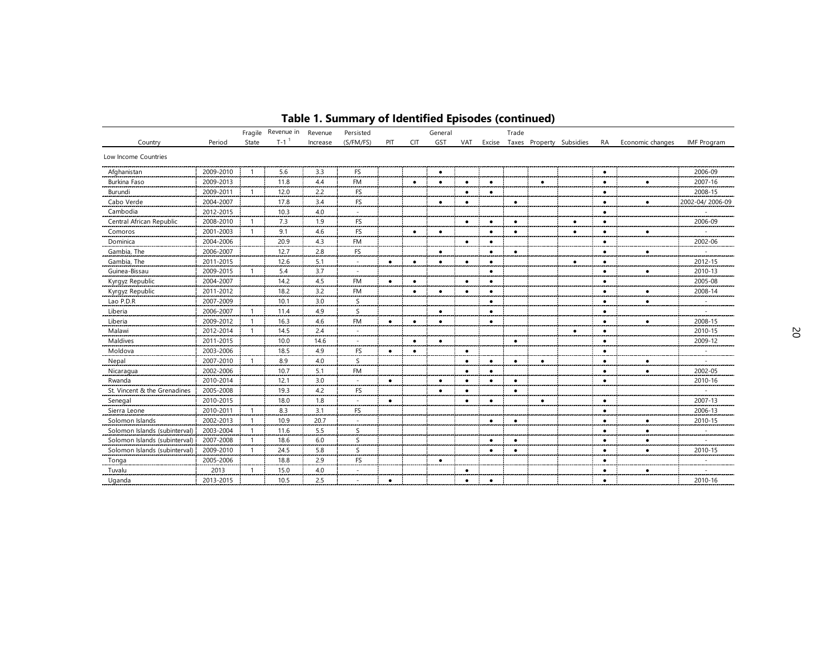|                               |           |                | Fragile Revenue in | Revenue  | Persisted |           |            | General   |           |           | Trade     |           |                                    |           |                  |                    |
|-------------------------------|-----------|----------------|--------------------|----------|-----------|-----------|------------|-----------|-----------|-----------|-----------|-----------|------------------------------------|-----------|------------------|--------------------|
| Country                       | Period    | State          | $T-1$ <sup>1</sup> | Increase | (S/FM/FS) | PIT       | <b>CIT</b> | GST       | VAT       |           |           |           | Excise Taxes Property Subsidies RA |           | Economic changes | <b>IMF Program</b> |
| Low Income Countries          |           |                |                    |          |           |           |            |           |           |           |           |           |                                    |           |                  |                    |
| Afghanistan                   | 2009-2010 | $\overline{1}$ | 5.6                | 3.3      | FS        |           |            | ٠         |           |           |           |           |                                    | $\bullet$ |                  | 2006-09            |
| Burkina Faso                  | 2009-2013 |                | 11.8               | 4.4      | <b>FM</b> |           | $\bullet$  | $\bullet$ | $\bullet$ | $\bullet$ |           | $\bullet$ |                                    | $\bullet$ | $\bullet$        | 2007-16            |
| Burundi                       | 2009-2011 |                | 12.0               | 2.2      | FS        |           |            |           | $\bullet$ | $\bullet$ |           |           |                                    | ٠         |                  | 2008-15            |
| Cabo Verde                    | 2004-2007 |                | 17.8               | 3.4      | <b>FS</b> |           |            | $\bullet$ | $\bullet$ |           | $\bullet$ |           |                                    | $\bullet$ | $\bullet$        | 2002-04/2006-09    |
| Cambodia                      | 2012-2015 |                | 10.3               | 4.0      | $\sim$    |           |            |           |           |           |           |           |                                    | ٠         |                  |                    |
| Central African Republic      | 2008-2010 |                | 7.3                | 1.9      | FS        |           |            |           | ٠         | ٠         | $\bullet$ |           | ٠                                  | ٠         |                  | 2006-09            |
| Comoros                       | 2001-2003 | -1             | 9.1                | 4.6      | FS        |           | $\bullet$  | $\bullet$ |           | ٠         | $\bullet$ |           | $\bullet$                          | ٠         | ٠                |                    |
| Dominica                      | 2004-2006 |                | 20.9               | 4.3      | <b>FM</b> |           |            |           | $\bullet$ | $\bullet$ |           |           |                                    | ٠         |                  | 2002-06            |
| Gambia, The                   | 2006-2007 |                | 12.7               | 2.8      | FS        |           |            | $\bullet$ |           | $\bullet$ | $\bullet$ |           |                                    | ٠         | $\bullet$        |                    |
| Gambia, The                   | 2011-2015 |                | 12.6               | 5.1      | $\sim$    | $\bullet$ | $\bullet$  | $\bullet$ | ٠         | $\bullet$ |           |           | $\bullet$                          | ٠         |                  | 2012-15            |
| Guinea-Bissau                 | 2009-2015 |                | 5.4                | 3.7      | $\sim$    |           |            |           |           | $\bullet$ |           |           |                                    | ٠         | $\bullet$        | 2010-13            |
| Kyrgyz Republic               | 2004-2007 |                | 14.2               | 4.5      | <b>FM</b> | $\bullet$ | ٠          |           | $\bullet$ | $\bullet$ |           |           |                                    | ٠         |                  | 2005-08            |
| Kyrgyz Republic               | 2011-2012 |                | 18.2               | 3.2      | <b>FM</b> |           | $\bullet$  | $\bullet$ | $\bullet$ | $\bullet$ |           |           |                                    | $\bullet$ | $\bullet$        | 2008-14            |
| Lao P.D.R                     | 2007-2009 |                | 10.1               | 3.0      | S         |           |            |           |           | $\bullet$ |           |           |                                    | $\bullet$ | $\bullet$        |                    |
| Liberia                       | 2006-2007 | $\overline{1}$ | 11.4               | 4.9      | S         |           |            | $\bullet$ |           | $\bullet$ |           |           |                                    | $\bullet$ |                  |                    |
| Liberia                       | 2009-2012 | -1             | 16.3               | 4.6      | <b>FM</b> | $\bullet$ | $\bullet$  | $\bullet$ |           | $\bullet$ |           |           |                                    | ٠         | $\bullet$        | 2008-15            |
| Malawi                        | 2012-2014 |                | 14.5               | 2.4      | $\sim$    |           |            |           |           |           |           |           | $\bullet$                          | ٠         |                  | 2010-15            |
| Maldives                      | 2011-2015 |                | 10.0               | 14.6     |           |           | $\bullet$  | $\bullet$ |           |           | $\bullet$ |           |                                    | ٠         |                  | 2009-12            |
| Moldova                       | 2003-2006 |                | 18.5               | 4.9      | <b>FS</b> | ٠         | $\bullet$  |           | ٠         |           |           |           |                                    | ٠         |                  |                    |
| Nepal                         | 2007-2010 |                | 8.9                | 4.0      | S         |           |            |           | $\bullet$ | $\bullet$ | $\bullet$ | ٠         |                                    | ٠         | ٠                |                    |
| Nicaragua                     | 2002-2006 |                | 10.7               | 5.1      | <b>FM</b> |           |            |           | ٠         | $\bullet$ |           |           |                                    | ٠         |                  | 2002-05            |
| Rwanda                        | 2010-2014 |                | 12.1               | 3.0      |           | $\bullet$ |            | $\bullet$ | ٠         | $\bullet$ | $\bullet$ |           |                                    | $\bullet$ |                  | 2010-16            |
| St. Vincent & the Grenadines  | 2005-2008 |                | 19.3               | 4.2      | FS        |           |            | $\bullet$ | $\bullet$ |           | $\bullet$ |           |                                    |           |                  |                    |
| Senegal                       | 2010-2015 |                | 18.0               | 1.8      | $\sim$    | $\bullet$ |            |           | $\bullet$ | $\bullet$ |           | $\bullet$ |                                    | $\bullet$ |                  | 2007-13            |
| Sierra Leone                  | 2010-2011 | -1             | 8.3                | 3.1      | FS        |           |            |           |           |           |           |           |                                    | ٠         |                  | 2006-13            |
| Solomon Islands               | 2002-2013 | -1             | 10.9               | 20.7     | $\sim$    |           |            |           |           | $\bullet$ | $\bullet$ |           |                                    | $\bullet$ | $\bullet$        | 2010-15            |
| Solomon Islands (subinterval) | 2003-2004 |                | 11.6               | 5.5      | S         |           |            |           |           |           |           |           |                                    | $\bullet$ | ٠                | $\sim$             |
| Solomon Islands (subinterval) | 2007-2008 | $\overline{1}$ | 18.6               | 6.0      | S         |           |            |           |           | $\bullet$ | $\bullet$ |           |                                    | ٠         | $\bullet$        | $\sim$             |
| Solomon Islands (subinterval) | 2009-2010 |                | 24.5               | 5.8      | S         |           |            |           |           | ٠         | $\bullet$ |           |                                    | ٠         | $\bullet$        | 2010-15            |
| Tonga                         | 2005-2006 |                | 18.8               | 2.9      | <b>FS</b> |           |            | $\bullet$ |           |           |           |           |                                    | ٠         |                  |                    |
| Tuvalu                        | 2013      |                | 15.0               | 4.0      |           |           |            |           | $\bullet$ |           |           |           |                                    | ٠         | $\bullet$        |                    |
| Uganda                        | 2013-2015 |                | 10.5               | 2.5      |           | $\bullet$ |            |           | ٠         | $\bullet$ |           |           |                                    | ٠         |                  | 2010-16            |

# **Table 1. Summary of Identified Episodes (continued)**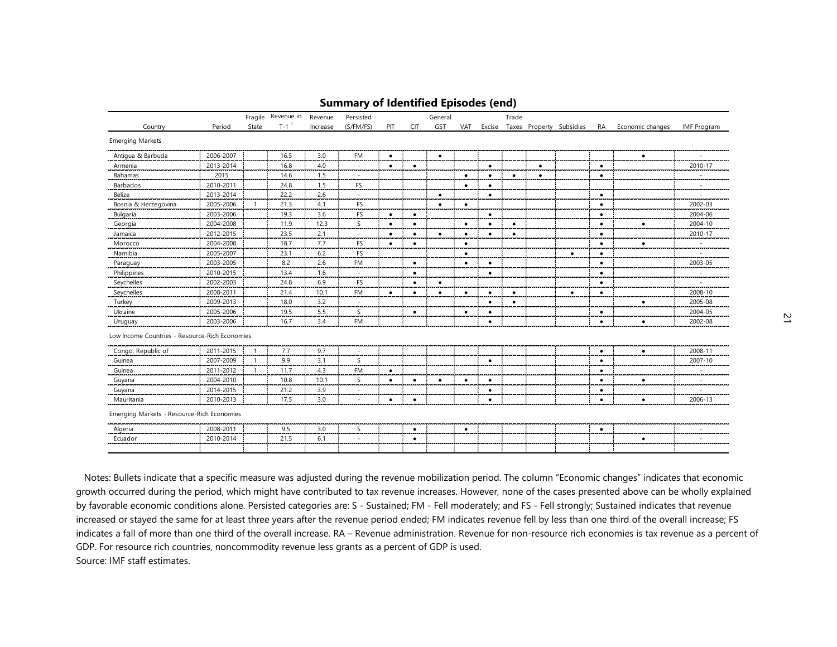|                                                |           |                | Fragile Revenue in | Revenue  | Persisted            |           |            | General   |           |           | Trade     |           |                                 |           |                  |                    |
|------------------------------------------------|-----------|----------------|--------------------|----------|----------------------|-----------|------------|-----------|-----------|-----------|-----------|-----------|---------------------------------|-----------|------------------|--------------------|
| Country                                        | Period    | State          | $T-1$ <sup>1</sup> | Increase | (S/FM/FS)            | PIT       | <b>CIT</b> | GST       | VAT       |           |           |           | Excise Taxes Property Subsidies | RA        | Economic changes | <b>IMF Program</b> |
| <b>Emerging Markets</b>                        |           |                |                    |          |                      |           |            |           |           |           |           |           |                                 |           |                  |                    |
| Antigua & Barbuda                              | 2006-2007 |                | 16.5               | 3.0      | <b>FM</b>            | $\bullet$ |            | $\bullet$ |           |           |           |           |                                 |           | $\bullet$        |                    |
| Armenia                                        | 2013-2014 |                | 16.8               | 4.0      |                      | $\bullet$ | $\bullet$  |           |           | $\bullet$ |           | $\bullet$ |                                 | $\bullet$ |                  | 2010-17            |
| Bahamas                                        | 2015      |                | 14.6               | 1.5      | $\overline{a}$       |           |            |           | $\bullet$ | ٠         | ٠         | ٠         |                                 | $\bullet$ |                  |                    |
| Barbados                                       | 2010-2011 |                | 24.8               | 1.5      | FS                   |           |            |           | $\bullet$ | $\bullet$ |           |           |                                 |           |                  |                    |
| Belize                                         | 2013-2014 |                | 22.2               | 2.6      |                      |           |            | $\bullet$ |           | $\bullet$ |           |           |                                 | $\bullet$ |                  |                    |
| Bosnia & Herzegovina                           | 2005-2006 | -1             | 21.3               | 4.1      | <b>FS</b>            |           |            | $\bullet$ | $\bullet$ |           |           |           |                                 | $\bullet$ |                  | 2002-03            |
| Bulgaria                                       | 2003-2006 |                | 19.3               | 3.6      | FS                   | $\bullet$ | $\bullet$  |           |           | $\bullet$ |           |           |                                 | $\bullet$ |                  | 2004-06            |
| Georgia                                        | 2004-2008 |                | 11.9               | 12.3     | S                    | $\bullet$ | $\bullet$  |           | $\bullet$ | $\bullet$ | $\bullet$ |           |                                 | $\bullet$ | $\bullet$        | 2004-10            |
| Jamaica                                        | 2012-2015 |                | 23.5               | 2.1      | $\sim$               | $\bullet$ | $\bullet$  | $\bullet$ | $\bullet$ | $\bullet$ | $\bullet$ |           |                                 | $\bullet$ |                  | 2010-17            |
| Morocco                                        | 2004-2008 |                | 18.7               | 7.7      | FS                   | $\bullet$ | $\bullet$  |           | $\bullet$ |           |           |           |                                 | $\bullet$ | $\bullet$        | $\sim$             |
| Namibia                                        | 2005-2007 |                | 23.1               | 6.2      | <b>FS</b>            |           |            |           | $\bullet$ |           |           |           | $\bullet$                       | $\bullet$ |                  |                    |
| Paraguay                                       | 2003-2005 |                | 8.2                | 2.6      | <b>FM</b>            |           | $\bullet$  |           | $\bullet$ | $\bullet$ |           |           |                                 | $\bullet$ |                  | 2003-05            |
| Philippines                                    | 2010-2015 |                | 13.4               | 1.6      | $\sim$               |           | $\bullet$  |           |           | $\bullet$ |           |           |                                 | $\bullet$ |                  |                    |
| Seychelles                                     | 2002-2003 |                | 24.8               | 6.9      | <b>FS</b>            |           | $\bullet$  | $\bullet$ |           |           |           |           |                                 | $\bullet$ |                  |                    |
| Seychelles                                     | 2008-2011 |                | 21.4               | 10.1     | <b>FM</b>            | $\bullet$ | $\bullet$  | $\bullet$ | $\bullet$ | $\bullet$ | $\bullet$ |           | $\bullet$                       | $\bullet$ |                  | 2008-10            |
| Turkey                                         | 2009-2013 |                | 18.0               | 3.2      |                      |           |            |           |           | $\bullet$ | $\bullet$ |           |                                 |           | $\bullet$        | 2005-08            |
| Ukraine                                        | 2005-2006 |                | 19.5               | 5.5      | S                    |           | $\bullet$  |           | $\bullet$ | $\bullet$ |           |           |                                 | $\bullet$ |                  | 2004-05            |
| Uruguay                                        | 2003-2006 |                | 16.7               | 3.4      | <b>FM</b>            |           |            |           |           | $\bullet$ |           |           |                                 | $\bullet$ | $\bullet$        | 2002-08            |
| Low Income Countries - Resource-Rich Economies |           |                |                    |          |                      |           |            |           |           |           |           |           |                                 |           |                  |                    |
| Congo, Republic of                             | 2011-2015 | $\overline{1}$ | 7.7                | 9.7      |                      |           |            |           |           |           |           |           |                                 | $\bullet$ | $\bullet$        | 2008-11            |
| Guinea                                         | 2007-2009 | $\overline{1}$ | 9.9                | 3.1      | S                    |           |            |           |           | $\bullet$ |           |           |                                 | $\bullet$ |                  | 2007-10            |
| Guinea                                         | 2011-2012 | $\overline{1}$ | 11.7               | 4.3      | <b>FM</b>            | $\bullet$ |            |           |           |           |           |           |                                 | $\bullet$ |                  |                    |
| Guyana                                         | 2004-2010 |                | 10.8               | 10.1     | S                    | $\bullet$ | $\bullet$  | $\bullet$ | $\bullet$ | $\bullet$ |           |           |                                 | $\bullet$ | $\bullet$        |                    |
| Guyana                                         | 2014-2015 |                | 21.2               | 3.9      | $\ddot{\phantom{1}}$ |           |            |           |           | $\bullet$ |           |           |                                 | $\bullet$ |                  |                    |
| Mauritania                                     | 2010-2013 |                | 17.5               | 3.0      |                      | $\bullet$ | $\bullet$  |           |           | $\bullet$ |           |           |                                 | $\bullet$ | $\bullet$        | 2006-13            |
| Emerging Markets - Resource-Rich Economies     |           |                |                    |          |                      |           |            |           |           |           |           |           |                                 |           |                  |                    |
|                                                | 2008-2011 |                | 9.5                | 3.0      | S                    |           | $\bullet$  |           | $\bullet$ |           |           |           |                                 | ٠         |                  |                    |
| Algeria                                        |           |                | 21.5               | 6.1      |                      |           |            |           |           |           |           |           |                                 |           |                  |                    |

#### **Summary of Identified Episodes (end)**

 Notes: Bullets indicate that a specific measure was adjusted during the revenue mobilization period. The column "Economic changes" indicates that economic growth occurred during the period, which might have contributed to tax revenue increases. However, none of the cases presented above can be wholly explained by favorable economic conditions alone. Persisted categories are: S - Sustained; FM - Fell moderately; and FS - Fell strongly; Sustained indicates that revenue increased or stayed the same for at least three years after the revenue period ended; FM indicates revenue fell by less than one third of the overall increase; FS indicates a fall of more than one third of the overall increase. RA – Revenue administration. Revenue for non-resource rich economies is tax revenue as a percent of GDP. For resource rich countries, noncommodity revenue less grants as a percent of GDP is used. Source: IMF staff estimates.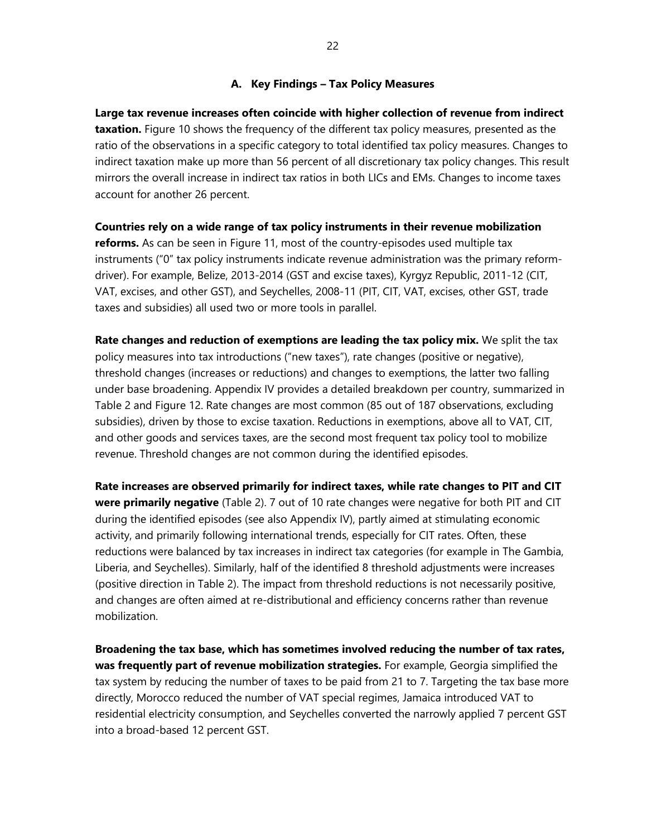#### **A. Key Findings – Tax Policy Measures**

**Large tax revenue increases often coincide with higher collection of revenue from indirect taxation.** Figure 10 shows the frequency of the different tax policy measures, presented as the ratio of the observations in a specific category to total identified tax policy measures. Changes to indirect taxation make up more than 56 percent of all discretionary tax policy changes. This result mirrors the overall increase in indirect tax ratios in both LICs and EMs. Changes to income taxes account for another 26 percent.

**Countries rely on a wide range of tax policy instruments in their revenue mobilization reforms.** As can be seen in Figure 11, most of the country-episodes used multiple tax instruments ("0" tax policy instruments indicate revenue administration was the primary reformdriver). For example, Belize, 2013-2014 (GST and excise taxes), Kyrgyz Republic, 2011-12 (CIT, VAT, excises, and other GST), and Seychelles, 2008-11 (PIT, CIT, VAT, excises, other GST, trade taxes and subsidies) all used two or more tools in parallel.

**Rate changes and reduction of exemptions are leading the tax policy mix.** We split the tax policy measures into tax introductions ("new taxes"), rate changes (positive or negative), threshold changes (increases or reductions) and changes to exemptions, the latter two falling under base broadening. Appendix IV provides a detailed breakdown per country, summarized in Table 2 and Figure 12. Rate changes are most common (85 out of 187 observations, excluding subsidies), driven by those to excise taxation. Reductions in exemptions, above all to VAT, CIT, and other goods and services taxes, are the second most frequent tax policy tool to mobilize revenue. Threshold changes are not common during the identified episodes.

**Rate increases are observed primarily for indirect taxes, while rate changes to PIT and CIT were primarily negative** (Table 2). 7 out of 10 rate changes were negative for both PIT and CIT during the identified episodes (see also Appendix IV), partly aimed at stimulating economic activity, and primarily following international trends, especially for CIT rates. Often, these reductions were balanced by tax increases in indirect tax categories (for example in The Gambia, Liberia, and Seychelles). Similarly, half of the identified 8 threshold adjustments were increases (positive direction in Table 2). The impact from threshold reductions is not necessarily positive, and changes are often aimed at re-distributional and efficiency concerns rather than revenue mobilization.

**Broadening the tax base, which has sometimes involved reducing the number of tax rates, was frequently part of revenue mobilization strategies.** For example, Georgia simplified the tax system by reducing the number of taxes to be paid from 21 to 7. Targeting the tax base more directly, Morocco reduced the number of VAT special regimes, Jamaica introduced VAT to residential electricity consumption, and Seychelles converted the narrowly applied 7 percent GST into a broad-based 12 percent GST.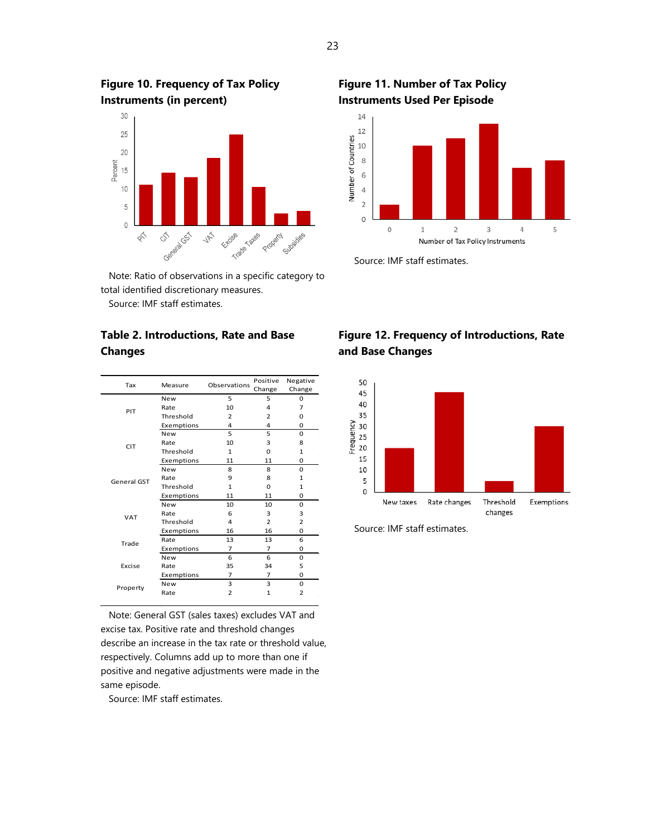**Instruments (in percent)** 30  $25$ 20 Percent  $15$  $10$  $\overline{5}$  $\Omega$ Cstratable Trade Tates Extrise Property  $\mathbb{Q}_{\check{C}}$ **JR**  $\phi^{\leftarrow}$ Cylosidies

**Figure 10. Frequency of Tax Policy** 

 Note: Ratio of observations in a specific category to total identified discretionary measures. Source: IMF staff estimates.

## **Table 2. Introductions, Rate and Base Changes**

| Tax         | Measure    | Observations   | Positive<br>Change | Negative<br>Change |
|-------------|------------|----------------|--------------------|--------------------|
|             | <b>New</b> | 5              | 5                  | 0                  |
|             | Rate       | 10             | 4                  | 7                  |
| PIT         | Threshold  | $\overline{2}$ | $\overline{2}$     | 0                  |
|             | Exemptions | 4              | 4                  | 0                  |
|             | <b>New</b> | 5              | 5                  | $\Omega$           |
| <b>CIT</b>  | Rate       | 10             | 3                  | 8                  |
|             | Threshold  | $\mathbf{1}$   | 0                  | $\mathbf{1}$       |
|             | Exemptions | 11             | 11                 | 0                  |
|             | New        | 8              | 8                  | 0                  |
| General GST | Rate       | 9              | 8                  | $\mathbf{1}$       |
|             | Threshold  | $\mathbf{1}$   | $\Omega$           | $\mathbf{1}$       |
|             | Exemptions | 11             | 11                 | 0                  |
|             | <b>New</b> | 10             | 10                 | 0                  |
| VAT         | Rate       | 6              | 3                  | 3                  |
|             | Threshold  | 4              | $\overline{2}$     | $\overline{2}$     |
|             | Exemptions | 16             | 16                 | 0                  |
| Trade       | Rate       | 13             | 13                 | 6                  |
|             | Exemptions | $\overline{7}$ | $\overline{7}$     | 0                  |
|             | <b>New</b> | 6              | 6                  | 0                  |
| Excise      | Rate       | 35             | 34                 | 5                  |
|             | Exemptions | 7              | $\overline{7}$     | 0                  |
| Property    | <b>New</b> | 3              | 3                  | 0                  |
|             | Rate       | $\overline{2}$ | $\mathbf{1}$       | $\overline{2}$     |
|             |            |                |                    |                    |

 Note: General GST (sales taxes) excludes VAT and excise tax. Positive rate and threshold changes describe an increase in the tax rate or threshold value, respectively. Columns add up to more than one if positive and negative adjustments were made in the same episode.

Source: IMF staff estimates.

# **Figure 11. Number of Tax Policy Instruments Used Per Episode**



Source: IMF staff estimates.

# **Figure 12. Frequency of Introductions, Rate and Base Changes**



Source: IMF staff estimates.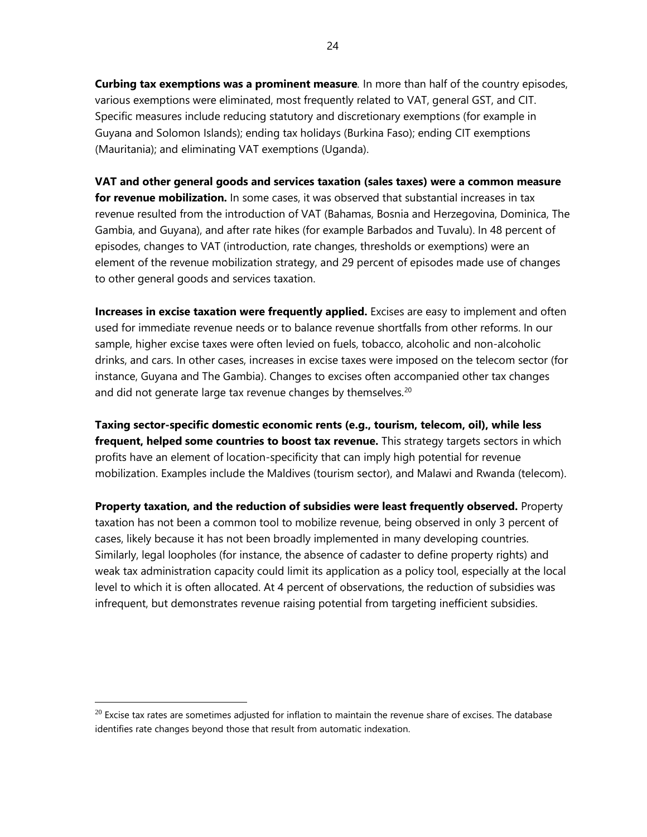**Curbing tax exemptions was a prominent measure***.* In more than half of the country episodes, various exemptions were eliminated, most frequently related to VAT, general GST, and CIT. Specific measures include reducing statutory and discretionary exemptions (for example in Guyana and Solomon Islands); ending tax holidays (Burkina Faso); ending CIT exemptions (Mauritania); and eliminating VAT exemptions (Uganda).

**VAT and other general goods and services taxation (sales taxes) were a common measure for revenue mobilization.** In some cases, it was observed that substantial increases in tax revenue resulted from the introduction of VAT (Bahamas, Bosnia and Herzegovina, Dominica, The Gambia, and Guyana), and after rate hikes (for example Barbados and Tuvalu). In 48 percent of episodes, changes to VAT (introduction, rate changes, thresholds or exemptions) were an element of the revenue mobilization strategy, and 29 percent of episodes made use of changes to other general goods and services taxation.

**Increases in excise taxation were frequently applied.** Excises are easy to implement and often used for immediate revenue needs or to balance revenue shortfalls from other reforms. In our sample, higher excise taxes were often levied on fuels, tobacco, alcoholic and non-alcoholic drinks, and cars. In other cases, increases in excise taxes were imposed on the telecom sector (for instance, Guyana and The Gambia). Changes to excises often accompanied other tax changes and did not generate large tax revenue changes by themselves.<sup>[20](#page-23-0)</sup>

**Taxing sector-specific domestic economic rents (e.g., tourism, telecom, oil), while less frequent, helped some countries to boost tax revenue.** This strategy targets sectors in which profits have an element of location-specificity that can imply high potential for revenue mobilization. Examples include the Maldives (tourism sector), and Malawi and Rwanda (telecom).

**Property taxation, and the reduction of subsidies were least frequently observed.** Property taxation has not been a common tool to mobilize revenue, being observed in only 3 percent of cases, likely because it has not been broadly implemented in many developing countries. Similarly, legal loopholes (for instance, the absence of cadaster to define property rights) and weak tax administration capacity could limit its application as a policy tool, especially at the local level to which it is often allocated. At 4 percent of observations, the reduction of subsidies was infrequent, but demonstrates revenue raising potential from targeting inefficient subsidies.

<span id="page-23-0"></span> $20$  Excise tax rates are sometimes adjusted for inflation to maintain the revenue share of excises. The database identifies rate changes beyond those that result from automatic indexation.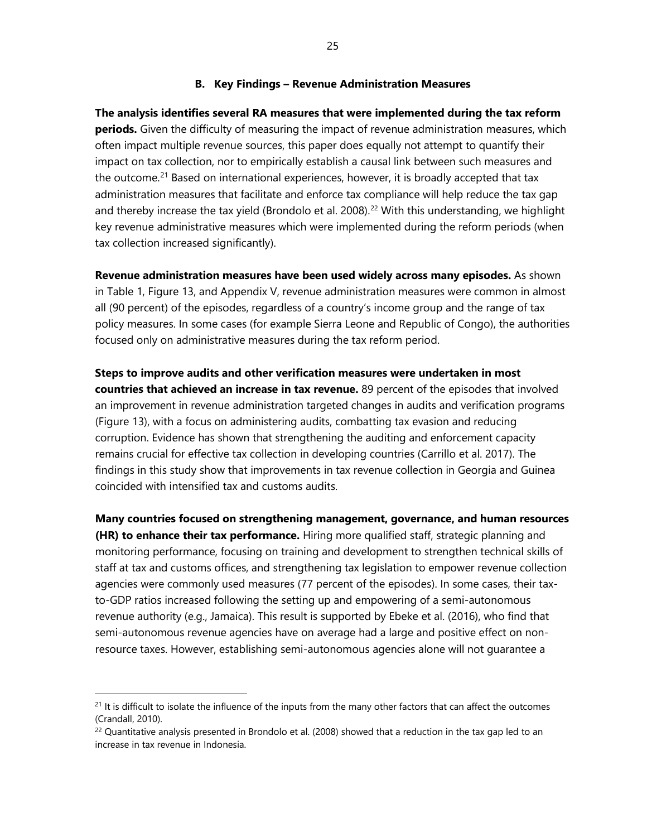#### **B. Key Findings – Revenue Administration Measures**

**The analysis identifies several RA measures that were implemented during the tax reform periods.** Given the difficulty of measuring the impact of revenue administration measures, which often impact multiple revenue sources, this paper does equally not attempt to quantify their impact on tax collection, nor to empirically establish a causal link between such measures and the outcome.<sup>[21](#page-24-0)</sup> Based on international experiences, however, it is broadly accepted that tax administration measures that facilitate and enforce tax compliance will help reduce the tax gap and thereby increase the tax yield (Brondolo et al. 2008).<sup>[22](#page-24-1)</sup> With this understanding, we highlight key revenue administrative measures which were implemented during the reform periods (when tax collection increased significantly).

**Revenue administration measures have been used widely across many episodes.** As shown in Table 1, Figure 13, and Appendix V, revenue administration measures were common in almost all (90 percent) of the episodes, regardless of a country's income group and the range of tax policy measures. In some cases (for example Sierra Leone and Republic of Congo), the authorities focused only on administrative measures during the tax reform period.

**Steps to improve audits and other verification measures were undertaken in most countries that achieved an increase in tax revenue.** 89 percent of the episodes that involved an improvement in revenue administration targeted changes in audits and verification programs (Figure 13), with a focus on administering audits, combatting tax evasion and reducing corruption. Evidence has shown that strengthening the auditing and enforcement capacity remains crucial for effective tax collection in developing countries (Carrillo et al. 2017). The findings in this study show that improvements in tax revenue collection in Georgia and Guinea coincided with intensified tax and customs audits.

**Many countries focused on strengthening management, governance, and human resources (HR) to enhance their tax performance.** Hiring more qualified staff, strategic planning and monitoring performance, focusing on training and development to strengthen technical skills of staff at tax and customs offices, and strengthening tax legislation to empower revenue collection agencies were commonly used measures (77 percent of the episodes). In some cases, their taxto-GDP ratios increased following the setting up and empowering of a semi-autonomous revenue authority (e.g., Jamaica). This result is supported by Ebeke et al. (2016), who find that semi-autonomous revenue agencies have on average had a large and positive effect on nonresource taxes. However, establishing semi-autonomous agencies alone will not guarantee a

 $\overline{a}$ 

<span id="page-24-0"></span><sup>&</sup>lt;sup>21</sup> It is difficult to isolate the influence of the inputs from the many other factors that can affect the outcomes (Crandall, 2010).

<span id="page-24-1"></span> $22$  Quantitative analysis presented in Brondolo et al. (2008) showed that a reduction in the tax gap led to an increase in tax revenue in Indonesia.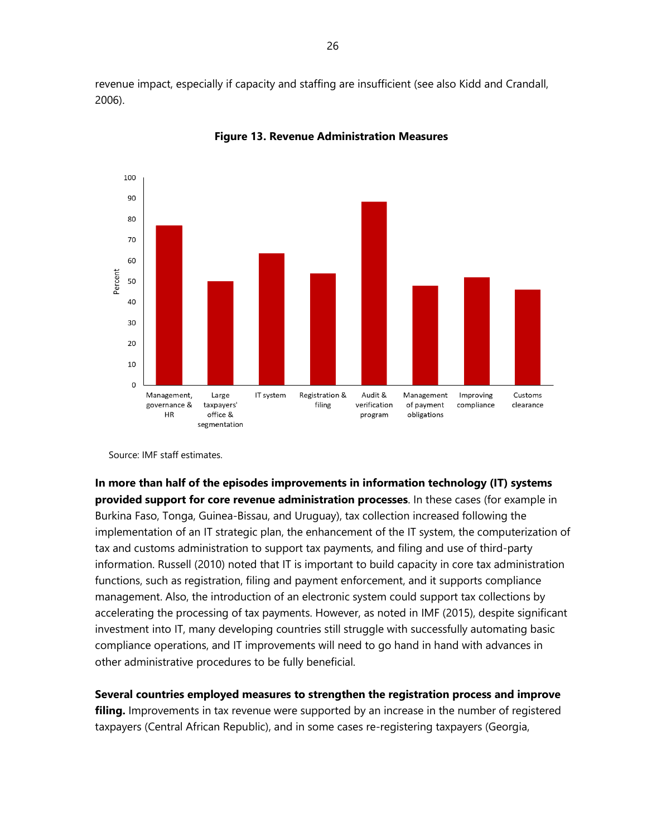revenue impact, especially if capacity and staffing are insufficient (see also Kidd and Crandall, 2006).



**Figure 13. Revenue Administration Measures**

Source: IMF staff estimates.

**In more than half of the episodes improvements in information technology (IT) systems provided support for core revenue administration processes**. In these cases (for example in Burkina Faso, Tonga, Guinea-Bissau, and Uruguay), tax collection increased following the implementation of an IT strategic plan, the enhancement of the IT system, the computerization of tax and customs administration to support tax payments, and filing and use of third-party information. Russell (2010) noted that IT is important to build capacity in core tax administration functions, such as registration, filing and payment enforcement, and it supports compliance management. Also, the introduction of an electronic system could support tax collections by accelerating the processing of tax payments. However, as noted in IMF (2015), despite significant investment into IT, many developing countries still struggle with successfully automating basic compliance operations, and IT improvements will need to go hand in hand with advances in other administrative procedures to be fully beneficial.

**Several countries employed measures to strengthen the registration process and improve filing.** Improvements in tax revenue were supported by an increase in the number of registered taxpayers (Central African Republic), and in some cases re-registering taxpayers (Georgia,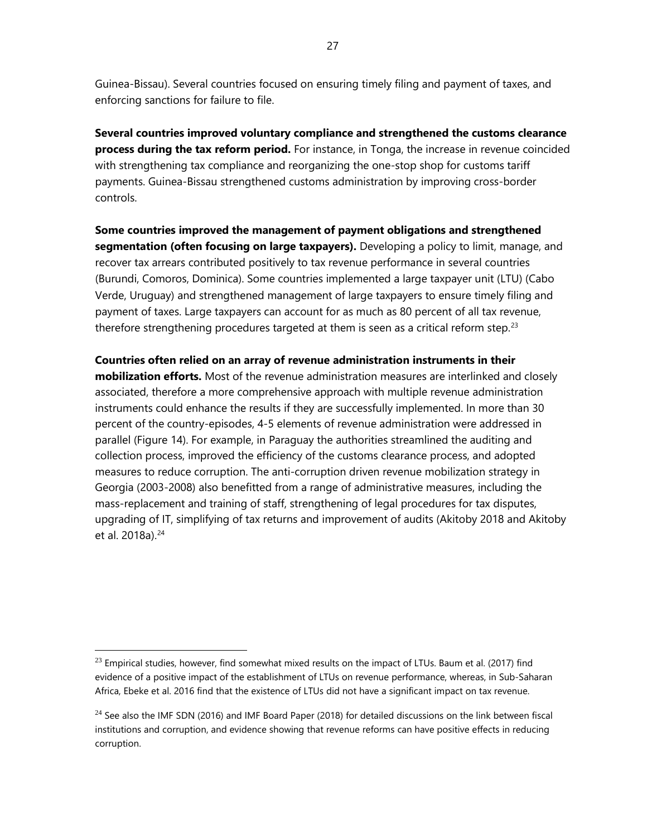Guinea-Bissau). Several countries focused on ensuring timely filing and payment of taxes, and enforcing sanctions for failure to file.

**Several countries improved voluntary compliance and strengthened the customs clearance process during the tax reform period.** For instance, in Tonga, the increase in revenue coincided with strengthening tax compliance and reorganizing the one-stop shop for customs tariff payments. Guinea-Bissau strengthened customs administration by improving cross-border controls.

**Some countries improved the management of payment obligations and strengthened segmentation (often focusing on large taxpayers).** Developing a policy to limit, manage, and recover tax arrears contributed positively to tax revenue performance in several countries (Burundi, Comoros, Dominica). Some countries implemented a large taxpayer unit (LTU) (Cabo Verde, Uruguay) and strengthened management of large taxpayers to ensure timely filing and payment of taxes. Large taxpayers can account for as much as 80 percent of all tax revenue, therefore strengthening procedures targeted at them is seen as a critical reform step.<sup>[23](#page-26-0)</sup>

**Countries often relied on an array of revenue administration instruments in their mobilization efforts.** Most of the revenue administration measures are interlinked and closely associated, therefore a more comprehensive approach with multiple revenue administration instruments could enhance the results if they are successfully implemented. In more than 30 percent of the country-episodes, 4-5 elements of revenue administration were addressed in parallel (Figure 14). For example, in Paraguay the authorities streamlined the auditing and collection process, improved the efficiency of the customs clearance process, and adopted measures to reduce corruption. The anti-corruption driven revenue mobilization strategy in Georgia (2003-2008) also benefitted from a range of administrative measures, including the mass-replacement and training of staff, strengthening of legal procedures for tax disputes, upgrading of IT, simplifying of tax returns and improvement of audits (Akitoby 2018 and Akitoby et al. 2018a).<sup>[24](#page-26-1)</sup>

<span id="page-26-0"></span> $^{23}$  Empirical studies, however, find somewhat mixed results on the impact of LTUs. Baum et al. (2017) find evidence of a positive impact of the establishment of LTUs on revenue performance, whereas, in Sub-Saharan Africa, Ebeke et al. 2016 find that the existence of LTUs did not have a significant impact on tax revenue.

<span id="page-26-1"></span> $^{24}$  See also the IMF SDN (2016) and IMF Board Paper (2018) for detailed discussions on the link between fiscal institutions and corruption, and evidence showing that revenue reforms can have positive effects in reducing corruption.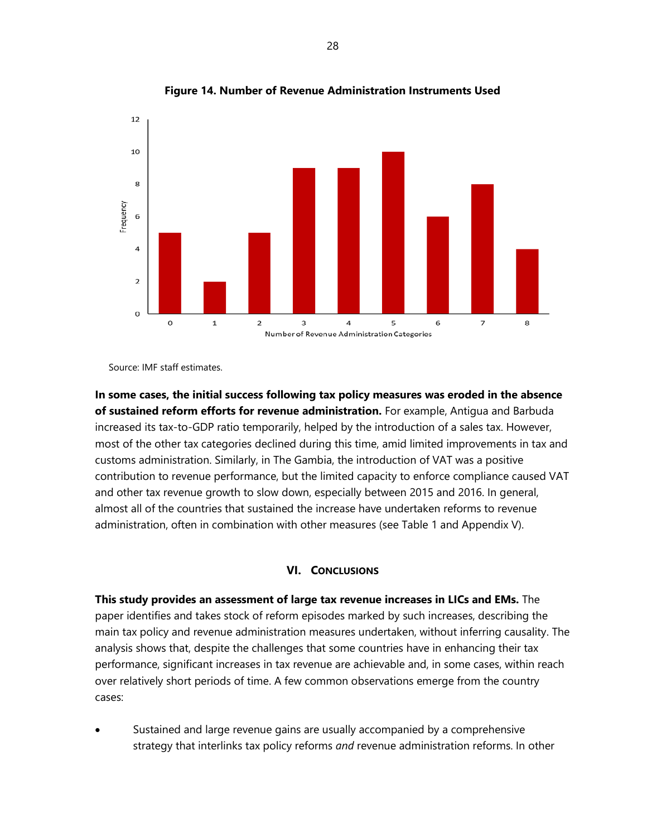

**Figure 14. Number of Revenue Administration Instruments Used**

Source: IMF staff estimates.

**In some cases, the initial success following tax policy measures was eroded in the absence of sustained reform efforts for revenue administration.** For example, Antigua and Barbuda increased its tax-to-GDP ratio temporarily, helped by the introduction of a sales tax. However, most of the other tax categories declined during this time, amid limited improvements in tax and customs administration. Similarly, in The Gambia, the introduction of VAT was a positive contribution to revenue performance, but the limited capacity to enforce compliance caused VAT and other tax revenue growth to slow down, especially between 2015 and 2016. In general, almost all of the countries that sustained the increase have undertaken reforms to revenue administration, often in combination with other measures (see Table 1 and Appendix V).

#### **VI. CONCLUSIONS**

**This study provides an assessment of large tax revenue increases in LICs and EMs.** The paper identifies and takes stock of reform episodes marked by such increases, describing the main tax policy and revenue administration measures undertaken, without inferring causality. The analysis shows that, despite the challenges that some countries have in enhancing their tax performance, significant increases in tax revenue are achievable and, in some cases, within reach over relatively short periods of time. A few common observations emerge from the country cases:

Sustained and large revenue gains are usually accompanied by a comprehensive strategy that interlinks tax policy reforms *and* revenue administration reforms. In other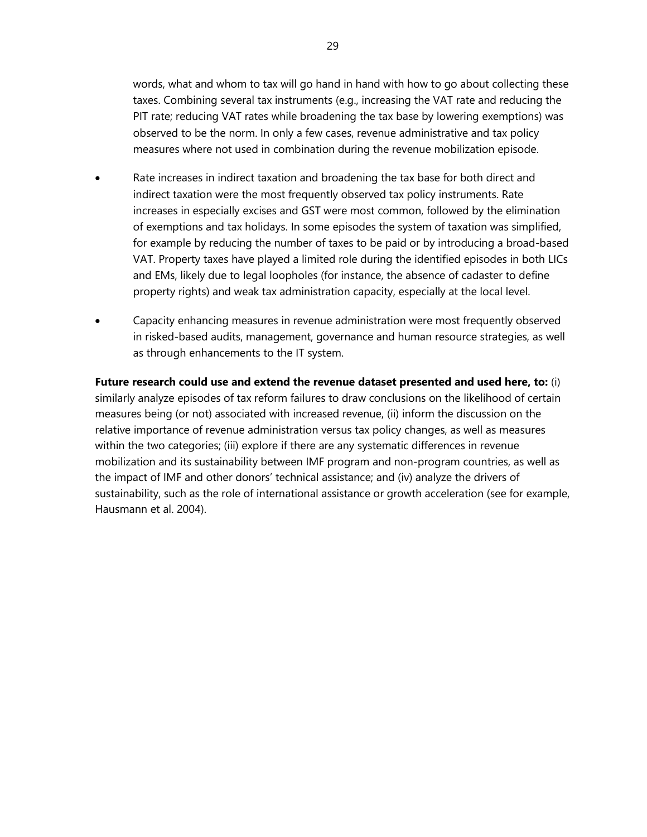words, what and whom to tax will go hand in hand with how to go about collecting these taxes. Combining several tax instruments (e.g., increasing the VAT rate and reducing the PIT rate; reducing VAT rates while broadening the tax base by lowering exemptions) was observed to be the norm. In only a few cases, revenue administrative and tax policy measures where not used in combination during the revenue mobilization episode.

- Rate increases in indirect taxation and broadening the tax base for both direct and indirect taxation were the most frequently observed tax policy instruments. Rate increases in especially excises and GST were most common, followed by the elimination of exemptions and tax holidays. In some episodes the system of taxation was simplified, for example by reducing the number of taxes to be paid or by introducing a broad-based VAT. Property taxes have played a limited role during the identified episodes in both LICs and EMs, likely due to legal loopholes (for instance, the absence of cadaster to define property rights) and weak tax administration capacity, especially at the local level.
- Capacity enhancing measures in revenue administration were most frequently observed in risked-based audits, management, governance and human resource strategies, as well as through enhancements to the IT system.

**Future research could use and extend the revenue dataset presented and used here, to:** (i) similarly analyze episodes of tax reform failures to draw conclusions on the likelihood of certain measures being (or not) associated with increased revenue, (ii) inform the discussion on the relative importance of revenue administration versus tax policy changes, as well as measures within the two categories; (iii) explore if there are any systematic differences in revenue mobilization and its sustainability between IMF program and non-program countries, as well as the impact of IMF and other donors' technical assistance; and (iv) analyze the drivers of sustainability, such as the role of international assistance or growth acceleration (see for example, Hausmann et al. 2004).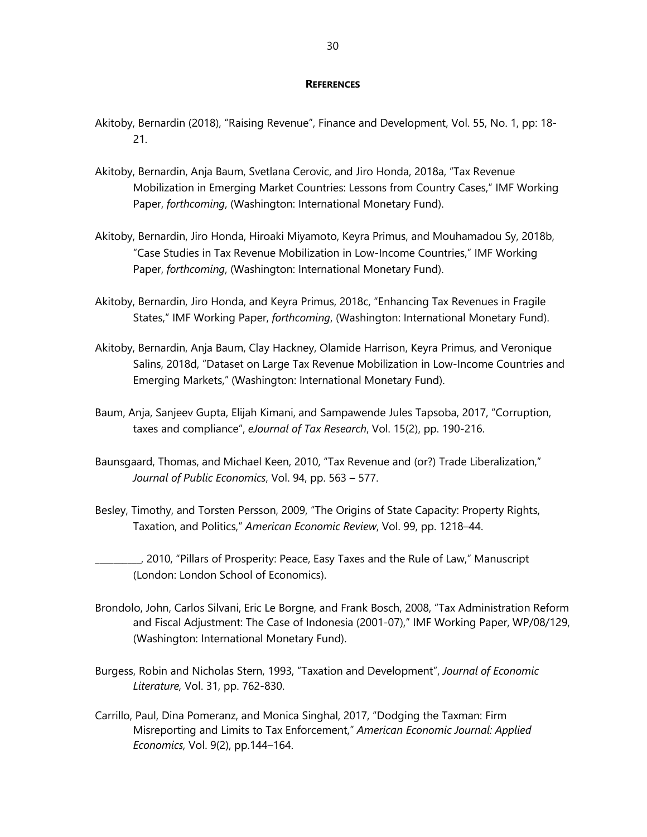#### **REFERENCES**

- Akitoby, Bernardin (2018), "Raising Revenue", Finance and Development, Vol. 55, No. 1, pp: 18- 21.
- Akitoby, Bernardin, Anja Baum, Svetlana Cerovic, and Jiro Honda, 2018a, "Tax Revenue Mobilization in Emerging Market Countries: Lessons from Country Cases," IMF Working Paper, *forthcoming*, (Washington: International Monetary Fund).
- Akitoby, Bernardin, Jiro Honda, Hiroaki Miyamoto, Keyra Primus, and Mouhamadou Sy, 2018b, "Case Studies in Tax Revenue Mobilization in Low-Income Countries," IMF Working Paper, *forthcoming*, (Washington: International Monetary Fund).
- Akitoby, Bernardin, Jiro Honda, and Keyra Primus, 2018c, "Enhancing Tax Revenues in Fragile States," IMF Working Paper, *forthcoming*, (Washington: International Monetary Fund).
- Akitoby, Bernardin, Anja Baum, Clay Hackney, Olamide Harrison, Keyra Primus, and Veronique Salins, 2018d, "Dataset on Large Tax Revenue Mobilization in Low-Income Countries and Emerging Markets," (Washington: International Monetary Fund).
- Baum, Anja, Sanjeev Gupta, Elijah Kimani, and Sampawende Jules Tapsoba, 2017, "Corruption, taxes and compliance", *eJournal of Tax Research*, Vol. 15(2), pp. 190-216.
- Baunsgaard, Thomas, and Michael Keen, 2010, "Tax Revenue and (or?) Trade Liberalization," *Journal of Public Economics*, Vol. 94, pp. 563 – 577.
- Besley, Timothy, and Torsten Persson, 2009, "The Origins of State Capacity: Property Rights, Taxation, and Politics," *American Economic Review*, Vol. 99, pp. 1218–44.
- \_\_\_\_\_\_\_\_\_\_, 2010, "Pillars of Prosperity: Peace, Easy Taxes and the Rule of Law," Manuscript (London: London School of Economics).
- Brondolo, John, Carlos Silvani, Eric Le Borgne, and Frank Bosch, 2008, "Tax Administration Reform and Fiscal Adjustment: The Case of Indonesia (2001-07)," IMF Working Paper, WP/08/129, (Washington: International Monetary Fund).
- Burgess, Robin and Nicholas Stern, 1993, "Taxation and Development", *Journal of Economic Literature,* Vol. 31, pp. 762-830.
- Carrillo, Paul, Dina Pomeranz, and Monica Singhal, 2017, "Dodging the Taxman: Firm Misreporting and Limits to Tax Enforcement," *American Economic Journal: Applied Economics,* Vol. 9(2), pp.144–164.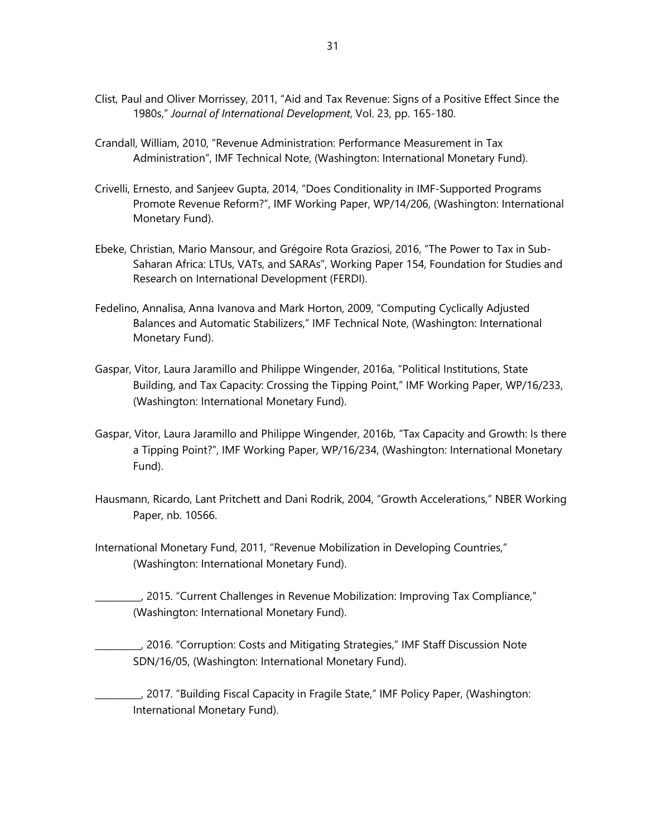- Clist, Paul and Oliver Morrissey, 2011, "Aid and Tax Revenue: Signs of a Positive Effect Since the 1980s," *Journal of International Development*, Vol. 23, pp. 165-180.
- Crandall, William, 2010, "Revenue Administration: Performance Measurement in Tax Administration", IMF Technical Note, (Washington: International Monetary Fund).
- Crivelli, Ernesto, and Sanjeev Gupta, 2014, "Does Conditionality in IMF-Supported Programs Promote Revenue Reform?", IMF Working Paper, WP/14/206, (Washington: International Monetary Fund).
- Ebeke, Christian, Mario Mansour, and Grégoire Rota Graziosi, 2016, "The Power to Tax in Sub-Saharan Africa: LTUs, VATs, and SARAs", Working Paper 154, Foundation for Studies and Research on International Development (FERDI).
- Fedelino, Annalisa, Anna Ivanova and Mark Horton, 2009, "Computing Cyclically Adjusted Balances and Automatic Stabilizers," IMF Technical Note, (Washington: International Monetary Fund).
- Gaspar, Vitor, Laura Jaramillo and Philippe Wingender, 2016a, "Political Institutions, State Building, and Tax Capacity: Crossing the Tipping Point," IMF Working Paper, WP/16/233, (Washington: International Monetary Fund).
- Gaspar, Vitor, Laura Jaramillo and Philippe Wingender, 2016b, "Tax Capacity and Growth: Is there a Tipping Point?", IMF Working Paper, WP/16/234, (Washington: International Monetary Fund).
- Hausmann, Ricardo, Lant Pritchett and Dani Rodrik, 2004, "Growth Accelerations," NBER Working Paper, nb. 10566.
- International Monetary Fund, 2011, "Revenue Mobilization in Developing Countries," (Washington: International Monetary Fund).
	- \_\_\_\_\_\_\_\_\_\_, 2015. "Current Challenges in Revenue Mobilization: Improving Tax Compliance," (Washington: International Monetary Fund).
	- \_\_\_\_\_\_\_\_\_\_, 2016. "Corruption: Costs and Mitigating Strategies," IMF Staff Discussion Note SDN/16/05, (Washington: International Monetary Fund).
- \_\_\_\_\_\_\_\_\_\_, 2017. "Building Fiscal Capacity in Fragile State," IMF Policy Paper, (Washington: International Monetary Fund).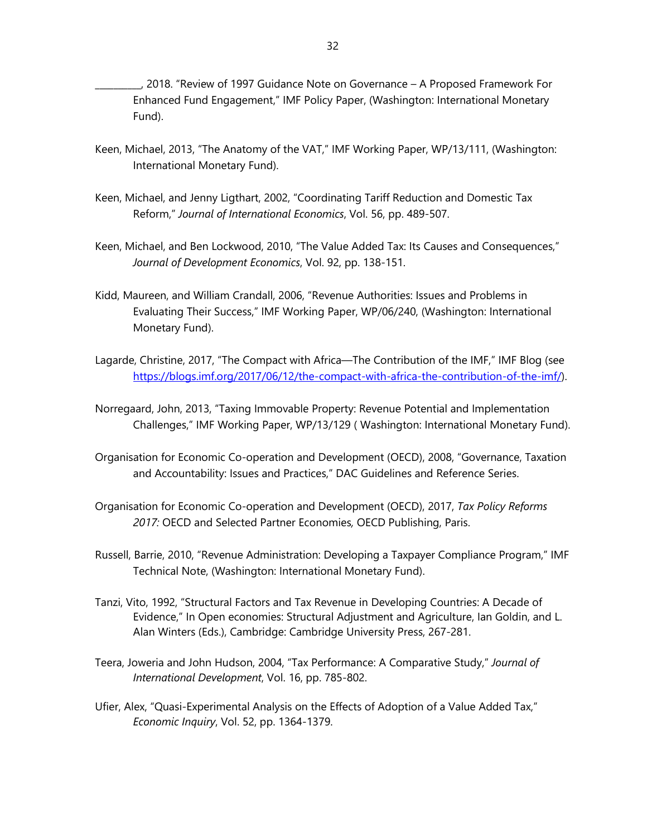\_\_\_\_\_\_\_\_\_\_, 2018. "Review of 1997 Guidance Note on Governance – A Proposed Framework For Enhanced Fund Engagement," IMF Policy Paper, (Washington: International Monetary Fund).

- Keen, Michael, 2013, "The Anatomy of the VAT," IMF Working Paper, WP/13/111, (Washington: International Monetary Fund).
- Keen, Michael, and Jenny Ligthart, 2002, "Coordinating Tariff Reduction and Domestic Tax Reform," *Journal of International Economics*, Vol. 56, pp. 489-507.
- Keen, Michael, and Ben Lockwood, 2010, "The Value Added Tax: Its Causes and Consequences," *Journal of Development Economics*, Vol. 92, pp. 138-151.
- Kidd, Maureen, and William Crandall, 2006, "Revenue Authorities: Issues and Problems in Evaluating Their Success," IMF Working Paper, WP/06/240, (Washington: International Monetary Fund).
- Lagarde, Christine, 2017, "The Compact with Africa—The Contribution of the IMF," IMF Blog (see [https://blogs.imf.org/2017/06/12/the-compact-with-africa-the-contribution-of-the-imf/\)](https://blogs.imf.org/2017/06/12/the-compact-with-africa-the-contribution-of-the-imf/).
- Norregaard, John, 2013, "Taxing Immovable Property: Revenue Potential and Implementation Challenges," IMF Working Paper, WP/13/129 ( Washington: International Monetary Fund).
- Organisation for Economic Co-operation and Development (OECD), 2008, "Governance, Taxation and Accountability: Issues and Practices," DAC Guidelines and Reference Series.
- Organisation for Economic Co-operation and Development (OECD), 2017, *Tax Policy Reforms 2017:* OECD and Selected Partner Economies*,* OECD Publishing, Paris.
- Russell, Barrie, 2010, "Revenue Administration: Developing a Taxpayer Compliance Program," IMF Technical Note, (Washington: International Monetary Fund).
- Tanzi, Vito, 1992, "Structural Factors and Tax Revenue in Developing Countries: A Decade of Evidence," In Open economies: Structural Adjustment and Agriculture, Ian Goldin, and L. Alan Winters (Eds.), Cambridge: Cambridge University Press, 267-281.
- Teera, Joweria and John Hudson, 2004, "Tax Performance: A Comparative Study," *Journal of International Development*, Vol. 16, pp. 785-802.
- Ufier, Alex, "Quasi-Experimental Analysis on the Effects of Adoption of a Value Added Tax," *Economic Inquiry*, Vol. 52, pp. 1364-1379.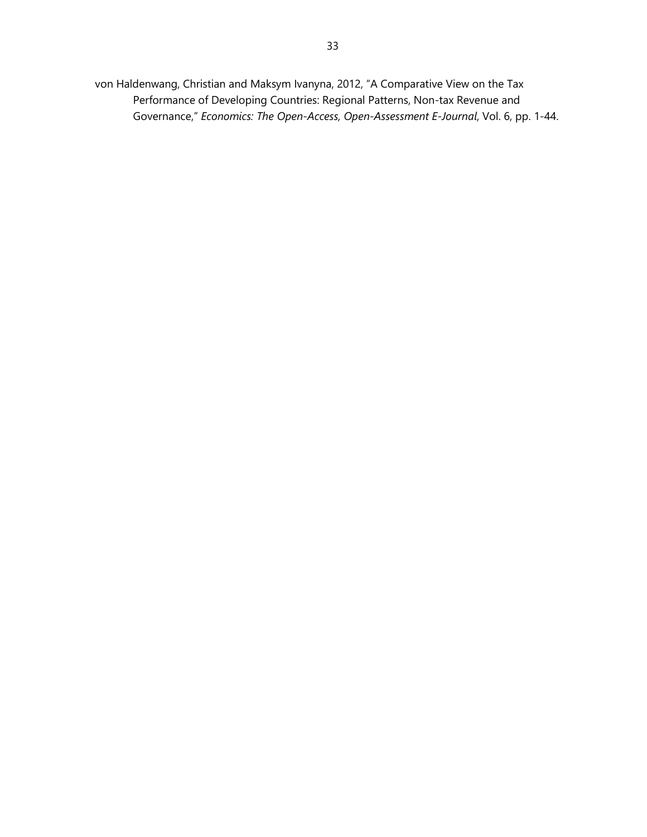von Haldenwang, Christian and Maksym Ivanyna, 2012, "A Comparative View on the Tax Performance of Developing Countries: Regional Patterns, Non-tax Revenue and Governance," *Economics: The Open-Access, Open-Assessment E-Journal*, Vol. 6, pp. 1-44.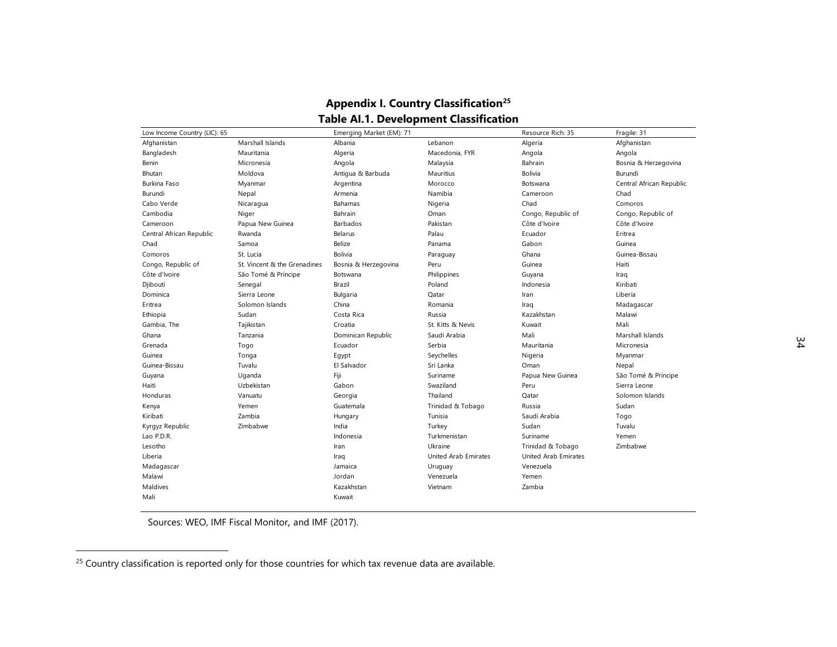| Low Income Country (LIC): 65 |                              | Emerging Market (EM): 71 |                      | Resource Rich: 35    | Fragile: 31              |
|------------------------------|------------------------------|--------------------------|----------------------|----------------------|--------------------------|
| Afghanistan                  | Marshall Islands             | Albania                  | Lebanon              | Algeria              | Afghanistan              |
| Bangladesh                   | Mauritania                   | Algeria                  | Macedonia, FYR       | Angola               | Angola                   |
| Benin                        | Micronesia                   | Angola                   | Malaysia             | Bahrain              | Bosnia & Herzegovina     |
| Bhutan                       | Moldova                      | Antiqua & Barbuda        | Mauritius            | <b>Bolivia</b>       | Burundi                  |
| Burkina Faso                 | Myanmar                      | Argentina                | Morocco              | Botswana             | Central African Republic |
| Burundi                      | Nepal                        | Armenia                  | Namibia              | Cameroon             | Chad                     |
| Cabo Verde                   | Nicaragua                    | Bahamas                  | Nigeria              | Chad                 | Comoros                  |
| Cambodia                     | Niger                        | Bahrain                  | Oman                 | Congo, Republic of   | Congo, Republic of       |
| Cameroon                     | Papua New Guinea             | Barbados                 | Pakistan             | Côte d'Ivoire        | Côte d'Ivoire            |
| Central African Republic     | Rwanda                       | Belarus                  | Palau                | Ecuador              | Eritrea                  |
| Chad                         | Samoa                        | Belize                   | Panama               | Gabon                | Guinea                   |
| Comoros                      | St. Lucia                    | Bolivia                  | Paraguay             | Ghana                | Guinea-Bissau            |
| Congo, Republic of           | St. Vincent & the Grenadines | Bosnia & Herzegovina     | Peru                 | Guinea               | Haiti                    |
| Côte d'Ivoire                | São Tomé & Príncipe          | Botswana                 | Philippines          | Guyana               | Iraq                     |
| Djibouti                     | Senegal                      | Brazil                   | Poland               | Indonesia            | Kiribati                 |
| Dominica                     | Sierra Leone                 | Bulgaria                 | Qatar                | Iran                 | Liberia                  |
| Eritrea                      | Solomon Islands              | China                    | Romania              | Iraq                 | Madagascar               |
| Ethiopia                     | Sudan                        | Costa Rica               | Russia               | Kazakhstan           | Malawi                   |
| Gambia, The                  | Tajikistan                   | Croatia                  | St. Kitts & Nevis    | Kuwait               | Mali                     |
| Ghana                        | Tanzania                     | Dominican Republic       | Saudi Arabia         | Mali                 | Marshall Islands         |
| Grenada                      | Togo                         | Ecuador                  | Serbia               | Mauritania           | Micronesia               |
| Guinea                       | Tonga                        | Eqypt                    | Seychelles           | Nigeria              | Myanmar                  |
| Guinea-Bissau                | Tuvalu                       | El Salvador              | Sri Lanka            | Oman                 | Nepal                    |
| Guyana                       | Uganda                       | Fiji                     | Suriname             | Papua New Guinea     | São Tomé & Príncipe      |
| Haiti                        | Uzbekistan                   | Gabon                    | Swaziland            | Peru                 | Sierra Leone             |
| Honduras                     | Vanuatu                      | Georgia                  | Thailand             | Qatar                | Solomon Islands          |
| Kenya                        | Yemen                        | Guatemala                | Trinidad & Tobago    | Russia               | Sudan                    |
| Kiribati                     | Zambia                       | Hungary                  | Tunisia              | Saudi Arabia         | Togo                     |
| Kyrgyz Republic              | Zimbabwe                     | India                    | Turkey               | Sudan                | Tuvalu                   |
| Lao P.D.R.                   |                              | Indonesia                | Turkmenistan         | Suriname             | Yemen                    |
| Lesotho                      |                              | Iran                     | Ukraine              | Trinidad & Tobago    | Zimbabwe                 |
| Liberia                      |                              | Iraq                     | United Arab Emirates | United Arab Emirates |                          |
| Madagascar                   |                              | Jamaica                  | Uruguay              | Venezuela            |                          |
| Malawi                       |                              | Jordan                   | Venezuela            | Yemen                |                          |
| Maldives                     |                              | Kazakhstan               | Vietnam              | Zambia               |                          |
| Mali                         |                              | Kuwait                   |                      |                      |                          |

# <span id="page-33-0"></span>**Appendix I. Country Classification[25](#page-33-0) Table AI.1. Development Classification**

Sources: WEO, IMF Fiscal Monitor, and IMF (2017).

 $\sim$ 

 $\overline{a}$ 

 $^{25}$  Country classification is reported only for those countries for which tax revenue data are available.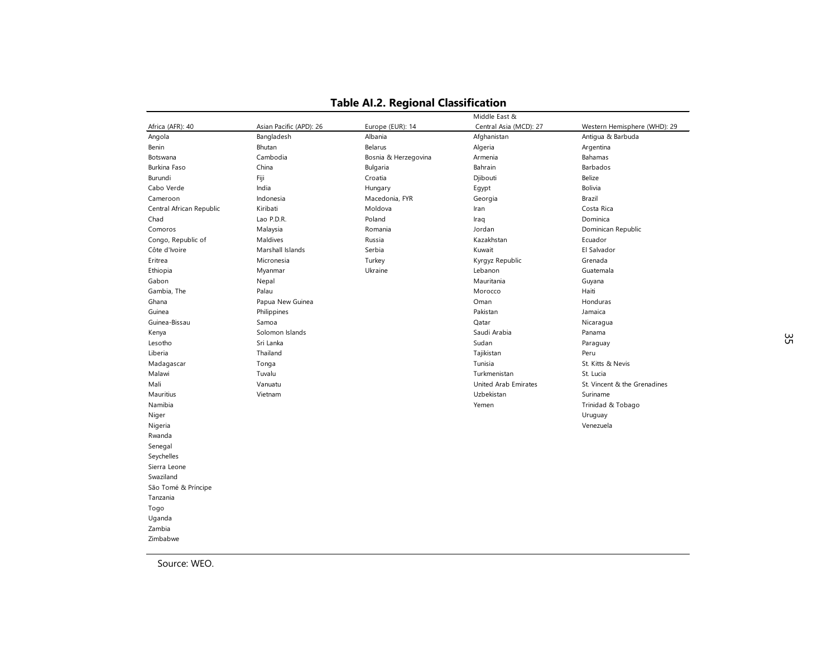|                          |                         |                      | Middle East &          |                              |
|--------------------------|-------------------------|----------------------|------------------------|------------------------------|
| Africa (AFR): 40         | Asian Pacific (APD): 26 | Europe (EUR): 14     | Central Asia (MCD): 27 | Western Hemisphere (WHD): 29 |
| Angola                   | Bangladesh              | Albania              | Afghanistan            | Antigua & Barbuda            |
| Benin                    | Bhutan                  | Belarus              | Algeria                | Argentina                    |
| Botswana                 | Cambodia                | Bosnia & Herzegovina | Armenia                | Bahamas                      |
| Burkina Faso             | China                   | Bulgaria             | Bahrain                | Barbados                     |
| Burundi                  | Fiji                    | Croatia              | Djibouti               | Belize                       |
| Cabo Verde               | India                   | Hungary              | Egypt                  | <b>Bolivia</b>               |
| Cameroon                 | Indonesia               | Macedonia, FYR       | Georgia                | Brazil                       |
| Central African Republic | Kiribati                | Moldova              | Iran                   | Costa Rica                   |
| Chad                     | Lao P.D.R.              | Poland               | Iraq                   | Dominica                     |
| Comoros                  | Malaysia                | Romania              | Jordan                 | Dominican Republic           |
| Congo, Republic of       | Maldives                | Russia               | Kazakhstan             | Ecuador                      |
| Côte d'Ivoire            | Marshall Islands        | Serbia               | Kuwait                 | El Salvador                  |
| Eritrea                  | Micronesia              | Turkey               | Kyrgyz Republic        | Grenada                      |
| Ethiopia                 | Myanmar                 | Ukraine              | Lebanon                | Guatemala                    |
| Gabon                    | Nepal                   |                      | Mauritania             | Guyana                       |
| Gambia, The              | Palau                   |                      | Morocco                | Haiti                        |
| Ghana                    | Papua New Guinea        |                      | Oman                   | Honduras                     |
| Guinea                   | Philippines             |                      | Pakistan               | Jamaica                      |
| Guinea-Bissau            | Samoa                   |                      | Qatar                  | Nicaragua                    |
| Kenya                    | Solomon Islands         |                      | Saudi Arabia           | Panama                       |
| Lesotho                  | Sri Lanka               |                      | Sudan                  | Paraguay                     |
| Liberia                  | Thailand                |                      | Tajikistan             | Peru                         |
| Madagascar               | Tonga                   |                      | Tunisia                | St. Kitts & Nevis            |
| Malawi                   | Tuvalu                  |                      | Turkmenistan           | St. Lucia                    |
| Mali                     | Vanuatu                 |                      | United Arab Emirates   | St. Vincent & the Grenadines |
| Mauritius                | Vietnam                 |                      | Uzbekistan             | Suriname                     |
| Namibia                  |                         |                      | Yemen                  | Trinidad & Tobago            |
| Niger                    |                         |                      |                        | Uruguay                      |
| Nigeria                  |                         |                      |                        | Venezuela                    |
| Rwanda                   |                         |                      |                        |                              |
| Senegal                  |                         |                      |                        |                              |
| Seychelles               |                         |                      |                        |                              |
| Sierra Leone             |                         |                      |                        |                              |
| Swaziland                |                         |                      |                        |                              |
| São Tomé & Príncipe      |                         |                      |                        |                              |
| Tanzania                 |                         |                      |                        |                              |
| Togo                     |                         |                      |                        |                              |
| Uganda                   |                         |                      |                        |                              |
| Zambia                   |                         |                      |                        |                              |
| Zimbabwe                 |                         |                      |                        |                              |

## **Table AI.2. Regional Classification**

Source: WEO.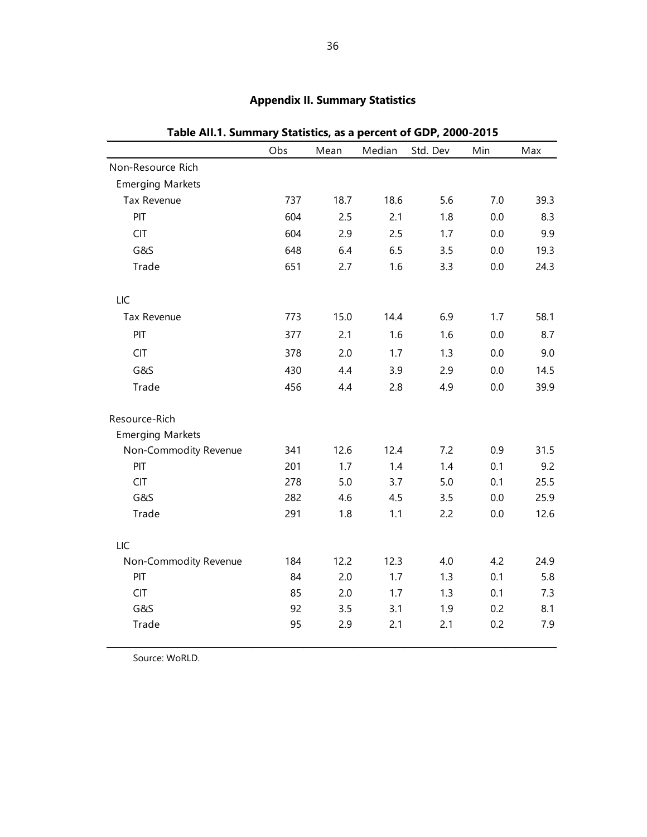|                         | Obs | Mean | Median | Std. Dev | Min | Max  |
|-------------------------|-----|------|--------|----------|-----|------|
| Non-Resource Rich       |     |      |        |          |     |      |
| <b>Emerging Markets</b> |     |      |        |          |     |      |
| Tax Revenue             | 737 | 18.7 | 18.6   | 5.6      | 7.0 | 39.3 |
| PIT                     | 604 | 2.5  | 2.1    | 1.8      | 0.0 | 8.3  |
| <b>CIT</b>              | 604 | 2.9  | 2.5    | 1.7      | 0.0 | 9.9  |
| G&S                     | 648 | 6.4  | 6.5    | 3.5      | 0.0 | 19.3 |
| Trade                   | 651 | 2.7  | 1.6    | 3.3      | 0.0 | 24.3 |
| LIC                     |     |      |        |          |     |      |
| Tax Revenue             | 773 | 15.0 | 14.4   | 6.9      | 1.7 | 58.1 |
| PIT                     | 377 | 2.1  | 1.6    | 1.6      | 0.0 | 8.7  |
| <b>CIT</b>              | 378 | 2.0  | 1.7    | 1.3      | 0.0 | 9.0  |
| G&S                     | 430 | 4.4  | 3.9    | 2.9      | 0.0 | 14.5 |
| Trade                   | 456 | 4.4  | 2.8    | 4.9      | 0.0 | 39.9 |
| Resource-Rich           |     |      |        |          |     |      |
| <b>Emerging Markets</b> |     |      |        |          |     |      |
| Non-Commodity Revenue   | 341 | 12.6 | 12.4   | 7.2      | 0.9 | 31.5 |
| PIT                     | 201 | 1.7  | 1.4    | 1.4      | 0.1 | 9.2  |
| <b>CIT</b>              | 278 | 5.0  | 3.7    | 5.0      | 0.1 | 25.5 |
| G&S                     | 282 | 4.6  | 4.5    | 3.5      | 0.0 | 25.9 |
| Trade                   | 291 | 1.8  | 1.1    | 2.2      | 0.0 | 12.6 |
| LIC                     |     |      |        |          |     |      |
| Non-Commodity Revenue   | 184 | 12.2 | 12.3   | 4.0      | 4.2 | 24.9 |
| PIT                     | 84  | 2.0  | 1.7    | 1.3      | 0.1 | 5.8  |
| <b>CIT</b>              | 85  | 2.0  | 1.7    | 1.3      | 0.1 | 7.3  |
| G&S                     | 92  | 3.5  | 3.1    | 1.9      | 0.2 | 8.1  |
| Trade                   | 95  | 2.9  | 2.1    | 2.1      | 0.2 | 7.9  |

# **Appendix II. Summary Statistics**

**Table AII.1. Summary Statistics, as a percent of GDP, 2000-2015**

Source: WoRLD.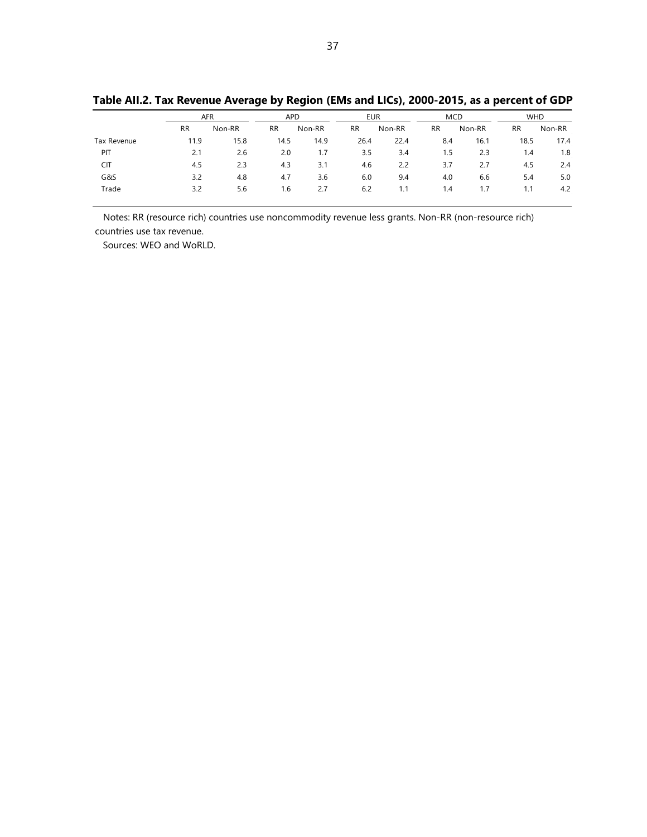|             | <b>AFR</b> |        | <b>APD</b> |        | <b>EUR</b> |        | <b>MCD</b> |        | <b>WHD</b> |        |
|-------------|------------|--------|------------|--------|------------|--------|------------|--------|------------|--------|
|             | <b>RR</b>  | Non-RR | <b>RR</b>  | Non-RR | <b>RR</b>  | Non-RR | <b>RR</b>  | Non-RR | <b>RR</b>  | Non-RR |
| Tax Revenue | 11.9       | 15.8   | 14.5       | 14.9   | 26.4       | 22.4   | 8.4        | 16.1   | 18.5       | 17.4   |
| PIT         | 2.1        | 2.6    | 2.0        | 1.7    | 3.5        | 3.4    | 1.5        | 2.3    | 1.4        | 1.8    |
| <b>CIT</b>  | 4.5        | 2.3    | 4.3        | 3.1    | 4.6        | 2.2    | 3.7        | 2.7    | 4.5        | 2.4    |
| G&S         | 3.2        | 4.8    | 4.7        | 3.6    | 6.0        | 9.4    | 4.0        | 6.6    | 5.4        | 5.0    |
| Trade       | 3.2        | 5.6    | 1.6        | 2.7    | 6.2        | 1.1    | 1.4        | 1.7    | 1.1        | 4.2    |

**Table AII.2. Tax Revenue Average by Region (EMs and LICs), 2000-2015, as a percent of GDP**

 Notes: RR (resource rich) countries use noncommodity revenue less grants. Non-RR (non-resource rich) countries use tax revenue.

Sources: WEO and WoRLD.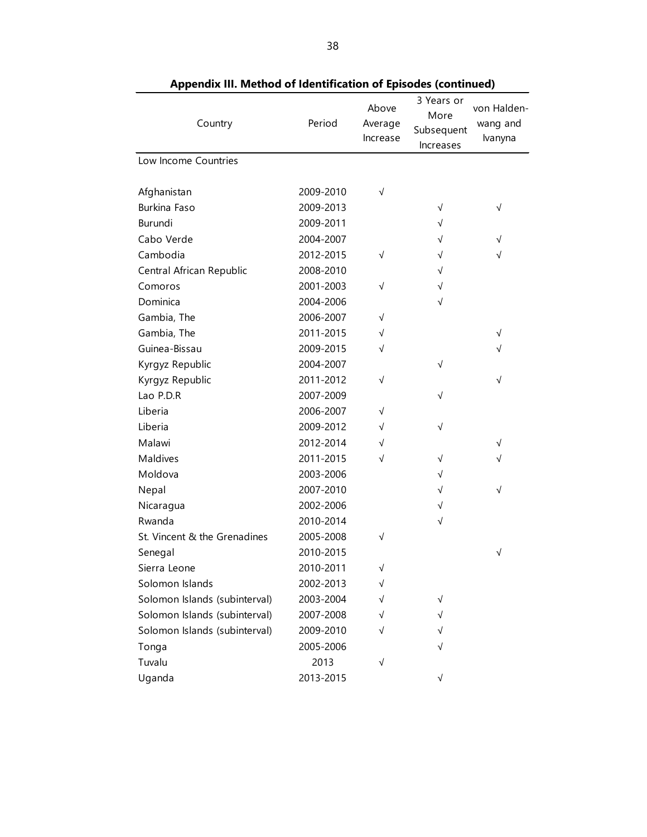| Country                       | Period    | Above<br>Average<br>Increase | 3 Years or<br>More<br>Subsequent<br>Increases | von Halden-<br>wang and<br>Ivanyna |
|-------------------------------|-----------|------------------------------|-----------------------------------------------|------------------------------------|
| Low Income Countries          |           |                              |                                               |                                    |
| Afghanistan                   | 2009-2010 | $\sqrt{}$                    |                                               |                                    |
| <b>Burkina Faso</b>           | 2009-2013 |                              | $\sqrt{}$                                     | $\sqrt{}$                          |
| Burundi                       | 2009-2011 |                              | $\sqrt{}$                                     |                                    |
| Cabo Verde                    | 2004-2007 |                              | √                                             | $\sqrt{}$                          |
| Cambodia                      | 2012-2015 | $\sqrt{}$                    | √                                             | $\sqrt{}$                          |
| Central African Republic      | 2008-2010 |                              | $\sqrt{}$                                     |                                    |
| Comoros                       | 2001-2003 | $\sqrt{}$                    | $\sqrt{}$                                     |                                    |
| Dominica                      | 2004-2006 |                              | √                                             |                                    |
| Gambia, The                   | 2006-2007 | √                            |                                               |                                    |
| Gambia, The                   | 2011-2015 | $\sqrt{}$                    |                                               | $\sqrt{ }$                         |
| Guinea-Bissau                 | 2009-2015 | √                            |                                               | √                                  |
| Kyrgyz Republic               | 2004-2007 |                              | $\sqrt{}$                                     |                                    |
| Kyrgyz Republic               | 2011-2012 | √                            |                                               | $\sqrt{}$                          |
| Lao P.D.R                     | 2007-2009 |                              | $\sqrt{}$                                     |                                    |
| Liberia                       | 2006-2007 | √                            |                                               |                                    |
| Liberia                       | 2009-2012 | √                            | $\sqrt{}$                                     |                                    |
| Malawi                        | 2012-2014 | √                            |                                               | $\sqrt{}$                          |
| <b>Maldives</b>               | 2011-2015 | √                            | $\sqrt{}$                                     | $\sqrt{}$                          |
| Moldova                       | 2003-2006 |                              | √                                             |                                    |
| Nepal                         | 2007-2010 |                              | $\sqrt{}$                                     | $\sqrt{}$                          |
| Nicaragua                     | 2002-2006 |                              | √                                             |                                    |
| Rwanda                        | 2010-2014 |                              | √                                             |                                    |
| St. Vincent & the Grenadines  | 2005-2008 | $\sqrt{}$                    |                                               |                                    |
| Senegal                       | 2010-2015 |                              |                                               | √                                  |
| Sierra Leone                  | 2010-2011 | √                            |                                               |                                    |
| Solomon Islands               | 2002-2013 | √                            |                                               |                                    |
| Solomon Islands (subinterval) | 2003-2004 | √                            | $\sqrt{}$                                     |                                    |
| Solomon Islands (subinterval) | 2007-2008 | √                            | √                                             |                                    |
| Solomon Islands (subinterval) | 2009-2010 | √                            | √                                             |                                    |
| Tonga                         | 2005-2006 |                              | √                                             |                                    |
| Tuvalu                        | 2013      | $\sqrt{}$                    |                                               |                                    |
| Uganda                        | 2013-2015 |                              | √                                             |                                    |

**Appendix III. Method of Identification of Episodes (continued)**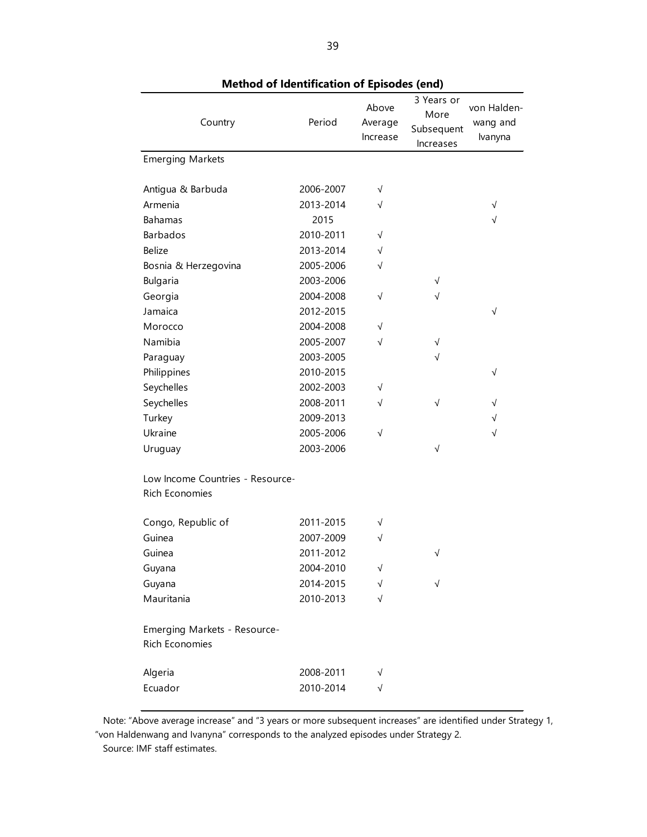|                                  |           | ,,,,,                        | , , , , , , , , , , , ,<br>3 Years or  |                                    |
|----------------------------------|-----------|------------------------------|----------------------------------------|------------------------------------|
| Country                          | Period    | Above<br>Average<br>Increase | More<br>Subsequent<br><b>Increases</b> | von Halden-<br>wang and<br>Ivanyna |
| <b>Emerging Markets</b>          |           |                              |                                        |                                    |
|                                  |           |                              |                                        |                                    |
| Antigua & Barbuda                | 2006-2007 | $\sqrt{}$                    |                                        |                                    |
| Armenia                          | 2013-2014 | $\sqrt{ }$                   |                                        | $\sqrt{}$                          |
| <b>Bahamas</b>                   | 2015      |                              |                                        | $\sqrt{}$                          |
| <b>Barbados</b>                  | 2010-2011 | $\sqrt{}$                    |                                        |                                    |
| <b>Belize</b>                    | 2013-2014 | $\sqrt{}$                    |                                        |                                    |
| Bosnia & Herzegovina             | 2005-2006 | $\sqrt{}$                    |                                        |                                    |
| Bulgaria                         | 2003-2006 |                              | √                                      |                                    |
| Georgia                          | 2004-2008 | $\sqrt{ }$                   | $\sqrt{}$                              |                                    |
| Jamaica                          | 2012-2015 |                              |                                        | $\sqrt{}$                          |
| Morocco                          | 2004-2008 | $\sqrt{}$                    |                                        |                                    |
| Namibia                          | 2005-2007 | $\sqrt{ }$                   | √                                      |                                    |
| Paraguay                         | 2003-2005 |                              | √                                      |                                    |
| Philippines                      | 2010-2015 |                              |                                        | $\sqrt{}$                          |
| Seychelles                       | 2002-2003 | $\sqrt{}$                    |                                        |                                    |
| Seychelles                       | 2008-2011 | $\sqrt{}$                    | $\sqrt{}$                              | $\sqrt{}$                          |
| Turkey                           | 2009-2013 |                              |                                        | $\sqrt{}$                          |
| Ukraine                          | 2005-2006 | $\sqrt{ }$                   |                                        | $\sqrt{}$                          |
| Uruguay                          | 2003-2006 |                              | √                                      |                                    |
| Low Income Countries - Resource- |           |                              |                                        |                                    |
| <b>Rich Economies</b>            |           |                              |                                        |                                    |
| Congo, Republic of               | 2011-2015 | $\sqrt{}$                    |                                        |                                    |
| Guinea                           | 2007-2009 | $\sqrt{ }$                   |                                        |                                    |
| Guinea                           | 2011-2012 |                              | √                                      |                                    |
| Guyana                           | 2004-2010 | $\sqrt{}$                    |                                        |                                    |
| Guyana                           | 2014-2015 | √                            | $\sqrt{}$                              |                                    |
| Mauritania                       | 2010-2013 | $\sqrt{}$                    |                                        |                                    |
| Emerging Markets - Resource-     |           |                              |                                        |                                    |
| <b>Rich Economies</b>            |           |                              |                                        |                                    |
| Algeria                          | 2008-2011 | $\sqrt{}$                    |                                        |                                    |
| Ecuador                          | 2010-2014 | $\sqrt{}$                    |                                        |                                    |

**Method of Identification of Episodes (end)**

 Note: "Above average increase" and "3 years or more subsequent increases" are identified under Strategy 1, "von Haldenwang and Ivanyna" corresponds to the analyzed episodes under Strategy 2.

Source: IMF staff estimates.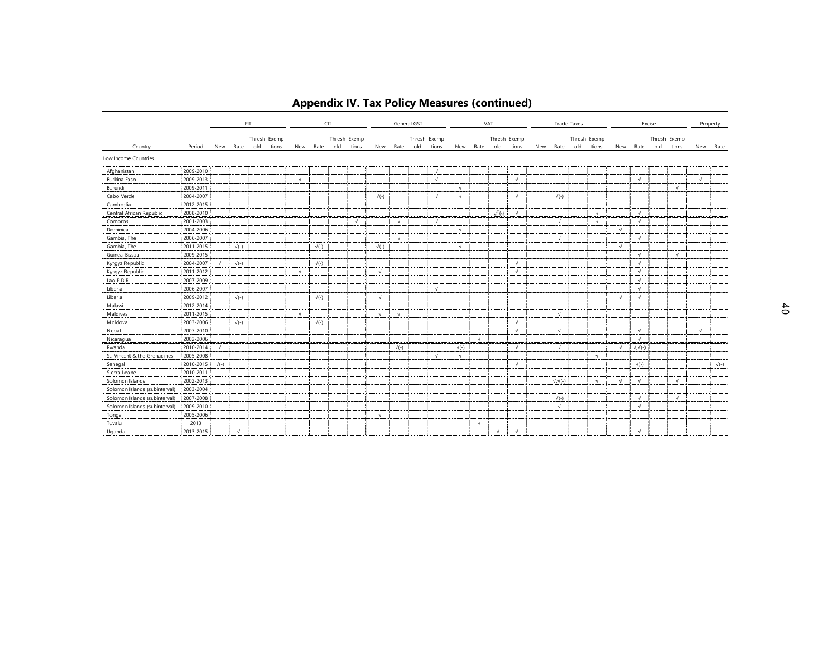|                               |           |              |              | PIT |               |            |              | CIT |               |              |              | General GST |               |              |            | VAT          |               |                      | <b>Trade Taxes</b> |               |            |                      | Excise |               |            | Property     |
|-------------------------------|-----------|--------------|--------------|-----|---------------|------------|--------------|-----|---------------|--------------|--------------|-------------|---------------|--------------|------------|--------------|---------------|----------------------|--------------------|---------------|------------|----------------------|--------|---------------|------------|--------------|
|                               |           |              |              |     | Thresh-Exemp- |            |              |     | Thresh-Exemp- |              |              |             | Thresh-Exemp- |              |            |              | Thresh-Exemp- |                      |                    | Thresh-Exemp- |            |                      |        | Thresh-Exemp- |            |              |
| Country                       | Period    |              | New Rate     | old | tions         |            | New Rate     | old | tions         |              | New Rate old |             | tions         |              | New Rate   | old          | tions         | New Rate             | old                | tions         |            | New Rate             | old    | tions         | New        | Rate         |
| Low Income Countries          |           |              |              |     |               |            |              |     |               |              |              |             |               |              |            |              |               |                      |                    |               |            |                      |        |               |            |              |
| Afghanistan                   | 2009-2010 |              |              |     |               |            |              |     |               |              |              |             | $\sqrt{ }$    |              |            |              |               |                      |                    |               |            |                      |        |               |            |              |
| Burkina Faso                  | 2009-2013 |              |              |     |               | $\sqrt{ }$ |              |     |               |              |              |             | $\sqrt{ }$    |              |            |              | $\sqrt{ }$    |                      |                    |               |            | $\sqrt{ }$           |        |               | $\sqrt{ }$ |              |
| Burundi                       | 2009-2011 |              |              |     |               |            |              |     |               |              |              |             |               | $\sqrt{ }$   |            |              |               |                      |                    |               |            |                      |        | $\sqrt{ }$    |            |              |
| Cabo Verde                    | 2004-2007 |              |              |     |               |            |              |     |               | $\sqrt{(-)}$ |              |             | $\sqrt{ }$    | $\sqrt{ }$   |            |              | $\sqrt{ }$    | $\sqrt{(-)}$         |                    |               |            |                      |        |               |            |              |
| Cambodia                      | 2012-2015 |              |              |     |               |            |              |     |               |              |              |             |               |              |            |              |               |                      |                    |               |            |                      |        |               |            |              |
| Central African Republic      | 2008-2010 |              |              |     |               |            |              |     |               |              |              |             |               |              |            | $\sqrt{(-)}$ | $\sqrt{ }$    |                      |                    | $\sqrt{ }$    |            | $\sqrt{ }$           |        |               |            |              |
| Comoros                       | 2001-2003 |              |              |     |               |            |              |     | $\sqrt{ }$    |              | $\sqrt{ }$   |             | $\sqrt{ }$    |              |            |              |               | $\sqrt{ }$           |                    | $\sqrt{ }$    |            | $\sqrt{ }$           |        |               |            |              |
| Dominica                      | 2004-2006 |              |              |     |               |            |              |     |               |              |              |             |               | $\sqrt{ }$   |            |              |               |                      |                    |               | $\sqrt{ }$ |                      |        |               |            |              |
| Gambia, The                   | 2006-2007 |              |              |     |               |            |              |     |               |              | $\sqrt{ }$   |             |               |              |            |              |               | $\sqrt{ }$           |                    |               |            | $\sqrt{ }$           |        |               |            |              |
| Gambia, The                   | 2011-2015 |              | $\sqrt{(-)}$ |     |               |            | $\sqrt{(-)}$ |     |               | $\sqrt{(-)}$ |              |             |               | $\sqrt{ }$   |            |              |               |                      |                    |               | $\sqrt{ }$ |                      |        |               |            |              |
| Guinea-Bissau                 | 2009-2015 |              |              |     |               |            |              |     |               |              |              |             |               |              |            |              |               |                      |                    |               |            | $\sqrt{ }$           |        | $\sqrt{ }$    |            |              |
| Kyrgyz Republic               | 2004-2007 | $\sqrt{ }$   | $\sqrt{(-)}$ |     |               |            | $\sqrt{(-)}$ |     |               |              |              |             |               |              |            |              | $\sqrt{ }$    |                      |                    |               |            | $\sqrt{ }$           |        |               |            |              |
| Kyrgyz Republic               | 2011-2012 |              |              |     |               | $\sqrt{ }$ |              |     |               | $\sqrt{ }$   |              |             |               |              |            |              | $\sqrt{ }$    |                      |                    |               |            | $\sqrt{ }$           |        |               |            |              |
| Lao P.D.R                     | 2007-2009 |              |              |     |               |            |              |     |               |              |              |             |               |              |            |              |               |                      |                    |               |            | $\sqrt{ }$           |        |               |            |              |
| Liberia                       | 2006-2007 |              |              |     |               |            |              |     |               |              |              |             | $\sqrt{ }$    |              |            |              |               |                      |                    |               |            | $\sqrt{ }$           |        |               |            |              |
| Liberia                       | 2009-2012 |              | $\sqrt{(-)}$ |     |               |            | $\sqrt{(-)}$ |     |               | $\sqrt{ }$   |              |             |               |              |            |              |               |                      |                    |               | $\sqrt{ }$ | $\sqrt{ }$           |        |               |            |              |
| Malawi                        | 2012-2014 |              |              |     |               |            |              |     |               |              |              |             |               |              |            |              |               |                      |                    |               |            |                      |        |               |            |              |
| Maldives                      | 2011-2015 |              |              |     |               | $\sqrt{ }$ |              |     |               | $\sqrt{ }$   | $\sqrt{ }$   |             |               |              |            |              |               | $\sqrt{ }$           |                    |               |            |                      |        |               |            |              |
| Moldova                       | 2003-2006 |              | $\sqrt{(-)}$ |     |               |            | $\sqrt{(-)}$ |     |               |              |              |             |               |              |            |              | $\sqrt{ }$    |                      |                    |               |            |                      |        |               |            |              |
| Nepal                         | 2007-2010 |              |              |     |               |            |              |     |               |              |              |             |               |              |            |              | $\sqrt{ }$    | $\sqrt{ }$           |                    |               |            | $\sqrt{ }$           |        |               | $\sqrt{ }$ |              |
| Nicaragua                     | 2002-2006 |              |              |     |               |            |              |     |               |              |              |             |               |              | $\sqrt{ }$ |              |               |                      |                    |               |            | $\sqrt{ }$           |        |               |            |              |
| Rwanda                        | 2010-2014 | $\sqrt{ }$   |              |     |               |            |              |     |               |              | $\sqrt{(-)}$ |             |               | $\sqrt{(-)}$ |            |              | $\sqrt{ }$    | $\sqrt{ }$           |                    |               | $\sqrt{ }$ | $\sqrt{,}\sqrt{(-)}$ |        |               |            |              |
| St. Vincent & the Grenadines  | 2005-2008 |              |              |     |               |            |              |     |               |              |              |             | $\sqrt{ }$    | $\sqrt{ }$   |            |              |               |                      |                    | $\sqrt{ }$    |            |                      |        |               |            |              |
| Senegal                       | 2010-2015 | $\sqrt{(-)}$ |              |     |               |            |              |     |               |              |              |             |               |              |            |              | $\sim$        |                      |                    |               |            | $\sqrt{(-)}$         |        |               |            | $\sqrt{(-)}$ |
| Sierra Leone                  | 2010-2011 |              |              |     |               |            |              |     |               |              |              |             |               |              |            |              |               |                      |                    |               |            |                      |        |               |            |              |
| Solomon Islands               | 2002-2013 |              |              |     |               |            |              |     |               |              |              |             |               |              |            |              |               | $\sqrt{,}\sqrt{(-)}$ |                    | $\sqrt{ }$    | $\sqrt{ }$ | $\sqrt{ }$           |        | $\sqrt{ }$    |            |              |
| Solomon Islands (subinterval) | 2003-2004 |              |              |     |               |            |              |     |               |              |              |             |               |              |            |              |               |                      |                    |               |            |                      |        |               |            |              |
| Solomon Islands (subinterval) | 2007-2008 |              |              |     |               |            |              |     |               |              |              |             |               |              |            |              |               | $\sqrt{(-)}$         |                    |               |            | $\sqrt{ }$           |        | $\sqrt{ }$    |            |              |
| Solomon Islands (subinterval) | 2009-2010 |              |              |     |               |            |              |     |               |              |              |             |               |              |            |              |               | $\sqrt{ }$           |                    |               |            | $\sqrt{ }$           |        |               |            |              |
| Tonga                         | 2005-2006 |              |              |     |               |            |              |     |               | $\sqrt{ }$   |              |             |               |              |            |              |               |                      |                    |               |            |                      |        |               |            |              |
| Tuvalu                        | 2013      |              |              |     |               |            |              |     |               |              |              |             |               |              | $\sqrt{ }$ |              |               |                      |                    |               |            |                      |        |               |            |              |
| Uganda                        | 2013-2015 |              | $\sqrt{ }$   |     |               |            |              |     |               |              |              |             |               |              |            | $\sqrt{ }$   | $\sqrt{ }$    |                      |                    |               |            | $\sqrt{ }$           |        |               |            |              |

# **Appendix IV. Tax Policy Measures (continued)**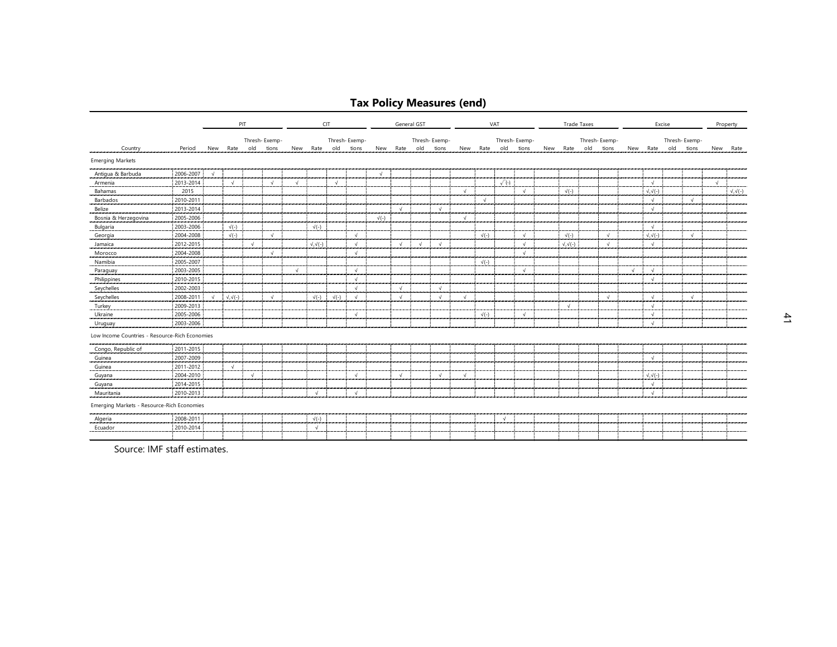# **Tax Policy Measures (end)**

|                                                |           |            |                      | PIT        |               | CIT        |                      |              | General GST   |              |            |            |               |            | VAT          |              |               | <b>Trade Taxes</b> |                      |           |               | Excise     |                      |  |               | Property   |                     |
|------------------------------------------------|-----------|------------|----------------------|------------|---------------|------------|----------------------|--------------|---------------|--------------|------------|------------|---------------|------------|--------------|--------------|---------------|--------------------|----------------------|-----------|---------------|------------|----------------------|--|---------------|------------|---------------------|
|                                                |           |            |                      |            | Thresh-Exemp- |            |                      |              | Thresh-Exemp- |              |            |            | Thresh-Exemp- |            |              |              | Thresh-Exemp- |                    |                      |           | Thresh-Exemp- |            |                      |  | Thresh-Exemp- |            |                     |
| Country                                        | Period    |            | New Rate             | old        | tions         | New        | Rate old             |              | tions         | New          | Rate old   |            | tions         |            | New Rate old |              | tions         | New                | Rate                 | old tions |               |            | New Rate old         |  | tions         | New        | Rate                |
| <b>Emerging Markets</b>                        |           |            |                      |            |               |            |                      |              |               |              |            |            |               |            |              |              |               |                    |                      |           |               |            |                      |  |               |            |                     |
| Antigua & Barbuda                              | 2006-2007 | $\sqrt{ }$ |                      |            |               |            |                      |              |               | $\sqrt{ }$   |            |            |               |            |              |              |               |                    |                      |           |               |            |                      |  |               |            |                     |
| Armenia                                        | 2013-2014 |            | $\sqrt{ }$           |            | $\sqrt{ }$    | $\sqrt{ }$ |                      | $\sqrt{ }$   |               |              |            |            |               |            |              | $\sqrt{(-)}$ |               |                    |                      |           |               |            | $\sqrt{ }$           |  |               | $\sqrt{ }$ |                     |
| Bahamas                                        | 2015      |            |                      |            |               |            |                      |              |               |              |            |            |               | $\sqrt{ }$ |              |              | $\sqrt{ }$    |                    | $\sqrt{(-)}$         |           |               |            | $\sqrt{,}\sqrt{(-)}$ |  |               |            | $\sqrt{\sqrt{(-)}}$ |
| Barbados                                       | 2010-2011 |            |                      |            |               |            |                      |              |               |              |            |            |               |            | $\sqrt{ }$   |              |               |                    |                      |           |               |            | $\sqrt{ }$           |  | $\sqrt{ }$    |            |                     |
| Belize                                         | 2013-2014 |            |                      |            |               |            |                      |              |               |              | $\sqrt{ }$ |            | $\sqrt{ }$    |            |              |              |               |                    |                      |           |               |            | $\sqrt{ }$           |  |               |            |                     |
| Bosnia & Herzegovina                           | 2005-2006 |            |                      |            |               |            |                      |              |               | $\sqrt{(-)}$ |            |            |               | $\sqrt{ }$ |              |              |               |                    |                      |           |               |            |                      |  |               |            |                     |
| Bulgaria                                       | 2003-2006 |            | $\sqrt{(-)}$         |            |               |            | $\sqrt{(-)}$         |              |               |              |            |            |               |            |              |              |               |                    |                      |           |               |            | $\sqrt{ }$           |  |               |            |                     |
| Georgia                                        | 2004-2008 |            | $\sqrt{(-)}$         |            | $\sqrt{ }$    |            |                      |              | $\sqrt{ }$    |              |            |            |               |            | $\sqrt{(-)}$ |              | $\sqrt{ }$    |                    | $\sqrt{(-)}$         |           | $\sqrt{ }$    |            | $\sqrt{,}\sqrt{(-)}$ |  | $\sqrt{ }$    |            |                     |
| Jamaica                                        | 2012-2015 |            |                      | $\sqrt{ }$ |               |            | $\sqrt{,}\sqrt{(-)}$ |              | $\sqrt{ }$    |              | $\sqrt{ }$ | $\sqrt{ }$ | $\sqrt{ }$    |            |              |              | $\sqrt{ }$    |                    | $\sqrt{,}\sqrt{(-)}$ |           | $\sqrt{ }$    |            | $\sqrt{ }$           |  |               |            |                     |
| Morocco                                        | 2004-2008 |            |                      |            | $\sqrt{ }$    |            |                      |              | $\sqrt{ }$    |              |            |            |               |            |              |              | $\sqrt{ }$    |                    |                      |           |               |            |                      |  |               |            |                     |
| Namibia                                        | 2005-2007 |            |                      |            |               |            |                      |              |               |              |            |            |               |            | $\sqrt{(-)}$ |              |               |                    |                      |           |               |            |                      |  |               |            |                     |
| Paraguay                                       | 2003-2005 |            |                      |            |               | $\sqrt{ }$ |                      |              | $\sqrt{ }$    |              |            |            |               |            |              |              | $\sqrt{ }$    |                    |                      |           |               | $\sqrt{ }$ | $\sqrt{ }$           |  |               |            |                     |
| Philippines                                    | 2010-2015 |            |                      |            |               |            |                      |              | $\sqrt{ }$    |              |            |            |               |            |              |              |               |                    |                      |           |               |            | $\sqrt{ }$           |  |               |            |                     |
| Seychelles                                     | 2002-2003 |            |                      |            |               |            |                      |              | $\sqrt{ }$    |              | $\sqrt{ }$ |            | $\sqrt{ }$    |            |              |              |               |                    |                      |           |               |            |                      |  |               |            |                     |
| Seychelles                                     | 2008-2011 | $\sqrt{ }$ | $\sqrt{,}\sqrt{(-)}$ |            | $\sqrt{ }$    |            | $\sqrt{(-)}$         | $\sqrt{(-)}$ | $\sqrt{ }$    |              | $\sqrt{ }$ |            | $\sqrt{ }$    | $\sqrt{ }$ |              |              |               |                    |                      |           | $\sqrt{ }$    |            | $\sqrt{ }$           |  | $\sqrt{ }$    |            |                     |
| Turkey                                         | 2009-2013 |            |                      |            |               |            |                      |              |               |              |            |            |               |            |              |              |               |                    | $\sqrt{ }$           |           |               |            | $\sqrt{ }$           |  |               |            |                     |
| Ukraine                                        | 2005-2006 |            |                      |            |               |            |                      |              | $\sqrt{ }$    |              |            |            |               |            | $\sqrt{(-)}$ |              | $\sqrt{ }$    |                    |                      |           |               |            | $\sqrt{ }$           |  |               |            |                     |
| Uruguay                                        | 2003-2006 |            |                      |            |               |            |                      |              |               |              |            |            |               |            |              |              |               |                    |                      |           |               |            | $\sqrt{ }$           |  |               |            |                     |
| Low Income Countries - Resource-Rich Economies |           |            |                      |            |               |            |                      |              |               |              |            |            |               |            |              |              |               |                    |                      |           |               |            |                      |  |               |            |                     |
| Congo, Republic of                             | 2011-2015 |            |                      |            |               |            |                      |              |               |              |            |            |               |            |              |              |               |                    |                      |           |               |            |                      |  |               |            |                     |
| Guinea                                         | 2007-2009 |            |                      |            |               |            |                      |              |               |              |            |            |               |            |              |              |               |                    |                      |           |               |            | $\sqrt{ }$           |  |               |            |                     |
| Guinea                                         | 2011-2012 |            | $\sqrt{ }$           |            |               |            |                      |              |               |              |            |            |               |            |              |              |               |                    |                      |           |               |            |                      |  |               |            |                     |
| Guyana                                         | 2004-2010 |            |                      | $\sqrt{ }$ |               |            |                      |              | $\sqrt{ }$    |              | $\sqrt{ }$ |            | $\sqrt{ }$    | $\sqrt{ }$ |              |              |               |                    |                      |           |               |            | $\sqrt{,}\sqrt{(-)}$ |  |               |            |                     |
| Guyana                                         | 2014-2015 |            |                      |            |               |            |                      |              |               |              |            |            |               |            |              |              |               |                    |                      |           |               |            | $\sqrt{ }$           |  |               |            |                     |
| Mauritania                                     | 2010-2013 |            |                      |            |               |            | $\sqrt{ }$           |              | $\sqrt{ }$    |              |            |            |               |            |              |              |               |                    |                      |           |               |            | $\sqrt{ }$           |  |               |            |                     |
| Emerging Markets - Resource-Rich Economies     |           |            |                      |            |               |            |                      |              |               |              |            |            |               |            |              |              |               |                    |                      |           |               |            |                      |  |               |            |                     |
| Algeria                                        | 2008-2011 |            |                      |            |               |            | $\sqrt{(-)}$         |              |               |              |            |            |               |            |              | $\sqrt{ }$   |               |                    |                      |           |               |            |                      |  |               |            |                     |
| Ecuador                                        | 2010-2014 |            |                      |            |               |            | $\sqrt{ }$           |              |               |              |            |            |               |            |              |              |               |                    |                      |           |               |            |                      |  |               |            |                     |
|                                                |           |            |                      |            |               |            |                      |              |               |              |            |            |               |            |              |              |               |                    |                      |           |               |            |                      |  |               |            |                     |

Source: IMF staff estimates.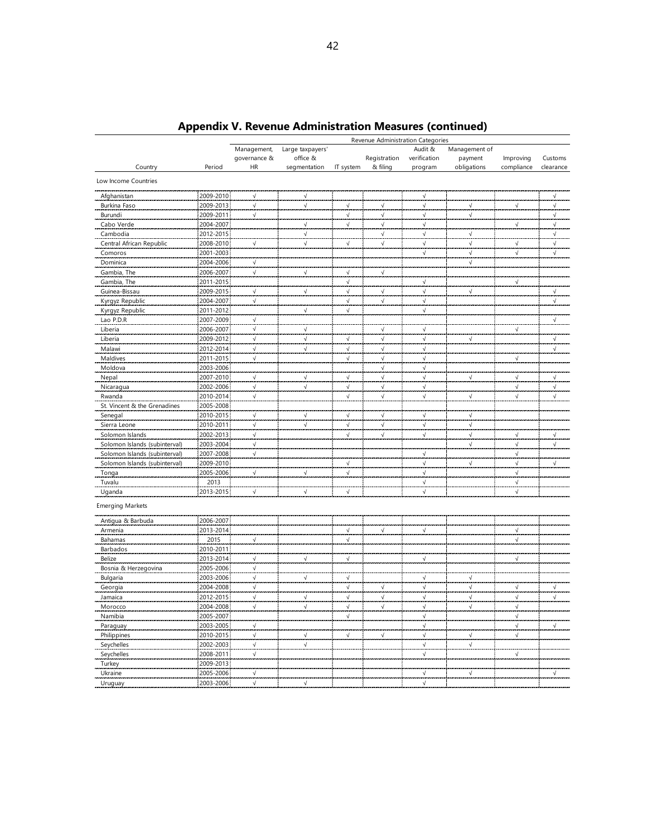| Management,<br>Large taxpayers'<br>Audit &<br>Management of<br>governance &<br>office &<br>Registration<br>verification<br>payment<br>Improving<br>Customs<br>& filing<br>Country<br>Period<br>HR<br>segmentation<br>IT system<br>program<br>obligations<br>compliance<br>clearance<br>Low Income Countries<br>2009-2010<br>$\sqrt{ }$<br>Afghanistan<br>$\sqrt{}$<br>$\sqrt{}$<br>$\sqrt{}$<br>2009-2013<br>Burkina Faso<br>$\sqrt{}$<br>$\checkmark$<br>$\sqrt{ }$<br>$\sqrt{ }$<br>√<br>$\sqrt{ }$<br>√<br>√<br>2009-2011<br>Burundi<br>$\sqrt{ }$<br>√<br>√<br>$\sqrt{}$<br>√<br>$\sqrt{}$<br>2004-2007<br>$\sqrt{ }$<br>Cabo Verde<br>$\sqrt{ }$<br>√<br>$\sqrt{ }$<br>√<br>$\sqrt{ }$<br>2012-2015<br>$\sqrt{ }$<br>Cambodia<br>$\sqrt{ }$<br>$\sqrt{ }$<br>$\sqrt{ }$<br>$\sqrt{}$<br>2008-2010<br>Central African Republic<br>$\sqrt{}$<br>$\sqrt{ }$<br>$\sqrt{}$<br>$\sqrt{ }$<br>$\sqrt{ }$<br>$\sqrt{ }$<br>$\sqrt{ }$<br>$\sqrt{ }$<br>2001-2003<br>$\sqrt{ }$<br>$\sqrt{ }$<br>Comoros<br>$\sqrt{}$<br>$\sqrt{ }$<br>2004-2006<br>Dominica<br>$\sqrt{ }$<br>$\sqrt{}$<br>2006-2007<br>Gambia, The<br>$\sqrt{ }$<br>$\sqrt{ }$<br>$\sqrt{}$<br>$\sqrt{ }$<br>2011-2015<br>Gambia, The<br>$\sqrt{ }$<br>√<br>√<br>2009-2015<br>Guinea-Bissau<br>$\sqrt{ }$<br>$\sqrt{}$<br>$\sqrt{ }$<br>$\sqrt{}$<br>$\sqrt{}$<br>$\sqrt{}$<br>$\sqrt{}$<br>2004-2007<br>Kyrgyz Republic<br>$\sqrt{}$<br>$\sqrt{}$<br>$\sqrt{}$<br>$\sqrt{ }$<br>$\sqrt{}$<br>Kyrgyz Republic<br>2011-2012<br>√<br>$\sqrt{}$<br>$\sqrt{ }$<br>2007-2009<br>Lao P.D.R<br>$\sqrt{ }$<br>$\sqrt{ }$<br>2006-2007<br>$\sqrt{ }$<br>Liberia<br>$\sqrt{ }$<br>$\sqrt{}$<br>$\sqrt{ }$<br>$\sqrt{ }$<br>2009-2012<br>Liberia<br>$\sqrt{}$<br>$\sqrt{ }$<br>$\sqrt{ }$<br>$\sqrt{ }$<br>$\sqrt{ }$<br>√<br>$\sqrt{ }$<br>Malawi<br>2012-2014<br>√<br>√<br>$\sqrt{}$<br>$\sqrt{ }$<br>√<br>$\sqrt{}$<br>2011-2015<br>Maldives<br>$\sqrt{}$<br>√<br>$\sqrt{ }$<br>$\sqrt{ }$<br>√<br>Moldova<br>2003-2006<br>$\sqrt{}$<br>√<br>2007-2010<br>$\sqrt{ }$<br>Nepal<br>$\sqrt{}$<br>$\sqrt{ }$<br>$\sqrt{ }$<br>√<br>√<br>$\sqrt{}$<br>$\sqrt{}$<br>2002-2006<br>Nicaragua<br>√<br>$\sqrt{}$<br>$\sqrt{ }$<br>$\sqrt{}$<br>$\sqrt{ }$<br>√<br>$\sqrt{}$<br>2010-2014<br>Rwanda<br>$\sqrt{ }$<br>$\sqrt{ }$<br>$\sqrt{}$<br>$\sqrt{ }$<br>√<br>√<br>$\sqrt{}$<br>St. Vincent & the Grenadines<br>2005-2008<br>2010-2015<br>Senegal<br>$\sqrt{\phantom{a}}$<br>$\sqrt{}$<br>$\sqrt{ }$<br>$\sqrt{ }$<br>$\sqrt{}$<br>$\sqrt{}$<br>Sierra Leone<br>2010-2011<br>$\sqrt{ }$<br>$\sqrt{ }$<br>$\sqrt{}$<br>√<br>$\sqrt{}$<br>√<br>2002-2013<br>Solomon Islands<br>$\sqrt{}$<br>$\sqrt{}$<br>$\sqrt{\phantom{a}}$<br>√<br>√<br>$\sqrt{}$<br>$\sqrt{}$<br>Solomon Islands (subinterval)<br>2003-2004<br>√<br>$\sqrt{}$<br>√<br>√<br>Solomon Islands (subinterval)<br>2007-2008<br>$\sqrt{}$<br>√<br>√<br>Solomon Islands (subinterval)<br>2009-2010<br>√<br>√<br>√<br>√<br>$\sqrt{}$<br>2005-2006<br>$\sqrt{ }$<br>$\sqrt{ }$<br>Tonga<br>$\sqrt{}$<br>$\sqrt{ }$<br>√<br>Tuvalu<br>2013<br>√<br>√<br>2013-2015<br>$\sqrt{ }$<br>Uganda<br>$\sqrt{ }$<br>$\sqrt{ }$<br>$\sqrt{}$<br>$\sqrt{ }$<br><b>Emerging Markets</b><br>2006-2007<br>Antigua & Barbuda<br>2013-2014<br>$\sqrt{ }$<br>$\sqrt{ }$<br>$\sqrt{ }$<br>1<br>Armenia<br>2015<br>$\sqrt{}$<br>Bahamas<br>√<br>√<br>2010-2011<br>Barbados<br>2013-2014<br>$\sqrt{ }$<br>$\sqrt{ }$<br>Belize<br>$\sqrt{}$<br>$\sqrt{ }$<br>$\sqrt{}$<br>2005-2006<br>$\sqrt{}$<br>Bosnia & Herzegovina<br>2003-2006<br>Bulgaria<br>$\sqrt{ }$<br>$\sqrt{}$<br>√<br>√<br>√<br>2004-2008<br>$\sqrt{}$<br>$\sqrt{ }$<br>$\sqrt{ }$<br>$\sqrt{}$<br>Georgia<br>$\sqrt{ }$<br>V<br>$\sqrt{}$<br>2012-2015<br>$\sqrt{ }$<br>Jamaica<br>$\sqrt{}$<br>√<br>$\sqrt{ }$<br>√<br>√<br>√<br>√<br>2004-2008<br>$\sqrt{ }$<br>$\sqrt{ }$<br>$\sqrt{2}$<br>$\sqrt{}$<br>$\sqrt{ }$<br>$\sqrt{}$<br>$\sqrt{2}$<br>Morocco<br>2005-2007<br>Namibia<br>$\sqrt{ }$<br>$\sqrt{ }$<br>$\sqrt{ }$<br>$\sqrt{ }$<br>2003-2005<br>$\sqrt{ }$<br>$\sqrt{}$<br>$\sqrt{ }$<br>Paraguay<br>2010-2015<br>$\sqrt{ }$<br>$\sqrt{ }$<br>$\checkmark$<br>Philippines<br>$\sqrt{}$<br>√<br>$\sqrt{ }$<br>√<br>$\sqrt{}$<br>$\sqrt{ }$<br>$\sqrt{ }$<br>$\sqrt{ }$<br>2002-2003<br>Seychelles<br>2008-2011<br>$\sqrt{ }$<br>Seychelles<br>$\sqrt{}$<br>$\sqrt{ }$<br>2009-2013<br>Turkey<br>2005-2006<br>$\sqrt{ }$<br>Ukraine<br>$\sqrt{ }$<br>$\sqrt{ }$<br>$\sqrt{}$<br>$\sqrt{ }$<br>$\sqrt{ }$<br>2003-2006<br>$\sqrt{ }$<br>Uruguay | Revenue Administration Categories |  |  |  |  |  |  |  |  |  |  |  |
|------------------------------------------------------------------------------------------------------------------------------------------------------------------------------------------------------------------------------------------------------------------------------------------------------------------------------------------------------------------------------------------------------------------------------------------------------------------------------------------------------------------------------------------------------------------------------------------------------------------------------------------------------------------------------------------------------------------------------------------------------------------------------------------------------------------------------------------------------------------------------------------------------------------------------------------------------------------------------------------------------------------------------------------------------------------------------------------------------------------------------------------------------------------------------------------------------------------------------------------------------------------------------------------------------------------------------------------------------------------------------------------------------------------------------------------------------------------------------------------------------------------------------------------------------------------------------------------------------------------------------------------------------------------------------------------------------------------------------------------------------------------------------------------------------------------------------------------------------------------------------------------------------------------------------------------------------------------------------------------------------------------------------------------------------------------------------------------------------------------------------------------------------------------------------------------------------------------------------------------------------------------------------------------------------------------------------------------------------------------------------------------------------------------------------------------------------------------------------------------------------------------------------------------------------------------------------------------------------------------------------------------------------------------------------------------------------------------------------------------------------------------------------------------------------------------------------------------------------------------------------------------------------------------------------------------------------------------------------------------------------------------------------------------------------------------------------------------------------------------------------------------------------------------------------------------------------------------------------------------------------------------------------------------------------------------------------------------------------------------------------------------------------------------------------------------------------------------------------------------------------------------------------------------------------------------------------------------------------------------------------------------------------------------------------------------------------------------------------------------------------------------------------------------------------------------------------------------------------------------------------------------------------------------------------------------------------------------------------------------------------------------------------------------------------------------------------------------------------------------------------------------------------------------------------------------------------------------------------------------------------------------------------------------------------------------------------------------------------------------------------------------------------------------------------------------------------------------------------------------------------------|-----------------------------------|--|--|--|--|--|--|--|--|--|--|--|
|                                                                                                                                                                                                                                                                                                                                                                                                                                                                                                                                                                                                                                                                                                                                                                                                                                                                                                                                                                                                                                                                                                                                                                                                                                                                                                                                                                                                                                                                                                                                                                                                                                                                                                                                                                                                                                                                                                                                                                                                                                                                                                                                                                                                                                                                                                                                                                                                                                                                                                                                                                                                                                                                                                                                                                                                                                                                                                                                                                                                                                                                                                                                                                                                                                                                                                                                                                                                                                                                                                                                                                                                                                                                                                                                                                                                                                                                                                                                                                                                                                                                                                                                                                                                                                                                                                                                                                                                                                                                                                            |                                   |  |  |  |  |  |  |  |  |  |  |  |
|                                                                                                                                                                                                                                                                                                                                                                                                                                                                                                                                                                                                                                                                                                                                                                                                                                                                                                                                                                                                                                                                                                                                                                                                                                                                                                                                                                                                                                                                                                                                                                                                                                                                                                                                                                                                                                                                                                                                                                                                                                                                                                                                                                                                                                                                                                                                                                                                                                                                                                                                                                                                                                                                                                                                                                                                                                                                                                                                                                                                                                                                                                                                                                                                                                                                                                                                                                                                                                                                                                                                                                                                                                                                                                                                                                                                                                                                                                                                                                                                                                                                                                                                                                                                                                                                                                                                                                                                                                                                                                            |                                   |  |  |  |  |  |  |  |  |  |  |  |
|                                                                                                                                                                                                                                                                                                                                                                                                                                                                                                                                                                                                                                                                                                                                                                                                                                                                                                                                                                                                                                                                                                                                                                                                                                                                                                                                                                                                                                                                                                                                                                                                                                                                                                                                                                                                                                                                                                                                                                                                                                                                                                                                                                                                                                                                                                                                                                                                                                                                                                                                                                                                                                                                                                                                                                                                                                                                                                                                                                                                                                                                                                                                                                                                                                                                                                                                                                                                                                                                                                                                                                                                                                                                                                                                                                                                                                                                                                                                                                                                                                                                                                                                                                                                                                                                                                                                                                                                                                                                                                            |                                   |  |  |  |  |  |  |  |  |  |  |  |
|                                                                                                                                                                                                                                                                                                                                                                                                                                                                                                                                                                                                                                                                                                                                                                                                                                                                                                                                                                                                                                                                                                                                                                                                                                                                                                                                                                                                                                                                                                                                                                                                                                                                                                                                                                                                                                                                                                                                                                                                                                                                                                                                                                                                                                                                                                                                                                                                                                                                                                                                                                                                                                                                                                                                                                                                                                                                                                                                                                                                                                                                                                                                                                                                                                                                                                                                                                                                                                                                                                                                                                                                                                                                                                                                                                                                                                                                                                                                                                                                                                                                                                                                                                                                                                                                                                                                                                                                                                                                                                            |                                   |  |  |  |  |  |  |  |  |  |  |  |
|                                                                                                                                                                                                                                                                                                                                                                                                                                                                                                                                                                                                                                                                                                                                                                                                                                                                                                                                                                                                                                                                                                                                                                                                                                                                                                                                                                                                                                                                                                                                                                                                                                                                                                                                                                                                                                                                                                                                                                                                                                                                                                                                                                                                                                                                                                                                                                                                                                                                                                                                                                                                                                                                                                                                                                                                                                                                                                                                                                                                                                                                                                                                                                                                                                                                                                                                                                                                                                                                                                                                                                                                                                                                                                                                                                                                                                                                                                                                                                                                                                                                                                                                                                                                                                                                                                                                                                                                                                                                                                            |                                   |  |  |  |  |  |  |  |  |  |  |  |
|                                                                                                                                                                                                                                                                                                                                                                                                                                                                                                                                                                                                                                                                                                                                                                                                                                                                                                                                                                                                                                                                                                                                                                                                                                                                                                                                                                                                                                                                                                                                                                                                                                                                                                                                                                                                                                                                                                                                                                                                                                                                                                                                                                                                                                                                                                                                                                                                                                                                                                                                                                                                                                                                                                                                                                                                                                                                                                                                                                                                                                                                                                                                                                                                                                                                                                                                                                                                                                                                                                                                                                                                                                                                                                                                                                                                                                                                                                                                                                                                                                                                                                                                                                                                                                                                                                                                                                                                                                                                                                            |                                   |  |  |  |  |  |  |  |  |  |  |  |
|                                                                                                                                                                                                                                                                                                                                                                                                                                                                                                                                                                                                                                                                                                                                                                                                                                                                                                                                                                                                                                                                                                                                                                                                                                                                                                                                                                                                                                                                                                                                                                                                                                                                                                                                                                                                                                                                                                                                                                                                                                                                                                                                                                                                                                                                                                                                                                                                                                                                                                                                                                                                                                                                                                                                                                                                                                                                                                                                                                                                                                                                                                                                                                                                                                                                                                                                                                                                                                                                                                                                                                                                                                                                                                                                                                                                                                                                                                                                                                                                                                                                                                                                                                                                                                                                                                                                                                                                                                                                                                            |                                   |  |  |  |  |  |  |  |  |  |  |  |
|                                                                                                                                                                                                                                                                                                                                                                                                                                                                                                                                                                                                                                                                                                                                                                                                                                                                                                                                                                                                                                                                                                                                                                                                                                                                                                                                                                                                                                                                                                                                                                                                                                                                                                                                                                                                                                                                                                                                                                                                                                                                                                                                                                                                                                                                                                                                                                                                                                                                                                                                                                                                                                                                                                                                                                                                                                                                                                                                                                                                                                                                                                                                                                                                                                                                                                                                                                                                                                                                                                                                                                                                                                                                                                                                                                                                                                                                                                                                                                                                                                                                                                                                                                                                                                                                                                                                                                                                                                                                                                            |                                   |  |  |  |  |  |  |  |  |  |  |  |
|                                                                                                                                                                                                                                                                                                                                                                                                                                                                                                                                                                                                                                                                                                                                                                                                                                                                                                                                                                                                                                                                                                                                                                                                                                                                                                                                                                                                                                                                                                                                                                                                                                                                                                                                                                                                                                                                                                                                                                                                                                                                                                                                                                                                                                                                                                                                                                                                                                                                                                                                                                                                                                                                                                                                                                                                                                                                                                                                                                                                                                                                                                                                                                                                                                                                                                                                                                                                                                                                                                                                                                                                                                                                                                                                                                                                                                                                                                                                                                                                                                                                                                                                                                                                                                                                                                                                                                                                                                                                                                            |                                   |  |  |  |  |  |  |  |  |  |  |  |
|                                                                                                                                                                                                                                                                                                                                                                                                                                                                                                                                                                                                                                                                                                                                                                                                                                                                                                                                                                                                                                                                                                                                                                                                                                                                                                                                                                                                                                                                                                                                                                                                                                                                                                                                                                                                                                                                                                                                                                                                                                                                                                                                                                                                                                                                                                                                                                                                                                                                                                                                                                                                                                                                                                                                                                                                                                                                                                                                                                                                                                                                                                                                                                                                                                                                                                                                                                                                                                                                                                                                                                                                                                                                                                                                                                                                                                                                                                                                                                                                                                                                                                                                                                                                                                                                                                                                                                                                                                                                                                            |                                   |  |  |  |  |  |  |  |  |  |  |  |
|                                                                                                                                                                                                                                                                                                                                                                                                                                                                                                                                                                                                                                                                                                                                                                                                                                                                                                                                                                                                                                                                                                                                                                                                                                                                                                                                                                                                                                                                                                                                                                                                                                                                                                                                                                                                                                                                                                                                                                                                                                                                                                                                                                                                                                                                                                                                                                                                                                                                                                                                                                                                                                                                                                                                                                                                                                                                                                                                                                                                                                                                                                                                                                                                                                                                                                                                                                                                                                                                                                                                                                                                                                                                                                                                                                                                                                                                                                                                                                                                                                                                                                                                                                                                                                                                                                                                                                                                                                                                                                            |                                   |  |  |  |  |  |  |  |  |  |  |  |
|                                                                                                                                                                                                                                                                                                                                                                                                                                                                                                                                                                                                                                                                                                                                                                                                                                                                                                                                                                                                                                                                                                                                                                                                                                                                                                                                                                                                                                                                                                                                                                                                                                                                                                                                                                                                                                                                                                                                                                                                                                                                                                                                                                                                                                                                                                                                                                                                                                                                                                                                                                                                                                                                                                                                                                                                                                                                                                                                                                                                                                                                                                                                                                                                                                                                                                                                                                                                                                                                                                                                                                                                                                                                                                                                                                                                                                                                                                                                                                                                                                                                                                                                                                                                                                                                                                                                                                                                                                                                                                            |                                   |  |  |  |  |  |  |  |  |  |  |  |
|                                                                                                                                                                                                                                                                                                                                                                                                                                                                                                                                                                                                                                                                                                                                                                                                                                                                                                                                                                                                                                                                                                                                                                                                                                                                                                                                                                                                                                                                                                                                                                                                                                                                                                                                                                                                                                                                                                                                                                                                                                                                                                                                                                                                                                                                                                                                                                                                                                                                                                                                                                                                                                                                                                                                                                                                                                                                                                                                                                                                                                                                                                                                                                                                                                                                                                                                                                                                                                                                                                                                                                                                                                                                                                                                                                                                                                                                                                                                                                                                                                                                                                                                                                                                                                                                                                                                                                                                                                                                                                            |                                   |  |  |  |  |  |  |  |  |  |  |  |
|                                                                                                                                                                                                                                                                                                                                                                                                                                                                                                                                                                                                                                                                                                                                                                                                                                                                                                                                                                                                                                                                                                                                                                                                                                                                                                                                                                                                                                                                                                                                                                                                                                                                                                                                                                                                                                                                                                                                                                                                                                                                                                                                                                                                                                                                                                                                                                                                                                                                                                                                                                                                                                                                                                                                                                                                                                                                                                                                                                                                                                                                                                                                                                                                                                                                                                                                                                                                                                                                                                                                                                                                                                                                                                                                                                                                                                                                                                                                                                                                                                                                                                                                                                                                                                                                                                                                                                                                                                                                                                            |                                   |  |  |  |  |  |  |  |  |  |  |  |
|                                                                                                                                                                                                                                                                                                                                                                                                                                                                                                                                                                                                                                                                                                                                                                                                                                                                                                                                                                                                                                                                                                                                                                                                                                                                                                                                                                                                                                                                                                                                                                                                                                                                                                                                                                                                                                                                                                                                                                                                                                                                                                                                                                                                                                                                                                                                                                                                                                                                                                                                                                                                                                                                                                                                                                                                                                                                                                                                                                                                                                                                                                                                                                                                                                                                                                                                                                                                                                                                                                                                                                                                                                                                                                                                                                                                                                                                                                                                                                                                                                                                                                                                                                                                                                                                                                                                                                                                                                                                                                            |                                   |  |  |  |  |  |  |  |  |  |  |  |
|                                                                                                                                                                                                                                                                                                                                                                                                                                                                                                                                                                                                                                                                                                                                                                                                                                                                                                                                                                                                                                                                                                                                                                                                                                                                                                                                                                                                                                                                                                                                                                                                                                                                                                                                                                                                                                                                                                                                                                                                                                                                                                                                                                                                                                                                                                                                                                                                                                                                                                                                                                                                                                                                                                                                                                                                                                                                                                                                                                                                                                                                                                                                                                                                                                                                                                                                                                                                                                                                                                                                                                                                                                                                                                                                                                                                                                                                                                                                                                                                                                                                                                                                                                                                                                                                                                                                                                                                                                                                                                            |                                   |  |  |  |  |  |  |  |  |  |  |  |
|                                                                                                                                                                                                                                                                                                                                                                                                                                                                                                                                                                                                                                                                                                                                                                                                                                                                                                                                                                                                                                                                                                                                                                                                                                                                                                                                                                                                                                                                                                                                                                                                                                                                                                                                                                                                                                                                                                                                                                                                                                                                                                                                                                                                                                                                                                                                                                                                                                                                                                                                                                                                                                                                                                                                                                                                                                                                                                                                                                                                                                                                                                                                                                                                                                                                                                                                                                                                                                                                                                                                                                                                                                                                                                                                                                                                                                                                                                                                                                                                                                                                                                                                                                                                                                                                                                                                                                                                                                                                                                            |                                   |  |  |  |  |  |  |  |  |  |  |  |
|                                                                                                                                                                                                                                                                                                                                                                                                                                                                                                                                                                                                                                                                                                                                                                                                                                                                                                                                                                                                                                                                                                                                                                                                                                                                                                                                                                                                                                                                                                                                                                                                                                                                                                                                                                                                                                                                                                                                                                                                                                                                                                                                                                                                                                                                                                                                                                                                                                                                                                                                                                                                                                                                                                                                                                                                                                                                                                                                                                                                                                                                                                                                                                                                                                                                                                                                                                                                                                                                                                                                                                                                                                                                                                                                                                                                                                                                                                                                                                                                                                                                                                                                                                                                                                                                                                                                                                                                                                                                                                            |                                   |  |  |  |  |  |  |  |  |  |  |  |
|                                                                                                                                                                                                                                                                                                                                                                                                                                                                                                                                                                                                                                                                                                                                                                                                                                                                                                                                                                                                                                                                                                                                                                                                                                                                                                                                                                                                                                                                                                                                                                                                                                                                                                                                                                                                                                                                                                                                                                                                                                                                                                                                                                                                                                                                                                                                                                                                                                                                                                                                                                                                                                                                                                                                                                                                                                                                                                                                                                                                                                                                                                                                                                                                                                                                                                                                                                                                                                                                                                                                                                                                                                                                                                                                                                                                                                                                                                                                                                                                                                                                                                                                                                                                                                                                                                                                                                                                                                                                                                            |                                   |  |  |  |  |  |  |  |  |  |  |  |
|                                                                                                                                                                                                                                                                                                                                                                                                                                                                                                                                                                                                                                                                                                                                                                                                                                                                                                                                                                                                                                                                                                                                                                                                                                                                                                                                                                                                                                                                                                                                                                                                                                                                                                                                                                                                                                                                                                                                                                                                                                                                                                                                                                                                                                                                                                                                                                                                                                                                                                                                                                                                                                                                                                                                                                                                                                                                                                                                                                                                                                                                                                                                                                                                                                                                                                                                                                                                                                                                                                                                                                                                                                                                                                                                                                                                                                                                                                                                                                                                                                                                                                                                                                                                                                                                                                                                                                                                                                                                                                            |                                   |  |  |  |  |  |  |  |  |  |  |  |
|                                                                                                                                                                                                                                                                                                                                                                                                                                                                                                                                                                                                                                                                                                                                                                                                                                                                                                                                                                                                                                                                                                                                                                                                                                                                                                                                                                                                                                                                                                                                                                                                                                                                                                                                                                                                                                                                                                                                                                                                                                                                                                                                                                                                                                                                                                                                                                                                                                                                                                                                                                                                                                                                                                                                                                                                                                                                                                                                                                                                                                                                                                                                                                                                                                                                                                                                                                                                                                                                                                                                                                                                                                                                                                                                                                                                                                                                                                                                                                                                                                                                                                                                                                                                                                                                                                                                                                                                                                                                                                            |                                   |  |  |  |  |  |  |  |  |  |  |  |
|                                                                                                                                                                                                                                                                                                                                                                                                                                                                                                                                                                                                                                                                                                                                                                                                                                                                                                                                                                                                                                                                                                                                                                                                                                                                                                                                                                                                                                                                                                                                                                                                                                                                                                                                                                                                                                                                                                                                                                                                                                                                                                                                                                                                                                                                                                                                                                                                                                                                                                                                                                                                                                                                                                                                                                                                                                                                                                                                                                                                                                                                                                                                                                                                                                                                                                                                                                                                                                                                                                                                                                                                                                                                                                                                                                                                                                                                                                                                                                                                                                                                                                                                                                                                                                                                                                                                                                                                                                                                                                            |                                   |  |  |  |  |  |  |  |  |  |  |  |
|                                                                                                                                                                                                                                                                                                                                                                                                                                                                                                                                                                                                                                                                                                                                                                                                                                                                                                                                                                                                                                                                                                                                                                                                                                                                                                                                                                                                                                                                                                                                                                                                                                                                                                                                                                                                                                                                                                                                                                                                                                                                                                                                                                                                                                                                                                                                                                                                                                                                                                                                                                                                                                                                                                                                                                                                                                                                                                                                                                                                                                                                                                                                                                                                                                                                                                                                                                                                                                                                                                                                                                                                                                                                                                                                                                                                                                                                                                                                                                                                                                                                                                                                                                                                                                                                                                                                                                                                                                                                                                            |                                   |  |  |  |  |  |  |  |  |  |  |  |
|                                                                                                                                                                                                                                                                                                                                                                                                                                                                                                                                                                                                                                                                                                                                                                                                                                                                                                                                                                                                                                                                                                                                                                                                                                                                                                                                                                                                                                                                                                                                                                                                                                                                                                                                                                                                                                                                                                                                                                                                                                                                                                                                                                                                                                                                                                                                                                                                                                                                                                                                                                                                                                                                                                                                                                                                                                                                                                                                                                                                                                                                                                                                                                                                                                                                                                                                                                                                                                                                                                                                                                                                                                                                                                                                                                                                                                                                                                                                                                                                                                                                                                                                                                                                                                                                                                                                                                                                                                                                                                            |                                   |  |  |  |  |  |  |  |  |  |  |  |
|                                                                                                                                                                                                                                                                                                                                                                                                                                                                                                                                                                                                                                                                                                                                                                                                                                                                                                                                                                                                                                                                                                                                                                                                                                                                                                                                                                                                                                                                                                                                                                                                                                                                                                                                                                                                                                                                                                                                                                                                                                                                                                                                                                                                                                                                                                                                                                                                                                                                                                                                                                                                                                                                                                                                                                                                                                                                                                                                                                                                                                                                                                                                                                                                                                                                                                                                                                                                                                                                                                                                                                                                                                                                                                                                                                                                                                                                                                                                                                                                                                                                                                                                                                                                                                                                                                                                                                                                                                                                                                            |                                   |  |  |  |  |  |  |  |  |  |  |  |
|                                                                                                                                                                                                                                                                                                                                                                                                                                                                                                                                                                                                                                                                                                                                                                                                                                                                                                                                                                                                                                                                                                                                                                                                                                                                                                                                                                                                                                                                                                                                                                                                                                                                                                                                                                                                                                                                                                                                                                                                                                                                                                                                                                                                                                                                                                                                                                                                                                                                                                                                                                                                                                                                                                                                                                                                                                                                                                                                                                                                                                                                                                                                                                                                                                                                                                                                                                                                                                                                                                                                                                                                                                                                                                                                                                                                                                                                                                                                                                                                                                                                                                                                                                                                                                                                                                                                                                                                                                                                                                            |                                   |  |  |  |  |  |  |  |  |  |  |  |
|                                                                                                                                                                                                                                                                                                                                                                                                                                                                                                                                                                                                                                                                                                                                                                                                                                                                                                                                                                                                                                                                                                                                                                                                                                                                                                                                                                                                                                                                                                                                                                                                                                                                                                                                                                                                                                                                                                                                                                                                                                                                                                                                                                                                                                                                                                                                                                                                                                                                                                                                                                                                                                                                                                                                                                                                                                                                                                                                                                                                                                                                                                                                                                                                                                                                                                                                                                                                                                                                                                                                                                                                                                                                                                                                                                                                                                                                                                                                                                                                                                                                                                                                                                                                                                                                                                                                                                                                                                                                                                            |                                   |  |  |  |  |  |  |  |  |  |  |  |
|                                                                                                                                                                                                                                                                                                                                                                                                                                                                                                                                                                                                                                                                                                                                                                                                                                                                                                                                                                                                                                                                                                                                                                                                                                                                                                                                                                                                                                                                                                                                                                                                                                                                                                                                                                                                                                                                                                                                                                                                                                                                                                                                                                                                                                                                                                                                                                                                                                                                                                                                                                                                                                                                                                                                                                                                                                                                                                                                                                                                                                                                                                                                                                                                                                                                                                                                                                                                                                                                                                                                                                                                                                                                                                                                                                                                                                                                                                                                                                                                                                                                                                                                                                                                                                                                                                                                                                                                                                                                                                            |                                   |  |  |  |  |  |  |  |  |  |  |  |
|                                                                                                                                                                                                                                                                                                                                                                                                                                                                                                                                                                                                                                                                                                                                                                                                                                                                                                                                                                                                                                                                                                                                                                                                                                                                                                                                                                                                                                                                                                                                                                                                                                                                                                                                                                                                                                                                                                                                                                                                                                                                                                                                                                                                                                                                                                                                                                                                                                                                                                                                                                                                                                                                                                                                                                                                                                                                                                                                                                                                                                                                                                                                                                                                                                                                                                                                                                                                                                                                                                                                                                                                                                                                                                                                                                                                                                                                                                                                                                                                                                                                                                                                                                                                                                                                                                                                                                                                                                                                                                            |                                   |  |  |  |  |  |  |  |  |  |  |  |
|                                                                                                                                                                                                                                                                                                                                                                                                                                                                                                                                                                                                                                                                                                                                                                                                                                                                                                                                                                                                                                                                                                                                                                                                                                                                                                                                                                                                                                                                                                                                                                                                                                                                                                                                                                                                                                                                                                                                                                                                                                                                                                                                                                                                                                                                                                                                                                                                                                                                                                                                                                                                                                                                                                                                                                                                                                                                                                                                                                                                                                                                                                                                                                                                                                                                                                                                                                                                                                                                                                                                                                                                                                                                                                                                                                                                                                                                                                                                                                                                                                                                                                                                                                                                                                                                                                                                                                                                                                                                                                            |                                   |  |  |  |  |  |  |  |  |  |  |  |
|                                                                                                                                                                                                                                                                                                                                                                                                                                                                                                                                                                                                                                                                                                                                                                                                                                                                                                                                                                                                                                                                                                                                                                                                                                                                                                                                                                                                                                                                                                                                                                                                                                                                                                                                                                                                                                                                                                                                                                                                                                                                                                                                                                                                                                                                                                                                                                                                                                                                                                                                                                                                                                                                                                                                                                                                                                                                                                                                                                                                                                                                                                                                                                                                                                                                                                                                                                                                                                                                                                                                                                                                                                                                                                                                                                                                                                                                                                                                                                                                                                                                                                                                                                                                                                                                                                                                                                                                                                                                                                            |                                   |  |  |  |  |  |  |  |  |  |  |  |
|                                                                                                                                                                                                                                                                                                                                                                                                                                                                                                                                                                                                                                                                                                                                                                                                                                                                                                                                                                                                                                                                                                                                                                                                                                                                                                                                                                                                                                                                                                                                                                                                                                                                                                                                                                                                                                                                                                                                                                                                                                                                                                                                                                                                                                                                                                                                                                                                                                                                                                                                                                                                                                                                                                                                                                                                                                                                                                                                                                                                                                                                                                                                                                                                                                                                                                                                                                                                                                                                                                                                                                                                                                                                                                                                                                                                                                                                                                                                                                                                                                                                                                                                                                                                                                                                                                                                                                                                                                                                                                            |                                   |  |  |  |  |  |  |  |  |  |  |  |
|                                                                                                                                                                                                                                                                                                                                                                                                                                                                                                                                                                                                                                                                                                                                                                                                                                                                                                                                                                                                                                                                                                                                                                                                                                                                                                                                                                                                                                                                                                                                                                                                                                                                                                                                                                                                                                                                                                                                                                                                                                                                                                                                                                                                                                                                                                                                                                                                                                                                                                                                                                                                                                                                                                                                                                                                                                                                                                                                                                                                                                                                                                                                                                                                                                                                                                                                                                                                                                                                                                                                                                                                                                                                                                                                                                                                                                                                                                                                                                                                                                                                                                                                                                                                                                                                                                                                                                                                                                                                                                            |                                   |  |  |  |  |  |  |  |  |  |  |  |
|                                                                                                                                                                                                                                                                                                                                                                                                                                                                                                                                                                                                                                                                                                                                                                                                                                                                                                                                                                                                                                                                                                                                                                                                                                                                                                                                                                                                                                                                                                                                                                                                                                                                                                                                                                                                                                                                                                                                                                                                                                                                                                                                                                                                                                                                                                                                                                                                                                                                                                                                                                                                                                                                                                                                                                                                                                                                                                                                                                                                                                                                                                                                                                                                                                                                                                                                                                                                                                                                                                                                                                                                                                                                                                                                                                                                                                                                                                                                                                                                                                                                                                                                                                                                                                                                                                                                                                                                                                                                                                            |                                   |  |  |  |  |  |  |  |  |  |  |  |
|                                                                                                                                                                                                                                                                                                                                                                                                                                                                                                                                                                                                                                                                                                                                                                                                                                                                                                                                                                                                                                                                                                                                                                                                                                                                                                                                                                                                                                                                                                                                                                                                                                                                                                                                                                                                                                                                                                                                                                                                                                                                                                                                                                                                                                                                                                                                                                                                                                                                                                                                                                                                                                                                                                                                                                                                                                                                                                                                                                                                                                                                                                                                                                                                                                                                                                                                                                                                                                                                                                                                                                                                                                                                                                                                                                                                                                                                                                                                                                                                                                                                                                                                                                                                                                                                                                                                                                                                                                                                                                            |                                   |  |  |  |  |  |  |  |  |  |  |  |
|                                                                                                                                                                                                                                                                                                                                                                                                                                                                                                                                                                                                                                                                                                                                                                                                                                                                                                                                                                                                                                                                                                                                                                                                                                                                                                                                                                                                                                                                                                                                                                                                                                                                                                                                                                                                                                                                                                                                                                                                                                                                                                                                                                                                                                                                                                                                                                                                                                                                                                                                                                                                                                                                                                                                                                                                                                                                                                                                                                                                                                                                                                                                                                                                                                                                                                                                                                                                                                                                                                                                                                                                                                                                                                                                                                                                                                                                                                                                                                                                                                                                                                                                                                                                                                                                                                                                                                                                                                                                                                            |                                   |  |  |  |  |  |  |  |  |  |  |  |
|                                                                                                                                                                                                                                                                                                                                                                                                                                                                                                                                                                                                                                                                                                                                                                                                                                                                                                                                                                                                                                                                                                                                                                                                                                                                                                                                                                                                                                                                                                                                                                                                                                                                                                                                                                                                                                                                                                                                                                                                                                                                                                                                                                                                                                                                                                                                                                                                                                                                                                                                                                                                                                                                                                                                                                                                                                                                                                                                                                                                                                                                                                                                                                                                                                                                                                                                                                                                                                                                                                                                                                                                                                                                                                                                                                                                                                                                                                                                                                                                                                                                                                                                                                                                                                                                                                                                                                                                                                                                                                            |                                   |  |  |  |  |  |  |  |  |  |  |  |
|                                                                                                                                                                                                                                                                                                                                                                                                                                                                                                                                                                                                                                                                                                                                                                                                                                                                                                                                                                                                                                                                                                                                                                                                                                                                                                                                                                                                                                                                                                                                                                                                                                                                                                                                                                                                                                                                                                                                                                                                                                                                                                                                                                                                                                                                                                                                                                                                                                                                                                                                                                                                                                                                                                                                                                                                                                                                                                                                                                                                                                                                                                                                                                                                                                                                                                                                                                                                                                                                                                                                                                                                                                                                                                                                                                                                                                                                                                                                                                                                                                                                                                                                                                                                                                                                                                                                                                                                                                                                                                            |                                   |  |  |  |  |  |  |  |  |  |  |  |
|                                                                                                                                                                                                                                                                                                                                                                                                                                                                                                                                                                                                                                                                                                                                                                                                                                                                                                                                                                                                                                                                                                                                                                                                                                                                                                                                                                                                                                                                                                                                                                                                                                                                                                                                                                                                                                                                                                                                                                                                                                                                                                                                                                                                                                                                                                                                                                                                                                                                                                                                                                                                                                                                                                                                                                                                                                                                                                                                                                                                                                                                                                                                                                                                                                                                                                                                                                                                                                                                                                                                                                                                                                                                                                                                                                                                                                                                                                                                                                                                                                                                                                                                                                                                                                                                                                                                                                                                                                                                                                            |                                   |  |  |  |  |  |  |  |  |  |  |  |
|                                                                                                                                                                                                                                                                                                                                                                                                                                                                                                                                                                                                                                                                                                                                                                                                                                                                                                                                                                                                                                                                                                                                                                                                                                                                                                                                                                                                                                                                                                                                                                                                                                                                                                                                                                                                                                                                                                                                                                                                                                                                                                                                                                                                                                                                                                                                                                                                                                                                                                                                                                                                                                                                                                                                                                                                                                                                                                                                                                                                                                                                                                                                                                                                                                                                                                                                                                                                                                                                                                                                                                                                                                                                                                                                                                                                                                                                                                                                                                                                                                                                                                                                                                                                                                                                                                                                                                                                                                                                                                            |                                   |  |  |  |  |  |  |  |  |  |  |  |
|                                                                                                                                                                                                                                                                                                                                                                                                                                                                                                                                                                                                                                                                                                                                                                                                                                                                                                                                                                                                                                                                                                                                                                                                                                                                                                                                                                                                                                                                                                                                                                                                                                                                                                                                                                                                                                                                                                                                                                                                                                                                                                                                                                                                                                                                                                                                                                                                                                                                                                                                                                                                                                                                                                                                                                                                                                                                                                                                                                                                                                                                                                                                                                                                                                                                                                                                                                                                                                                                                                                                                                                                                                                                                                                                                                                                                                                                                                                                                                                                                                                                                                                                                                                                                                                                                                                                                                                                                                                                                                            |                                   |  |  |  |  |  |  |  |  |  |  |  |
|                                                                                                                                                                                                                                                                                                                                                                                                                                                                                                                                                                                                                                                                                                                                                                                                                                                                                                                                                                                                                                                                                                                                                                                                                                                                                                                                                                                                                                                                                                                                                                                                                                                                                                                                                                                                                                                                                                                                                                                                                                                                                                                                                                                                                                                                                                                                                                                                                                                                                                                                                                                                                                                                                                                                                                                                                                                                                                                                                                                                                                                                                                                                                                                                                                                                                                                                                                                                                                                                                                                                                                                                                                                                                                                                                                                                                                                                                                                                                                                                                                                                                                                                                                                                                                                                                                                                                                                                                                                                                                            |                                   |  |  |  |  |  |  |  |  |  |  |  |
|                                                                                                                                                                                                                                                                                                                                                                                                                                                                                                                                                                                                                                                                                                                                                                                                                                                                                                                                                                                                                                                                                                                                                                                                                                                                                                                                                                                                                                                                                                                                                                                                                                                                                                                                                                                                                                                                                                                                                                                                                                                                                                                                                                                                                                                                                                                                                                                                                                                                                                                                                                                                                                                                                                                                                                                                                                                                                                                                                                                                                                                                                                                                                                                                                                                                                                                                                                                                                                                                                                                                                                                                                                                                                                                                                                                                                                                                                                                                                                                                                                                                                                                                                                                                                                                                                                                                                                                                                                                                                                            |                                   |  |  |  |  |  |  |  |  |  |  |  |
|                                                                                                                                                                                                                                                                                                                                                                                                                                                                                                                                                                                                                                                                                                                                                                                                                                                                                                                                                                                                                                                                                                                                                                                                                                                                                                                                                                                                                                                                                                                                                                                                                                                                                                                                                                                                                                                                                                                                                                                                                                                                                                                                                                                                                                                                                                                                                                                                                                                                                                                                                                                                                                                                                                                                                                                                                                                                                                                                                                                                                                                                                                                                                                                                                                                                                                                                                                                                                                                                                                                                                                                                                                                                                                                                                                                                                                                                                                                                                                                                                                                                                                                                                                                                                                                                                                                                                                                                                                                                                                            |                                   |  |  |  |  |  |  |  |  |  |  |  |
|                                                                                                                                                                                                                                                                                                                                                                                                                                                                                                                                                                                                                                                                                                                                                                                                                                                                                                                                                                                                                                                                                                                                                                                                                                                                                                                                                                                                                                                                                                                                                                                                                                                                                                                                                                                                                                                                                                                                                                                                                                                                                                                                                                                                                                                                                                                                                                                                                                                                                                                                                                                                                                                                                                                                                                                                                                                                                                                                                                                                                                                                                                                                                                                                                                                                                                                                                                                                                                                                                                                                                                                                                                                                                                                                                                                                                                                                                                                                                                                                                                                                                                                                                                                                                                                                                                                                                                                                                                                                                                            |                                   |  |  |  |  |  |  |  |  |  |  |  |
|                                                                                                                                                                                                                                                                                                                                                                                                                                                                                                                                                                                                                                                                                                                                                                                                                                                                                                                                                                                                                                                                                                                                                                                                                                                                                                                                                                                                                                                                                                                                                                                                                                                                                                                                                                                                                                                                                                                                                                                                                                                                                                                                                                                                                                                                                                                                                                                                                                                                                                                                                                                                                                                                                                                                                                                                                                                                                                                                                                                                                                                                                                                                                                                                                                                                                                                                                                                                                                                                                                                                                                                                                                                                                                                                                                                                                                                                                                                                                                                                                                                                                                                                                                                                                                                                                                                                                                                                                                                                                                            |                                   |  |  |  |  |  |  |  |  |  |  |  |
|                                                                                                                                                                                                                                                                                                                                                                                                                                                                                                                                                                                                                                                                                                                                                                                                                                                                                                                                                                                                                                                                                                                                                                                                                                                                                                                                                                                                                                                                                                                                                                                                                                                                                                                                                                                                                                                                                                                                                                                                                                                                                                                                                                                                                                                                                                                                                                                                                                                                                                                                                                                                                                                                                                                                                                                                                                                                                                                                                                                                                                                                                                                                                                                                                                                                                                                                                                                                                                                                                                                                                                                                                                                                                                                                                                                                                                                                                                                                                                                                                                                                                                                                                                                                                                                                                                                                                                                                                                                                                                            |                                   |  |  |  |  |  |  |  |  |  |  |  |
|                                                                                                                                                                                                                                                                                                                                                                                                                                                                                                                                                                                                                                                                                                                                                                                                                                                                                                                                                                                                                                                                                                                                                                                                                                                                                                                                                                                                                                                                                                                                                                                                                                                                                                                                                                                                                                                                                                                                                                                                                                                                                                                                                                                                                                                                                                                                                                                                                                                                                                                                                                                                                                                                                                                                                                                                                                                                                                                                                                                                                                                                                                                                                                                                                                                                                                                                                                                                                                                                                                                                                                                                                                                                                                                                                                                                                                                                                                                                                                                                                                                                                                                                                                                                                                                                                                                                                                                                                                                                                                            |                                   |  |  |  |  |  |  |  |  |  |  |  |
|                                                                                                                                                                                                                                                                                                                                                                                                                                                                                                                                                                                                                                                                                                                                                                                                                                                                                                                                                                                                                                                                                                                                                                                                                                                                                                                                                                                                                                                                                                                                                                                                                                                                                                                                                                                                                                                                                                                                                                                                                                                                                                                                                                                                                                                                                                                                                                                                                                                                                                                                                                                                                                                                                                                                                                                                                                                                                                                                                                                                                                                                                                                                                                                                                                                                                                                                                                                                                                                                                                                                                                                                                                                                                                                                                                                                                                                                                                                                                                                                                                                                                                                                                                                                                                                                                                                                                                                                                                                                                                            |                                   |  |  |  |  |  |  |  |  |  |  |  |
|                                                                                                                                                                                                                                                                                                                                                                                                                                                                                                                                                                                                                                                                                                                                                                                                                                                                                                                                                                                                                                                                                                                                                                                                                                                                                                                                                                                                                                                                                                                                                                                                                                                                                                                                                                                                                                                                                                                                                                                                                                                                                                                                                                                                                                                                                                                                                                                                                                                                                                                                                                                                                                                                                                                                                                                                                                                                                                                                                                                                                                                                                                                                                                                                                                                                                                                                                                                                                                                                                                                                                                                                                                                                                                                                                                                                                                                                                                                                                                                                                                                                                                                                                                                                                                                                                                                                                                                                                                                                                                            |                                   |  |  |  |  |  |  |  |  |  |  |  |
|                                                                                                                                                                                                                                                                                                                                                                                                                                                                                                                                                                                                                                                                                                                                                                                                                                                                                                                                                                                                                                                                                                                                                                                                                                                                                                                                                                                                                                                                                                                                                                                                                                                                                                                                                                                                                                                                                                                                                                                                                                                                                                                                                                                                                                                                                                                                                                                                                                                                                                                                                                                                                                                                                                                                                                                                                                                                                                                                                                                                                                                                                                                                                                                                                                                                                                                                                                                                                                                                                                                                                                                                                                                                                                                                                                                                                                                                                                                                                                                                                                                                                                                                                                                                                                                                                                                                                                                                                                                                                                            |                                   |  |  |  |  |  |  |  |  |  |  |  |
|                                                                                                                                                                                                                                                                                                                                                                                                                                                                                                                                                                                                                                                                                                                                                                                                                                                                                                                                                                                                                                                                                                                                                                                                                                                                                                                                                                                                                                                                                                                                                                                                                                                                                                                                                                                                                                                                                                                                                                                                                                                                                                                                                                                                                                                                                                                                                                                                                                                                                                                                                                                                                                                                                                                                                                                                                                                                                                                                                                                                                                                                                                                                                                                                                                                                                                                                                                                                                                                                                                                                                                                                                                                                                                                                                                                                                                                                                                                                                                                                                                                                                                                                                                                                                                                                                                                                                                                                                                                                                                            |                                   |  |  |  |  |  |  |  |  |  |  |  |
|                                                                                                                                                                                                                                                                                                                                                                                                                                                                                                                                                                                                                                                                                                                                                                                                                                                                                                                                                                                                                                                                                                                                                                                                                                                                                                                                                                                                                                                                                                                                                                                                                                                                                                                                                                                                                                                                                                                                                                                                                                                                                                                                                                                                                                                                                                                                                                                                                                                                                                                                                                                                                                                                                                                                                                                                                                                                                                                                                                                                                                                                                                                                                                                                                                                                                                                                                                                                                                                                                                                                                                                                                                                                                                                                                                                                                                                                                                                                                                                                                                                                                                                                                                                                                                                                                                                                                                                                                                                                                                            |                                   |  |  |  |  |  |  |  |  |  |  |  |
|                                                                                                                                                                                                                                                                                                                                                                                                                                                                                                                                                                                                                                                                                                                                                                                                                                                                                                                                                                                                                                                                                                                                                                                                                                                                                                                                                                                                                                                                                                                                                                                                                                                                                                                                                                                                                                                                                                                                                                                                                                                                                                                                                                                                                                                                                                                                                                                                                                                                                                                                                                                                                                                                                                                                                                                                                                                                                                                                                                                                                                                                                                                                                                                                                                                                                                                                                                                                                                                                                                                                                                                                                                                                                                                                                                                                                                                                                                                                                                                                                                                                                                                                                                                                                                                                                                                                                                                                                                                                                                            |                                   |  |  |  |  |  |  |  |  |  |  |  |
|                                                                                                                                                                                                                                                                                                                                                                                                                                                                                                                                                                                                                                                                                                                                                                                                                                                                                                                                                                                                                                                                                                                                                                                                                                                                                                                                                                                                                                                                                                                                                                                                                                                                                                                                                                                                                                                                                                                                                                                                                                                                                                                                                                                                                                                                                                                                                                                                                                                                                                                                                                                                                                                                                                                                                                                                                                                                                                                                                                                                                                                                                                                                                                                                                                                                                                                                                                                                                                                                                                                                                                                                                                                                                                                                                                                                                                                                                                                                                                                                                                                                                                                                                                                                                                                                                                                                                                                                                                                                                                            |                                   |  |  |  |  |  |  |  |  |  |  |  |